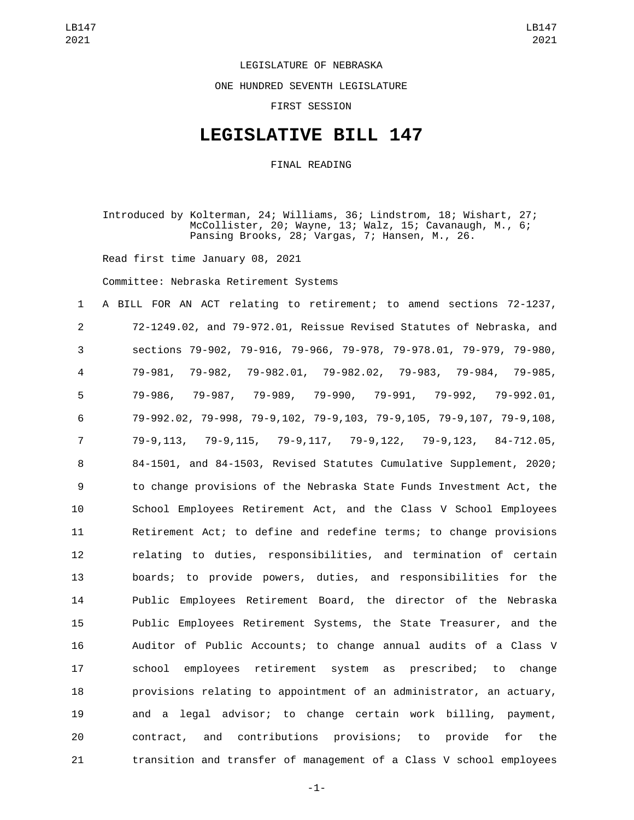## LEGISLATURE OF NEBRASKA

ONE HUNDRED SEVENTH LEGISLATURE

FIRST SESSION

## **LEGISLATIVE BILL 147**

FINAL READING

Introduced by Kolterman, 24; Williams, 36; Lindstrom, 18; Wishart, 27; McCollister, 20; Wayne, 13; Walz, 15; Cavanaugh, M., 6; Pansing Brooks, 28; Vargas, 7; Hansen, M., 26.

Read first time January 08, 2021

Committee: Nebraska Retirement Systems

 A BILL FOR AN ACT relating to retirement; to amend sections 72-1237, 72-1249.02, and 79-972.01, Reissue Revised Statutes of Nebraska, and sections 79-902, 79-916, 79-966, 79-978, 79-978.01, 79-979, 79-980, 79-981, 79-982, 79-982.01, 79-982.02, 79-983, 79-984, 79-985, 79-986, 79-987, 79-989, 79-990, 79-991, 79-992, 79-992.01, 79-992.02, 79-998, 79-9,102, 79-9,103, 79-9,105, 79-9,107, 79-9,108, 79-9,113, 79-9,115, 79-9,117, 79-9,122, 79-9,123, 84-712.05, 84-1501, and 84-1503, Revised Statutes Cumulative Supplement, 2020; to change provisions of the Nebraska State Funds Investment Act, the School Employees Retirement Act, and the Class V School Employees Retirement Act; to define and redefine terms; to change provisions relating to duties, responsibilities, and termination of certain boards; to provide powers, duties, and responsibilities for the Public Employees Retirement Board, the director of the Nebraska Public Employees Retirement Systems, the State Treasurer, and the Auditor of Public Accounts; to change annual audits of a Class V school employees retirement system as prescribed; to change provisions relating to appointment of an administrator, an actuary, and a legal advisor; to change certain work billing, payment, contract, and contributions provisions; to provide for the transition and transfer of management of a Class V school employees

-1-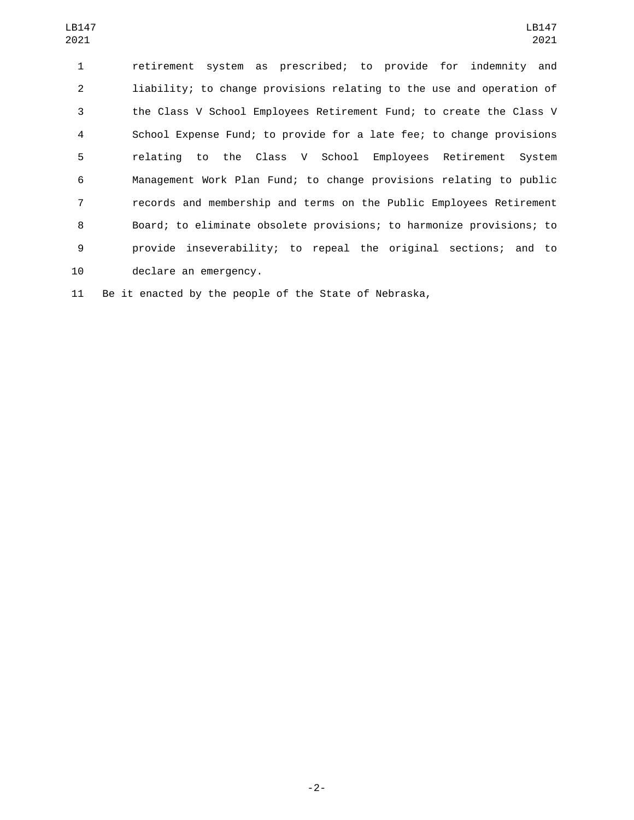| LB147<br>2021  | LB147<br>2021                                                        |
|----------------|----------------------------------------------------------------------|
| 1              | retirement system as prescribed; to provide for indemnity and        |
| $\overline{2}$ | liability; to change provisions relating to the use and operation of |
| 3              | the Class V School Employees Retirement Fund; to create the Class V  |
| $\overline{4}$ | School Expense Fund; to provide for a late fee; to change provisions |
| 5              | relating to the Class V School Employees Retirement System           |
| 6              | Management Work Plan Fund; to change provisions relating to public   |
| $\overline{7}$ | records and membership and terms on the Public Employees Retirement  |
| 8              | Board; to eliminate obsolete provisions; to harmonize provisions; to |
| 9              | provide inseverability; to repeal the original sections; and to      |
| 10             | declare an emergency.                                                |

Be it enacted by the people of the State of Nebraska,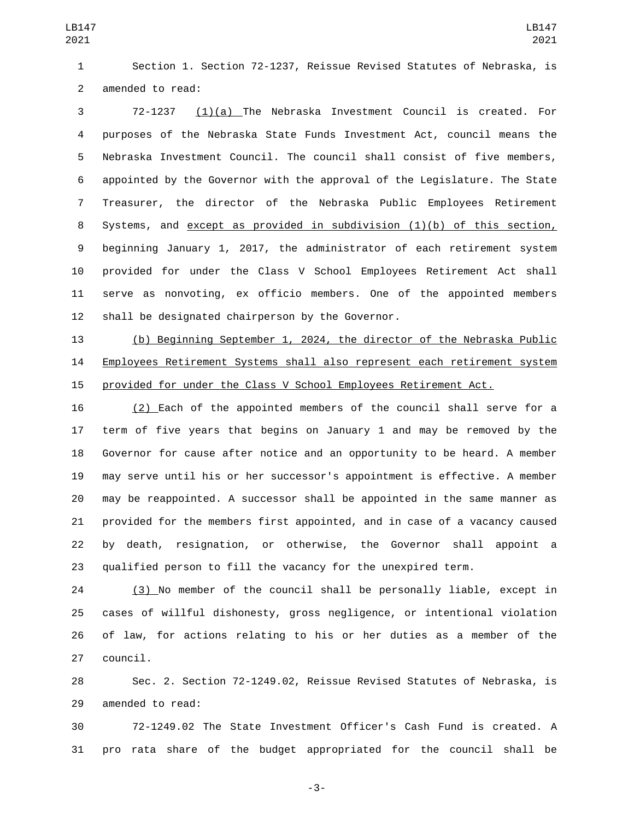Section 1. Section 72-1237, Reissue Revised Statutes of Nebraska, is 2 amended to read:

 72-1237 (1)(a) The Nebraska Investment Council is created. For purposes of the Nebraska State Funds Investment Act, council means the Nebraska Investment Council. The council shall consist of five members, appointed by the Governor with the approval of the Legislature. The State Treasurer, the director of the Nebraska Public Employees Retirement Systems, and except as provided in subdivision (1)(b) of this section, beginning January 1, 2017, the administrator of each retirement system provided for under the Class V School Employees Retirement Act shall serve as nonvoting, ex officio members. One of the appointed members 12 shall be designated chairperson by the Governor.

 (b) Beginning September 1, 2024, the director of the Nebraska Public Employees Retirement Systems shall also represent each retirement system provided for under the Class V School Employees Retirement Act.

 (2) Each of the appointed members of the council shall serve for a term of five years that begins on January 1 and may be removed by the Governor for cause after notice and an opportunity to be heard. A member may serve until his or her successor's appointment is effective. A member may be reappointed. A successor shall be appointed in the same manner as provided for the members first appointed, and in case of a vacancy caused by death, resignation, or otherwise, the Governor shall appoint a qualified person to fill the vacancy for the unexpired term.

 (3) No member of the council shall be personally liable, except in cases of willful dishonesty, gross negligence, or intentional violation of law, for actions relating to his or her duties as a member of the 27 council.

 Sec. 2. Section 72-1249.02, Reissue Revised Statutes of Nebraska, is 29 amended to read:

 72-1249.02 The State Investment Officer's Cash Fund is created. A pro rata share of the budget appropriated for the council shall be

-3-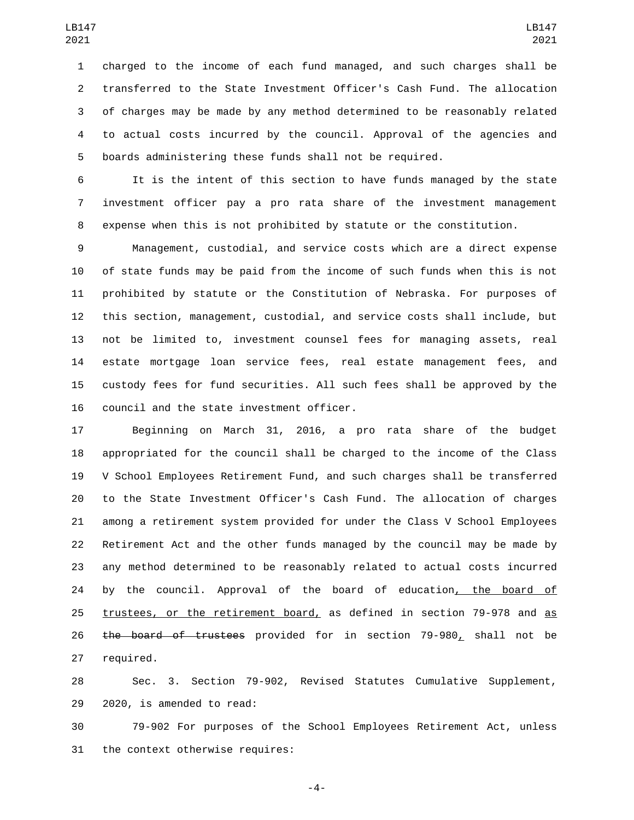charged to the income of each fund managed, and such charges shall be transferred to the State Investment Officer's Cash Fund. The allocation of charges may be made by any method determined to be reasonably related to actual costs incurred by the council. Approval of the agencies and boards administering these funds shall not be required.

 It is the intent of this section to have funds managed by the state investment officer pay a pro rata share of the investment management expense when this is not prohibited by statute or the constitution.

 Management, custodial, and service costs which are a direct expense of state funds may be paid from the income of such funds when this is not prohibited by statute or the Constitution of Nebraska. For purposes of this section, management, custodial, and service costs shall include, but not be limited to, investment counsel fees for managing assets, real estate mortgage loan service fees, real estate management fees, and custody fees for fund securities. All such fees shall be approved by the 16 council and the state investment officer.

 Beginning on March 31, 2016, a pro rata share of the budget appropriated for the council shall be charged to the income of the Class V School Employees Retirement Fund, and such charges shall be transferred to the State Investment Officer's Cash Fund. The allocation of charges among a retirement system provided for under the Class V School Employees Retirement Act and the other funds managed by the council may be made by any method determined to be reasonably related to actual costs incurred 24 by the council. Approval of the board of education, the board of trustees, or the retirement board, as defined in section 79-978 and as 26 the board of trustees provided for in section 79-980, shall not be 27 required.

 Sec. 3. Section 79-902, Revised Statutes Cumulative Supplement, 29 2020, is amended to read:

 79-902 For purposes of the School Employees Retirement Act, unless 31 the context otherwise requires:

-4-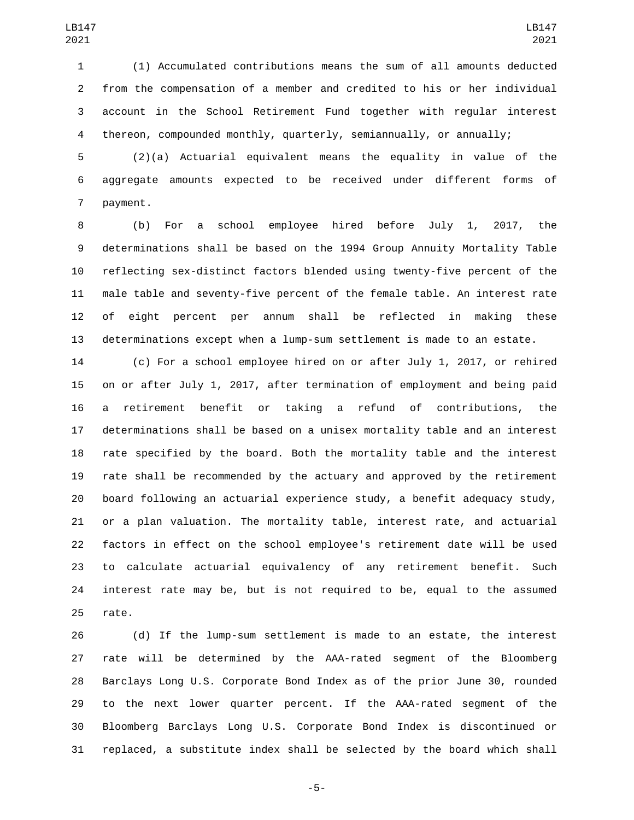(1) Accumulated contributions means the sum of all amounts deducted from the compensation of a member and credited to his or her individual account in the School Retirement Fund together with regular interest thereon, compounded monthly, quarterly, semiannually, or annually;

 (2)(a) Actuarial equivalent means the equality in value of the aggregate amounts expected to be received under different forms of 7 payment.

 (b) For a school employee hired before July 1, 2017, the determinations shall be based on the 1994 Group Annuity Mortality Table reflecting sex-distinct factors blended using twenty-five percent of the male table and seventy-five percent of the female table. An interest rate of eight percent per annum shall be reflected in making these determinations except when a lump-sum settlement is made to an estate.

 (c) For a school employee hired on or after July 1, 2017, or rehired on or after July 1, 2017, after termination of employment and being paid a retirement benefit or taking a refund of contributions, the determinations shall be based on a unisex mortality table and an interest rate specified by the board. Both the mortality table and the interest rate shall be recommended by the actuary and approved by the retirement board following an actuarial experience study, a benefit adequacy study, or a plan valuation. The mortality table, interest rate, and actuarial factors in effect on the school employee's retirement date will be used to calculate actuarial equivalency of any retirement benefit. Such interest rate may be, but is not required to be, equal to the assumed 25 rate.

 (d) If the lump-sum settlement is made to an estate, the interest rate will be determined by the AAA-rated segment of the Bloomberg Barclays Long U.S. Corporate Bond Index as of the prior June 30, rounded to the next lower quarter percent. If the AAA-rated segment of the Bloomberg Barclays Long U.S. Corporate Bond Index is discontinued or replaced, a substitute index shall be selected by the board which shall

-5-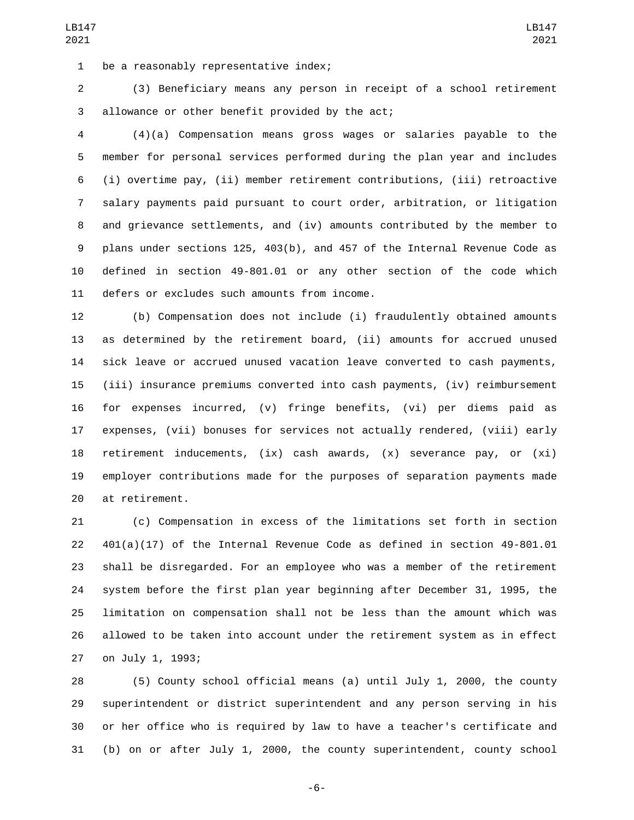1 be a reasonably representative index;

 (3) Beneficiary means any person in receipt of a school retirement 3 allowance or other benefit provided by the act;

 (4)(a) Compensation means gross wages or salaries payable to the member for personal services performed during the plan year and includes (i) overtime pay, (ii) member retirement contributions, (iii) retroactive salary payments paid pursuant to court order, arbitration, or litigation and grievance settlements, and (iv) amounts contributed by the member to plans under sections 125, 403(b), and 457 of the Internal Revenue Code as defined in section 49-801.01 or any other section of the code which 11 defers or excludes such amounts from income.

 (b) Compensation does not include (i) fraudulently obtained amounts as determined by the retirement board, (ii) amounts for accrued unused sick leave or accrued unused vacation leave converted to cash payments, (iii) insurance premiums converted into cash payments, (iv) reimbursement for expenses incurred, (v) fringe benefits, (vi) per diems paid as expenses, (vii) bonuses for services not actually rendered, (viii) early retirement inducements, (ix) cash awards, (x) severance pay, or (xi) employer contributions made for the purposes of separation payments made 20 at retirement.

 (c) Compensation in excess of the limitations set forth in section 401(a)(17) of the Internal Revenue Code as defined in section 49-801.01 shall be disregarded. For an employee who was a member of the retirement system before the first plan year beginning after December 31, 1995, the limitation on compensation shall not be less than the amount which was allowed to be taken into account under the retirement system as in effect 27 on July 1, 1993;

 (5) County school official means (a) until July 1, 2000, the county superintendent or district superintendent and any person serving in his or her office who is required by law to have a teacher's certificate and (b) on or after July 1, 2000, the county superintendent, county school

-6-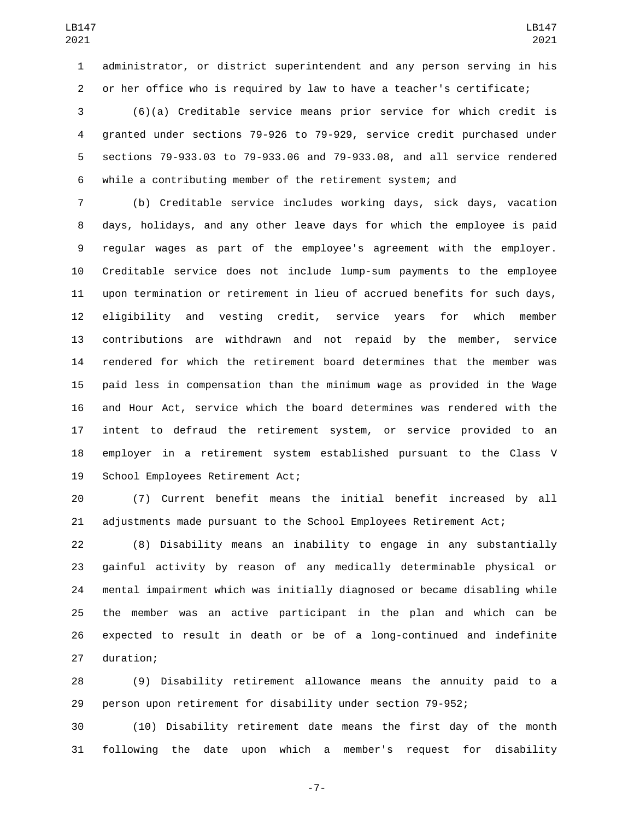administrator, or district superintendent and any person serving in his or her office who is required by law to have a teacher's certificate;

 (6)(a) Creditable service means prior service for which credit is granted under sections 79-926 to 79-929, service credit purchased under sections 79-933.03 to 79-933.06 and 79-933.08, and all service rendered while a contributing member of the retirement system; and

 (b) Creditable service includes working days, sick days, vacation days, holidays, and any other leave days for which the employee is paid regular wages as part of the employee's agreement with the employer. Creditable service does not include lump-sum payments to the employee upon termination or retirement in lieu of accrued benefits for such days, eligibility and vesting credit, service years for which member contributions are withdrawn and not repaid by the member, service rendered for which the retirement board determines that the member was paid less in compensation than the minimum wage as provided in the Wage and Hour Act, service which the board determines was rendered with the intent to defraud the retirement system, or service provided to an employer in a retirement system established pursuant to the Class V 19 School Employees Retirement Act;

 (7) Current benefit means the initial benefit increased by all adjustments made pursuant to the School Employees Retirement Act;

 (8) Disability means an inability to engage in any substantially gainful activity by reason of any medically determinable physical or mental impairment which was initially diagnosed or became disabling while the member was an active participant in the plan and which can be expected to result in death or be of a long-continued and indefinite 27 duration;

 (9) Disability retirement allowance means the annuity paid to a person upon retirement for disability under section 79-952;

 (10) Disability retirement date means the first day of the month following the date upon which a member's request for disability

-7-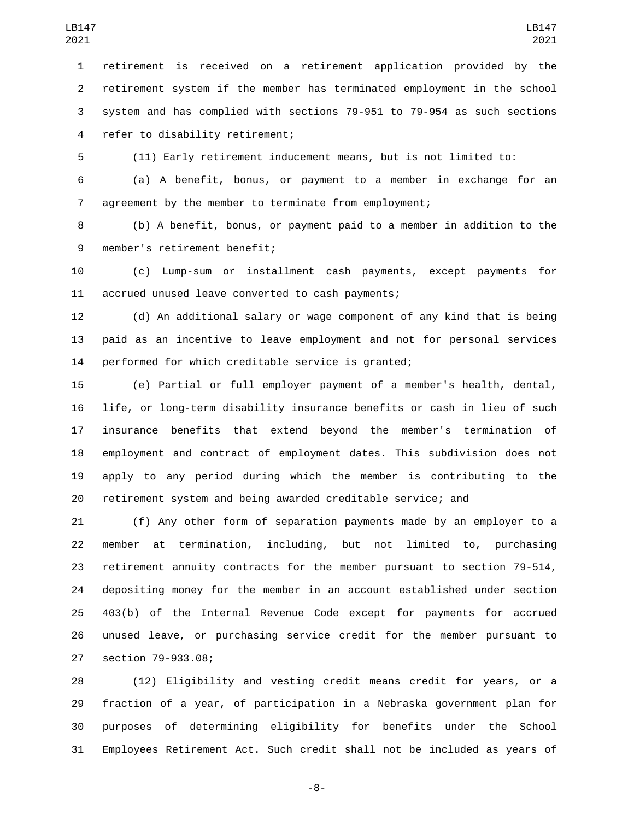retirement is received on a retirement application provided by the retirement system if the member has terminated employment in the school system and has complied with sections 79-951 to 79-954 as such sections 4 refer to disability retirement;

(11) Early retirement inducement means, but is not limited to:

 (a) A benefit, bonus, or payment to a member in exchange for an agreement by the member to terminate from employment;

 (b) A benefit, bonus, or payment paid to a member in addition to the 9 member's retirement benefit;

 (c) Lump-sum or installment cash payments, except payments for 11 accrued unused leave converted to cash payments;

 (d) An additional salary or wage component of any kind that is being paid as an incentive to leave employment and not for personal services performed for which creditable service is granted;

 (e) Partial or full employer payment of a member's health, dental, life, or long-term disability insurance benefits or cash in lieu of such insurance benefits that extend beyond the member's termination of employment and contract of employment dates. This subdivision does not apply to any period during which the member is contributing to the retirement system and being awarded creditable service; and

 (f) Any other form of separation payments made by an employer to a member at termination, including, but not limited to, purchasing retirement annuity contracts for the member pursuant to section 79-514, depositing money for the member in an account established under section 403(b) of the Internal Revenue Code except for payments for accrued unused leave, or purchasing service credit for the member pursuant to section 79-933.08;27

 (12) Eligibility and vesting credit means credit for years, or a fraction of a year, of participation in a Nebraska government plan for purposes of determining eligibility for benefits under the School Employees Retirement Act. Such credit shall not be included as years of

-8-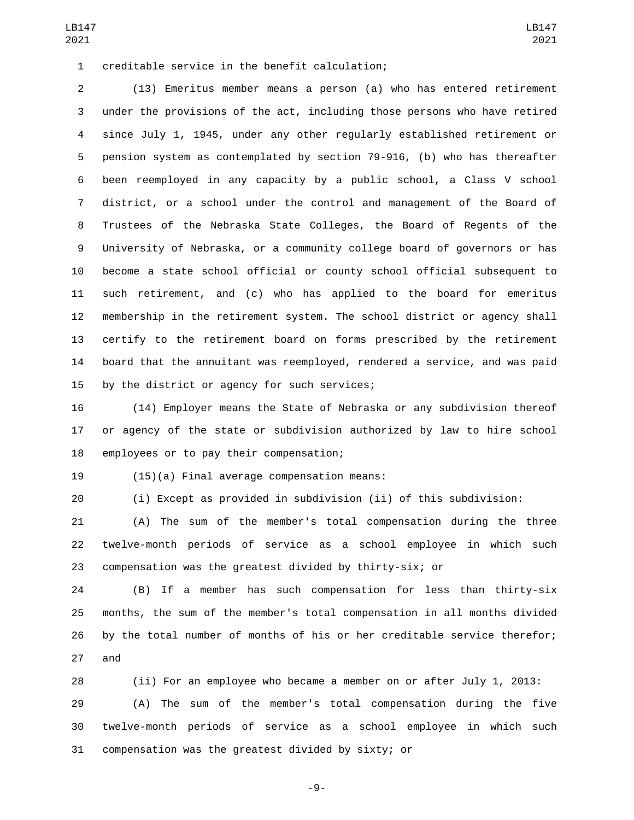creditable service in the benefit calculation;1

 (13) Emeritus member means a person (a) who has entered retirement under the provisions of the act, including those persons who have retired since July 1, 1945, under any other regularly established retirement or pension system as contemplated by section 79-916, (b) who has thereafter been reemployed in any capacity by a public school, a Class V school district, or a school under the control and management of the Board of Trustees of the Nebraska State Colleges, the Board of Regents of the University of Nebraska, or a community college board of governors or has become a state school official or county school official subsequent to such retirement, and (c) who has applied to the board for emeritus membership in the retirement system. The school district or agency shall certify to the retirement board on forms prescribed by the retirement board that the annuitant was reemployed, rendered a service, and was paid 15 by the district or agency for such services;

 (14) Employer means the State of Nebraska or any subdivision thereof or agency of the state or subdivision authorized by law to hire school 18 employees or to pay their compensation;

19 (15)(a) Final average compensation means:

(i) Except as provided in subdivision (ii) of this subdivision:

 (A) The sum of the member's total compensation during the three twelve-month periods of service as a school employee in which such compensation was the greatest divided by thirty-six; or

 (B) If a member has such compensation for less than thirty-six months, the sum of the member's total compensation in all months divided by the total number of months of his or her creditable service therefor; 27 and

 (ii) For an employee who became a member on or after July 1, 2013: (A) The sum of the member's total compensation during the five twelve-month periods of service as a school employee in which such compensation was the greatest divided by sixty; or

-9-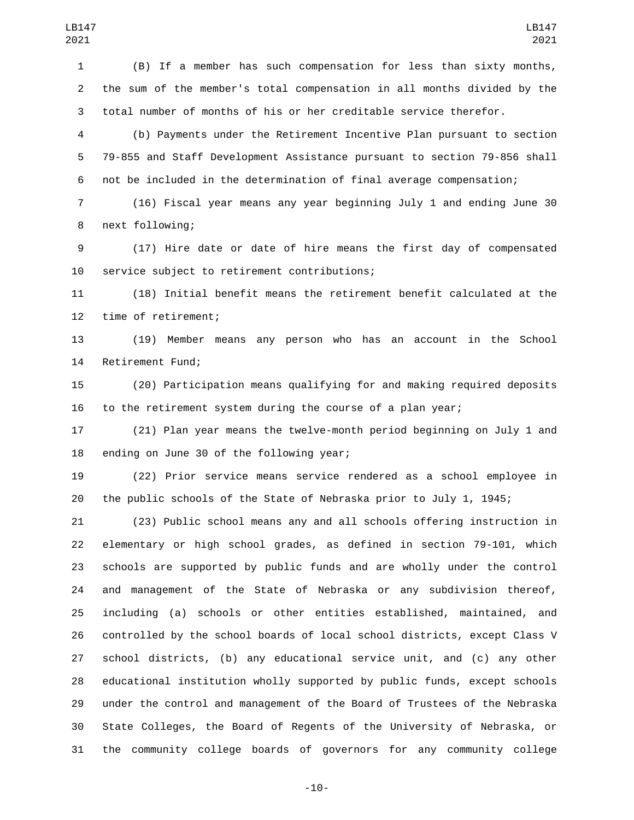(B) If a member has such compensation for less than sixty months, the sum of the member's total compensation in all months divided by the total number of months of his or her creditable service therefor.

 (b) Payments under the Retirement Incentive Plan pursuant to section 79-855 and Staff Development Assistance pursuant to section 79-856 shall not be included in the determination of final average compensation;

 (16) Fiscal year means any year beginning July 1 and ending June 30 8 next following;

 (17) Hire date or date of hire means the first day of compensated 10 service subject to retirement contributions;

 (18) Initial benefit means the retirement benefit calculated at the 12 time of retirement;

 (19) Member means any person who has an account in the School 14 Retirement Fund;

 (20) Participation means qualifying for and making required deposits to the retirement system during the course of a plan year;

 (21) Plan year means the twelve-month period beginning on July 1 and 18 ending on June 30 of the following year;

 (22) Prior service means service rendered as a school employee in the public schools of the State of Nebraska prior to July 1, 1945;

 (23) Public school means any and all schools offering instruction in elementary or high school grades, as defined in section 79-101, which schools are supported by public funds and are wholly under the control and management of the State of Nebraska or any subdivision thereof, including (a) schools or other entities established, maintained, and controlled by the school boards of local school districts, except Class V school districts, (b) any educational service unit, and (c) any other educational institution wholly supported by public funds, except schools under the control and management of the Board of Trustees of the Nebraska State Colleges, the Board of Regents of the University of Nebraska, or the community college boards of governors for any community college

-10-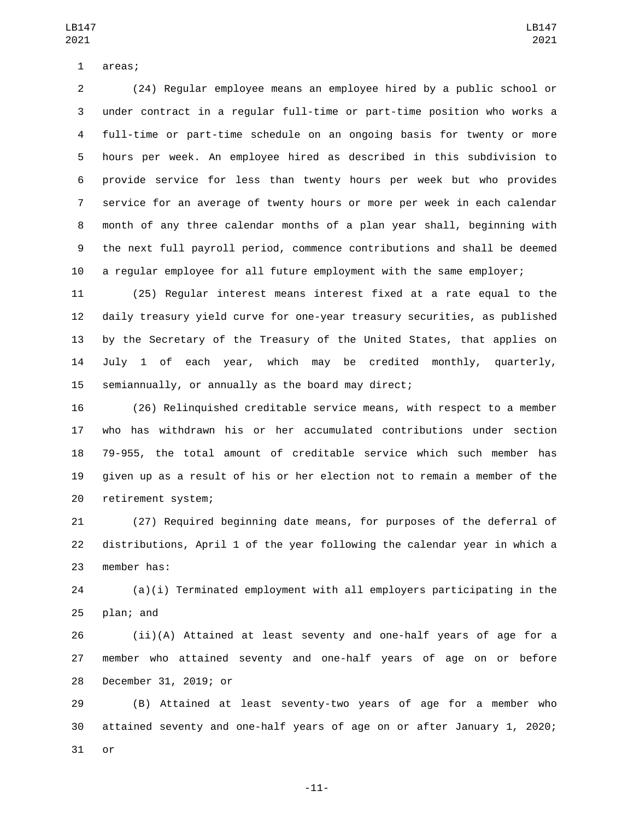1 areas;

 (24) Regular employee means an employee hired by a public school or under contract in a regular full-time or part-time position who works a full-time or part-time schedule on an ongoing basis for twenty or more hours per week. An employee hired as described in this subdivision to provide service for less than twenty hours per week but who provides service for an average of twenty hours or more per week in each calendar month of any three calendar months of a plan year shall, beginning with the next full payroll period, commence contributions and shall be deemed a regular employee for all future employment with the same employer;

 (25) Regular interest means interest fixed at a rate equal to the daily treasury yield curve for one-year treasury securities, as published by the Secretary of the Treasury of the United States, that applies on July 1 of each year, which may be credited monthly, quarterly, semiannually, or annually as the board may direct;

 (26) Relinquished creditable service means, with respect to a member who has withdrawn his or her accumulated contributions under section 79-955, the total amount of creditable service which such member has given up as a result of his or her election not to remain a member of the 20 retirement system;

 (27) Required beginning date means, for purposes of the deferral of distributions, April 1 of the year following the calendar year in which a 23 member has:

 (a)(i) Terminated employment with all employers participating in the plan; and

 (ii)(A) Attained at least seventy and one-half years of age for a member who attained seventy and one-half years of age on or before 28 December 31, 2019; or

 (B) Attained at least seventy-two years of age for a member who attained seventy and one-half years of age on or after January 1, 2020; or

-11-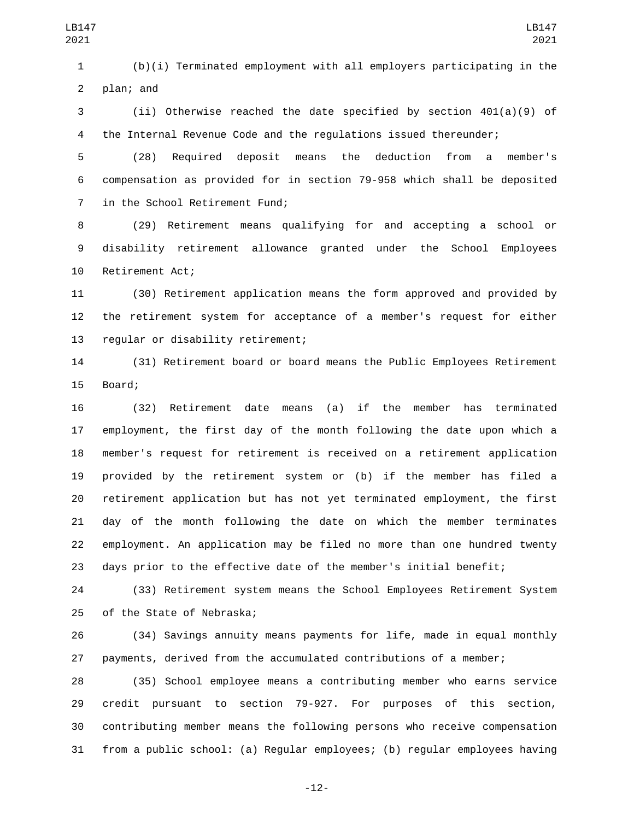plan; and

 (ii) Otherwise reached the date specified by section 401(a)(9) of the Internal Revenue Code and the regulations issued thereunder;

 (28) Required deposit means the deduction from a member's compensation as provided for in section 79-958 which shall be deposited 7 in the School Retirement Fund;

 (29) Retirement means qualifying for and accepting a school or disability retirement allowance granted under the School Employees 10 Retirement Act;

 (30) Retirement application means the form approved and provided by the retirement system for acceptance of a member's request for either 13 regular or disability retirement;

 (31) Retirement board or board means the Public Employees Retirement 15 Board;

 (32) Retirement date means (a) if the member has terminated employment, the first day of the month following the date upon which a member's request for retirement is received on a retirement application provided by the retirement system or (b) if the member has filed a retirement application but has not yet terminated employment, the first day of the month following the date on which the member terminates employment. An application may be filed no more than one hundred twenty days prior to the effective date of the member's initial benefit;

 (33) Retirement system means the School Employees Retirement System 25 of the State of Nebraska;

 (34) Savings annuity means payments for life, made in equal monthly payments, derived from the accumulated contributions of a member;

 (35) School employee means a contributing member who earns service credit pursuant to section 79-927. For purposes of this section, contributing member means the following persons who receive compensation from a public school: (a) Regular employees; (b) regular employees having

-12-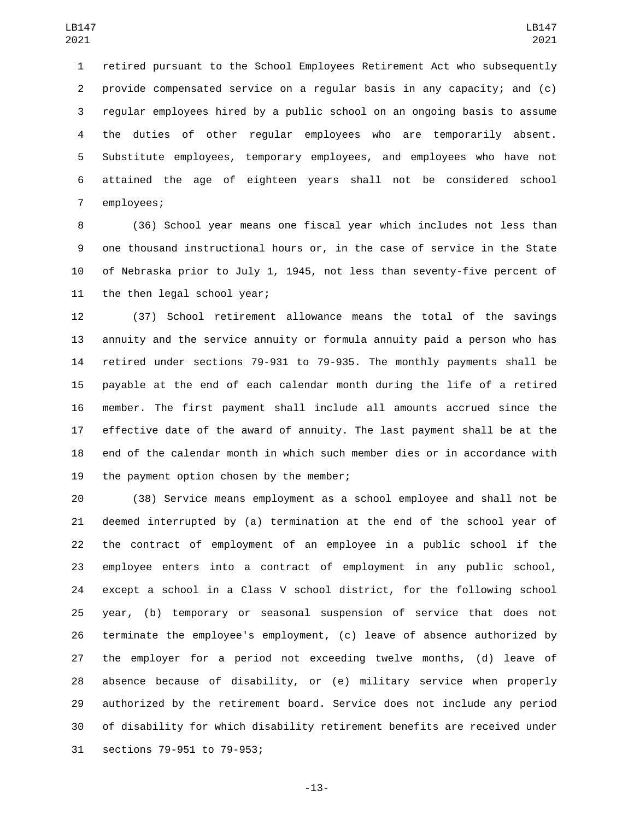retired pursuant to the School Employees Retirement Act who subsequently provide compensated service on a regular basis in any capacity; and (c) regular employees hired by a public school on an ongoing basis to assume the duties of other regular employees who are temporarily absent. Substitute employees, temporary employees, and employees who have not attained the age of eighteen years shall not be considered school 7 employees;

 (36) School year means one fiscal year which includes not less than one thousand instructional hours or, in the case of service in the State of Nebraska prior to July 1, 1945, not less than seventy-five percent of 11 the then legal school year;

 (37) School retirement allowance means the total of the savings annuity and the service annuity or formula annuity paid a person who has retired under sections 79-931 to 79-935. The monthly payments shall be payable at the end of each calendar month during the life of a retired member. The first payment shall include all amounts accrued since the effective date of the award of annuity. The last payment shall be at the end of the calendar month in which such member dies or in accordance with 19 the payment option chosen by the member;

 (38) Service means employment as a school employee and shall not be deemed interrupted by (a) termination at the end of the school year of the contract of employment of an employee in a public school if the employee enters into a contract of employment in any public school, except a school in a Class V school district, for the following school year, (b) temporary or seasonal suspension of service that does not terminate the employee's employment, (c) leave of absence authorized by the employer for a period not exceeding twelve months, (d) leave of absence because of disability, or (e) military service when properly authorized by the retirement board. Service does not include any period of disability for which disability retirement benefits are received under 31 sections 79-951 to 79-953;

-13-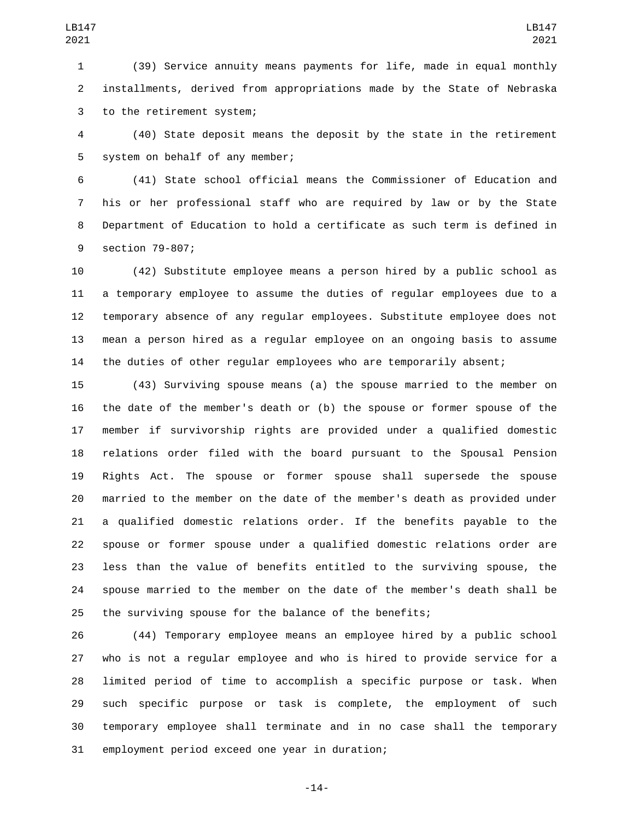(39) Service annuity means payments for life, made in equal monthly installments, derived from appropriations made by the State of Nebraska 3 to the retirement system;

 (40) State deposit means the deposit by the state in the retirement 5 system on behalf of any member;

 (41) State school official means the Commissioner of Education and his or her professional staff who are required by law or by the State Department of Education to hold a certificate as such term is defined in 9 section 79-807;

 (42) Substitute employee means a person hired by a public school as a temporary employee to assume the duties of regular employees due to a temporary absence of any regular employees. Substitute employee does not mean a person hired as a regular employee on an ongoing basis to assume the duties of other regular employees who are temporarily absent;

 (43) Surviving spouse means (a) the spouse married to the member on the date of the member's death or (b) the spouse or former spouse of the member if survivorship rights are provided under a qualified domestic relations order filed with the board pursuant to the Spousal Pension Rights Act. The spouse or former spouse shall supersede the spouse married to the member on the date of the member's death as provided under a qualified domestic relations order. If the benefits payable to the spouse or former spouse under a qualified domestic relations order are less than the value of benefits entitled to the surviving spouse, the spouse married to the member on the date of the member's death shall be the surviving spouse for the balance of the benefits;

 (44) Temporary employee means an employee hired by a public school who is not a regular employee and who is hired to provide service for a limited period of time to accomplish a specific purpose or task. When such specific purpose or task is complete, the employment of such temporary employee shall terminate and in no case shall the temporary 31 employment period exceed one year in duration;

-14-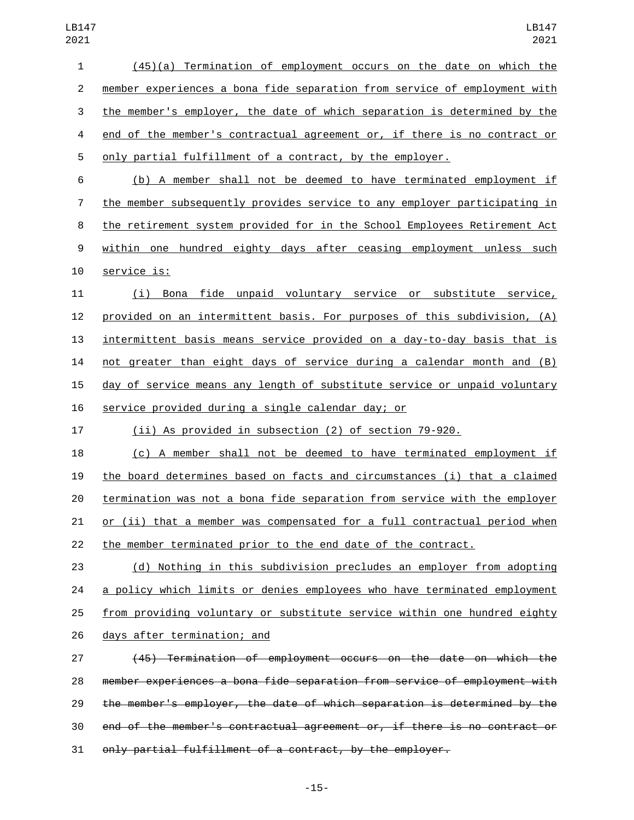(45)(a) Termination of employment occurs on the date on which the member experiences a bona fide separation from service of employment with the member's employer, the date of which separation is determined by the 4 end of the member's contractual agreement or, if there is no contract or only partial fulfillment of a contract, by the employer.

 (b) A member shall not be deemed to have terminated employment if the member subsequently provides service to any employer participating in the retirement system provided for in the School Employees Retirement Act within one hundred eighty days after ceasing employment unless such 10 service is:

 (i) Bona fide unpaid voluntary service or substitute service, provided on an intermittent basis. For purposes of this subdivision, (A) intermittent basis means service provided on a day-to-day basis that is not greater than eight days of service during a calendar month and (B) day of service means any length of substitute service or unpaid voluntary 16 service provided during a single calendar day; or

(ii) As provided in subsection (2) of section 79-920.

 (c) A member shall not be deemed to have terminated employment if the board determines based on facts and circumstances (i) that a claimed termination was not a bona fide separation from service with the employer or (ii) that a member was compensated for a full contractual period when the member terminated prior to the end date of the contract.

 (d) Nothing in this subdivision precludes an employer from adopting a policy which limits or denies employees who have terminated employment from providing voluntary or substitute service within one hundred eighty 26 days after termination; and

 (45) Termination of employment occurs on the date on which the member experiences a bona fide separation from service of employment with the member's employer, the date of which separation is determined by the end of the member's contractual agreement or, if there is no contract or only partial fulfillment of a contract, by the employer.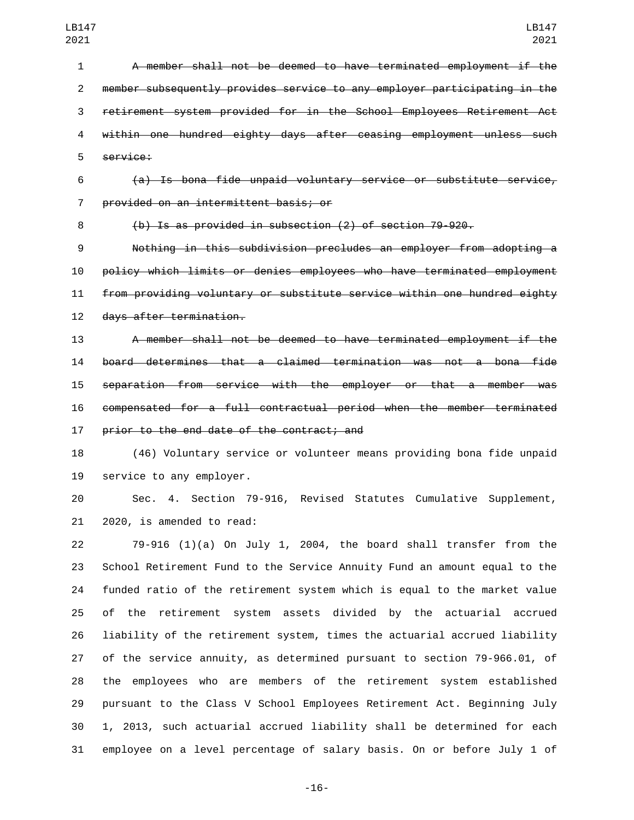A member shall not be deemed to have terminated employment if the member subsequently provides service to any employer participating in the retirement system provided for in the School Employees Retirement Act within one hundred eighty days after ceasing employment unless such 5 service:

 (a) Is bona fide unpaid voluntary service or substitute service, provided on an intermittent basis; or7

(b) Is as provided in subsection (2) of section 79-920.

 Nothing in this subdivision precludes an employer from adopting a policy which limits or denies employees who have terminated employment from providing voluntary or substitute service within one hundred eighty 12 days after termination.

 A member shall not be deemed to have terminated employment if the board determines that a claimed termination was not a bona fide separation from service with the employer or that a member was compensated for a full contractual period when the member terminated 17 prior to the end date of the contract; and

 (46) Voluntary service or volunteer means providing bona fide unpaid 19 service to any employer.

 Sec. 4. Section 79-916, Revised Statutes Cumulative Supplement, 21 2020, is amended to read:

 79-916 (1)(a) On July 1, 2004, the board shall transfer from the School Retirement Fund to the Service Annuity Fund an amount equal to the funded ratio of the retirement system which is equal to the market value of the retirement system assets divided by the actuarial accrued liability of the retirement system, times the actuarial accrued liability of the service annuity, as determined pursuant to section 79-966.01, of the employees who are members of the retirement system established pursuant to the Class V School Employees Retirement Act. Beginning July 1, 2013, such actuarial accrued liability shall be determined for each employee on a level percentage of salary basis. On or before July 1 of

-16-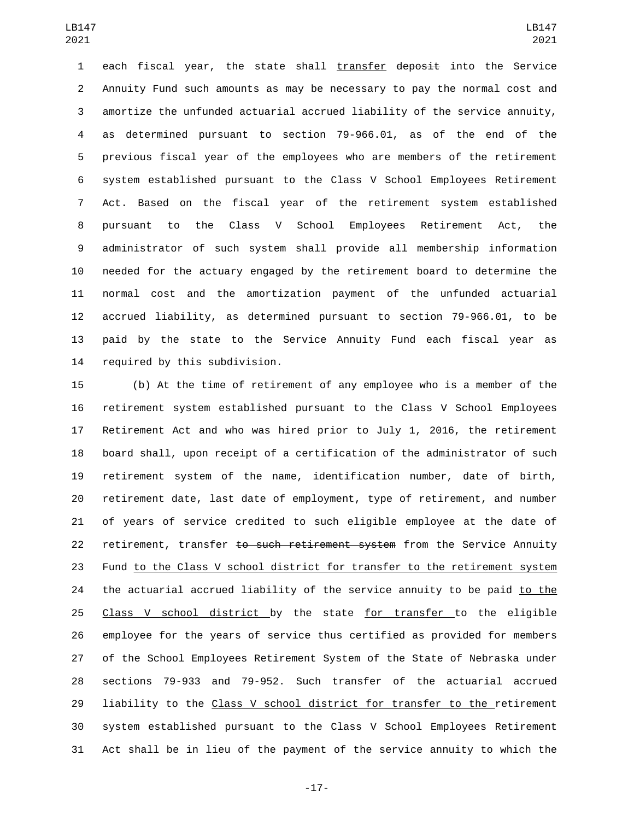each fiscal year, the state shall transfer deposit into the Service Annuity Fund such amounts as may be necessary to pay the normal cost and amortize the unfunded actuarial accrued liability of the service annuity, as determined pursuant to section 79-966.01, as of the end of the previous fiscal year of the employees who are members of the retirement system established pursuant to the Class V School Employees Retirement Act. Based on the fiscal year of the retirement system established pursuant to the Class V School Employees Retirement Act, the administrator of such system shall provide all membership information needed for the actuary engaged by the retirement board to determine the normal cost and the amortization payment of the unfunded actuarial accrued liability, as determined pursuant to section 79-966.01, to be paid by the state to the Service Annuity Fund each fiscal year as 14 required by this subdivision.

 (b) At the time of retirement of any employee who is a member of the retirement system established pursuant to the Class V School Employees Retirement Act and who was hired prior to July 1, 2016, the retirement board shall, upon receipt of a certification of the administrator of such retirement system of the name, identification number, date of birth, retirement date, last date of employment, type of retirement, and number of years of service credited to such eligible employee at the date of 22 retirement, transfer to such retirement system from the Service Annuity Fund to the Class V school district for transfer to the retirement system 24 the actuarial accrued liability of the service annuity to be paid to the Class V school district by the state for transfer to the eligible employee for the years of service thus certified as provided for members of the School Employees Retirement System of the State of Nebraska under sections 79-933 and 79-952. Such transfer of the actuarial accrued 29 liability to the Class V school district for transfer to the retirement system established pursuant to the Class V School Employees Retirement Act shall be in lieu of the payment of the service annuity to which the

-17-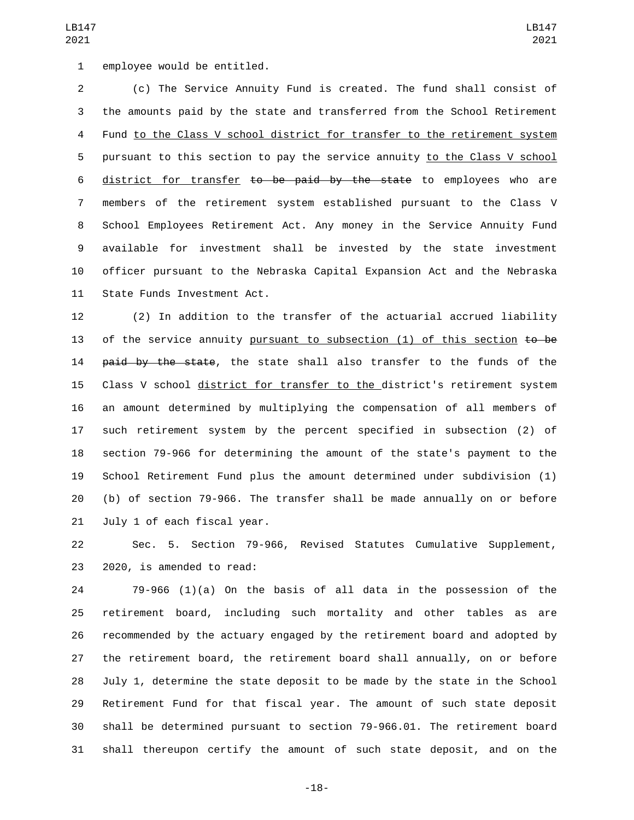1 employee would be entitled.

 (c) The Service Annuity Fund is created. The fund shall consist of the amounts paid by the state and transferred from the School Retirement Fund to the Class V school district for transfer to the retirement system pursuant to this section to pay the service annuity to the Class V school 6 district for transfer to be paid by the state to employees who are members of the retirement system established pursuant to the Class V School Employees Retirement Act. Any money in the Service Annuity Fund available for investment shall be invested by the state investment officer pursuant to the Nebraska Capital Expansion Act and the Nebraska 11 State Funds Investment Act.

 (2) In addition to the transfer of the actuarial accrued liability 13 of the service annuity pursuant to subsection  $(1)$  of this section  $t\mathbf{o}$  be 14 paid by the state, the state shall also transfer to the funds of the Class V school district for transfer to the district's retirement system an amount determined by multiplying the compensation of all members of such retirement system by the percent specified in subsection (2) of section 79-966 for determining the amount of the state's payment to the School Retirement Fund plus the amount determined under subdivision (1) (b) of section 79-966. The transfer shall be made annually on or before 21 July 1 of each fiscal year.

 Sec. 5. Section 79-966, Revised Statutes Cumulative Supplement, 23 2020, is amended to read:

 79-966 (1)(a) On the basis of all data in the possession of the retirement board, including such mortality and other tables as are recommended by the actuary engaged by the retirement board and adopted by the retirement board, the retirement board shall annually, on or before July 1, determine the state deposit to be made by the state in the School Retirement Fund for that fiscal year. The amount of such state deposit shall be determined pursuant to section 79-966.01. The retirement board shall thereupon certify the amount of such state deposit, and on the

-18-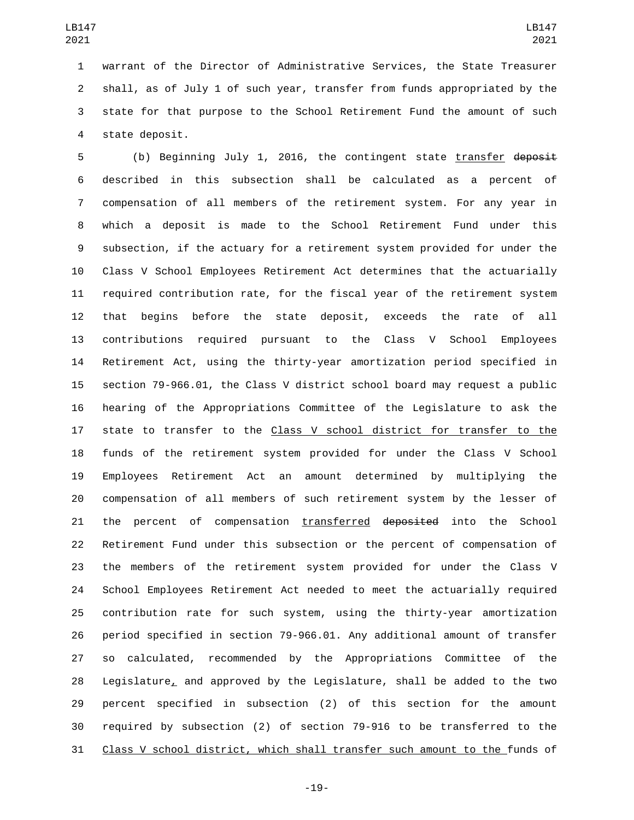warrant of the Director of Administrative Services, the State Treasurer shall, as of July 1 of such year, transfer from funds appropriated by the state for that purpose to the School Retirement Fund the amount of such 4 state deposit.

 (b) Beginning July 1, 2016, the contingent state transfer deposit described in this subsection shall be calculated as a percent of compensation of all members of the retirement system. For any year in which a deposit is made to the School Retirement Fund under this subsection, if the actuary for a retirement system provided for under the Class V School Employees Retirement Act determines that the actuarially required contribution rate, for the fiscal year of the retirement system that begins before the state deposit, exceeds the rate of all contributions required pursuant to the Class V School Employees Retirement Act, using the thirty-year amortization period specified in section 79-966.01, the Class V district school board may request a public hearing of the Appropriations Committee of the Legislature to ask the state to transfer to the Class V school district for transfer to the funds of the retirement system provided for under the Class V School Employees Retirement Act an amount determined by multiplying the compensation of all members of such retirement system by the lesser of 21 the percent of compensation transferred deposited into the School Retirement Fund under this subsection or the percent of compensation of the members of the retirement system provided for under the Class V School Employees Retirement Act needed to meet the actuarially required contribution rate for such system, using the thirty-year amortization period specified in section 79-966.01. Any additional amount of transfer so calculated, recommended by the Appropriations Committee of the Legislature, and approved by the Legislature, shall be added to the two percent specified in subsection (2) of this section for the amount required by subsection (2) of section 79-916 to be transferred to the Class V school district, which shall transfer such amount to the funds of

-19-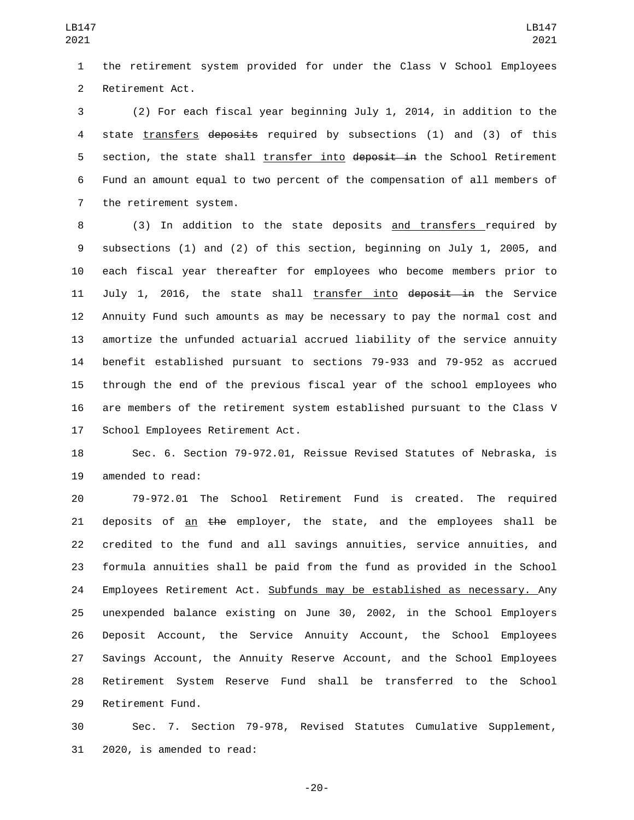the retirement system provided for under the Class V School Employees 2 Retirement Act.

 (2) For each fiscal year beginning July 1, 2014, in addition to the 4 state transfers deposits required by subsections (1) and (3) of this 5 section, the state shall transfer into deposit in the School Retirement Fund an amount equal to two percent of the compensation of all members of 7 the retirement system.

8 (3) In addition to the state deposits and transfers required by subsections (1) and (2) of this section, beginning on July 1, 2005, and each fiscal year thereafter for employees who become members prior to 11 July 1, 2016, the state shall transfer into deposit in the Service Annuity Fund such amounts as may be necessary to pay the normal cost and amortize the unfunded actuarial accrued liability of the service annuity benefit established pursuant to sections 79-933 and 79-952 as accrued through the end of the previous fiscal year of the school employees who are members of the retirement system established pursuant to the Class V 17 School Employees Retirement Act.

 Sec. 6. Section 79-972.01, Reissue Revised Statutes of Nebraska, is 19 amended to read:

 79-972.01 The School Retirement Fund is created. The required 21 deposits of an the employer, the state, and the employees shall be credited to the fund and all savings annuities, service annuities, and formula annuities shall be paid from the fund as provided in the School Employees Retirement Act. Subfunds may be established as necessary. Any unexpended balance existing on June 30, 2002, in the School Employers Deposit Account, the Service Annuity Account, the School Employees Savings Account, the Annuity Reserve Account, and the School Employees Retirement System Reserve Fund shall be transferred to the School 29 Retirement Fund.

 Sec. 7. Section 79-978, Revised Statutes Cumulative Supplement, 31 2020, is amended to read:

-20-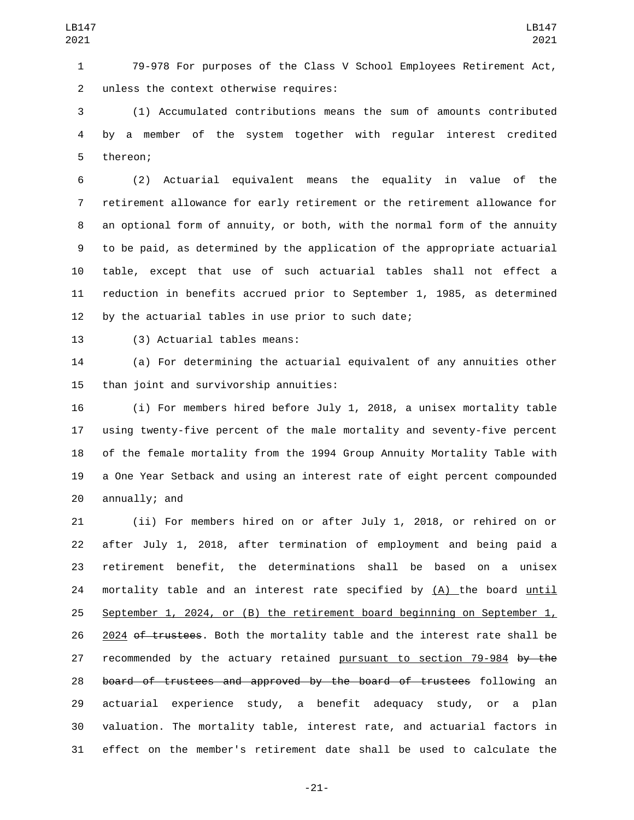79-978 For purposes of the Class V School Employees Retirement Act, 2 unless the context otherwise requires:

 (1) Accumulated contributions means the sum of amounts contributed by a member of the system together with regular interest credited 5 thereon;

 (2) Actuarial equivalent means the equality in value of the retirement allowance for early retirement or the retirement allowance for an optional form of annuity, or both, with the normal form of the annuity to be paid, as determined by the application of the appropriate actuarial table, except that use of such actuarial tables shall not effect a reduction in benefits accrued prior to September 1, 1985, as determined by the actuarial tables in use prior to such date;

13 (3) Actuarial tables means:

 (a) For determining the actuarial equivalent of any annuities other 15 than joint and survivorship annuities:

 (i) For members hired before July 1, 2018, a unisex mortality table using twenty-five percent of the male mortality and seventy-five percent of the female mortality from the 1994 Group Annuity Mortality Table with a One Year Setback and using an interest rate of eight percent compounded annually; and

 (ii) For members hired on or after July 1, 2018, or rehired on or after July 1, 2018, after termination of employment and being paid a retirement benefit, the determinations shall be based on a unisex 24 mortality table and an interest rate specified by (A) the board until 25 September 1, 2024, or (B) the retirement board beginning on September  $1<sub>L</sub>$ 26 2024 of trustees. Both the mortality table and the interest rate shall be 27 recommended by the actuary retained pursuant to section 79-984 by the board of trustees and approved by the board of trustees following an actuarial experience study, a benefit adequacy study, or a plan valuation. The mortality table, interest rate, and actuarial factors in effect on the member's retirement date shall be used to calculate the

-21-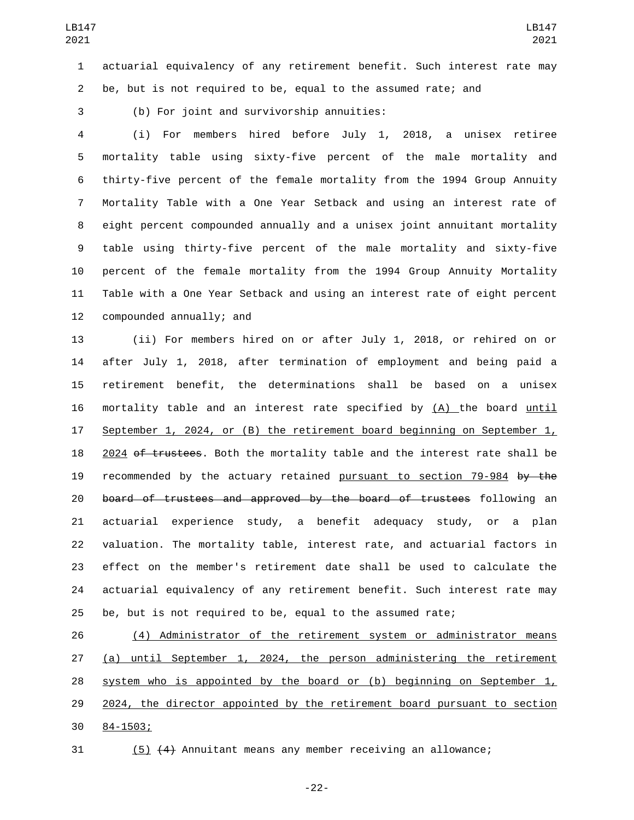actuarial equivalency of any retirement benefit. Such interest rate may be, but is not required to be, equal to the assumed rate; and

3 (b) For joint and survivorship annuities:

 (i) For members hired before July 1, 2018, a unisex retiree mortality table using sixty-five percent of the male mortality and thirty-five percent of the female mortality from the 1994 Group Annuity Mortality Table with a One Year Setback and using an interest rate of eight percent compounded annually and a unisex joint annuitant mortality table using thirty-five percent of the male mortality and sixty-five percent of the female mortality from the 1994 Group Annuity Mortality Table with a One Year Setback and using an interest rate of eight percent 12 compounded annually; and

 (ii) For members hired on or after July 1, 2018, or rehired on or after July 1, 2018, after termination of employment and being paid a retirement benefit, the determinations shall be based on a unisex mortality table and an interest rate specified by (A) the board until September 1, 2024, or (B) the retirement board beginning on September 1, 18 2024 of trustees. Both the mortality table and the interest rate shall be recommended by the actuary retained pursuant to section 79-984 by the board of trustees and approved by the board of trustees following an actuarial experience study, a benefit adequacy study, or a plan valuation. The mortality table, interest rate, and actuarial factors in effect on the member's retirement date shall be used to calculate the actuarial equivalency of any retirement benefit. Such interest rate may be, but is not required to be, equal to the assumed rate;

 (4) Administrator of the retirement system or administrator means (a) until September 1, 2024, the person administering the retirement 28 system who is appointed by the board or (b) beginning on September  $1<sub>L</sub>$  2024, the director appointed by the retirement board pursuant to section 30 84-1503;

(5) (4) Annuitant means any member receiving an allowance;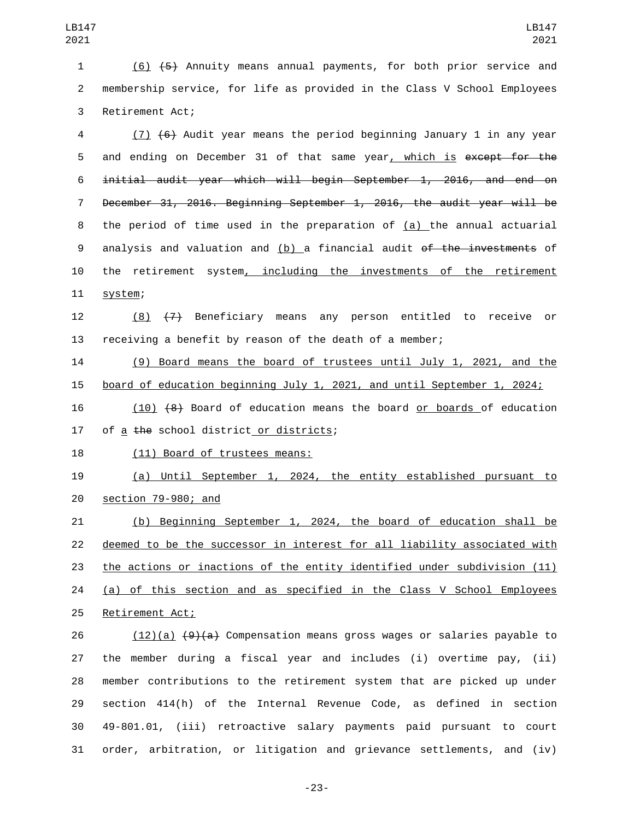(6) (5) Annuity means annual payments, for both prior service and membership service, for life as provided in the Class V School Employees 3 Retirement Act;

 (7) (6) Audit year means the period beginning January 1 in any year 5 and ending on December 31 of that same year, which is except for the initial audit year which will begin September 1, 2016, and end on December 31, 2016. Beginning September 1, 2016, the audit year will be the period of time used in the preparation of (a) the annual actuarial analysis and valuation and (b) a financial audit of the investments of the retirement system, including the investments of the retirement 11 system;

 (8) (7) Beneficiary means any person entitled to receive or receiving a benefit by reason of the death of a member;

 (9) Board means the board of trustees until July 1, 2021, and the board of education beginning July 1, 2021, and until September 1, 2024;

 (10) (8) Board of education means the board or boards of education 17 of a  $the$  school district or districts;

18 (11) Board of trustees means:

 (a) Until September 1, 2024, the entity established pursuant to 20 section 79-980; and

 (b) Beginning September 1, 2024, the board of education shall be deemed to be the successor in interest for all liability associated with the actions or inactions of the entity identified under subdivision (11) (a) of this section and as specified in the Class V School Employees 25 Retirement Act;

26 (12)(a)  $\left(9\right)\left(4\right)$  Compensation means gross wages or salaries payable to the member during a fiscal year and includes (i) overtime pay, (ii) member contributions to the retirement system that are picked up under section 414(h) of the Internal Revenue Code, as defined in section 49-801.01, (iii) retroactive salary payments paid pursuant to court order, arbitration, or litigation and grievance settlements, and (iv)

-23-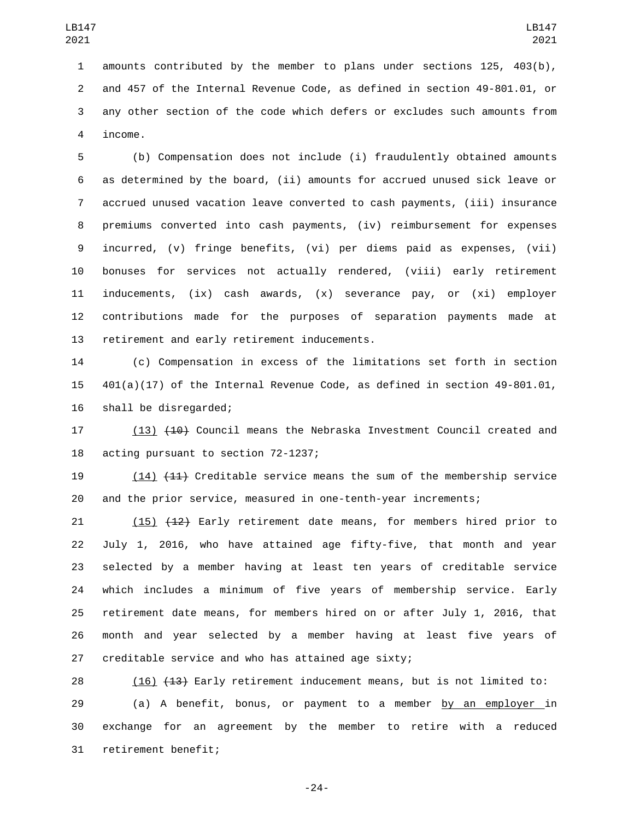amounts contributed by the member to plans under sections 125, 403(b), and 457 of the Internal Revenue Code, as defined in section 49-801.01, or any other section of the code which defers or excludes such amounts from 4 income.

 (b) Compensation does not include (i) fraudulently obtained amounts as determined by the board, (ii) amounts for accrued unused sick leave or accrued unused vacation leave converted to cash payments, (iii) insurance premiums converted into cash payments, (iv) reimbursement for expenses incurred, (v) fringe benefits, (vi) per diems paid as expenses, (vii) bonuses for services not actually rendered, (viii) early retirement inducements, (ix) cash awards, (x) severance pay, or (xi) employer contributions made for the purposes of separation payments made at 13 retirement and early retirement inducements.

 (c) Compensation in excess of the limitations set forth in section 401(a)(17) of the Internal Revenue Code, as defined in section 49-801.01, 16 shall be disregarded;

17 (13) (10) Council means the Nebraska Investment Council created and 18 acting pursuant to section 72-1237;

 (14) (11) Creditable service means the sum of the membership service and the prior service, measured in one-tenth-year increments;

 (15) (12) Early retirement date means, for members hired prior to July 1, 2016, who have attained age fifty-five, that month and year selected by a member having at least ten years of creditable service which includes a minimum of five years of membership service. Early retirement date means, for members hired on or after July 1, 2016, that month and year selected by a member having at least five years of creditable service and who has attained age sixty;

28 (16) (13) Early retirement inducement means, but is not limited to: 29 (a) A benefit, bonus, or payment to a member by an employer in exchange for an agreement by the member to retire with a reduced 31 retirement benefit;

-24-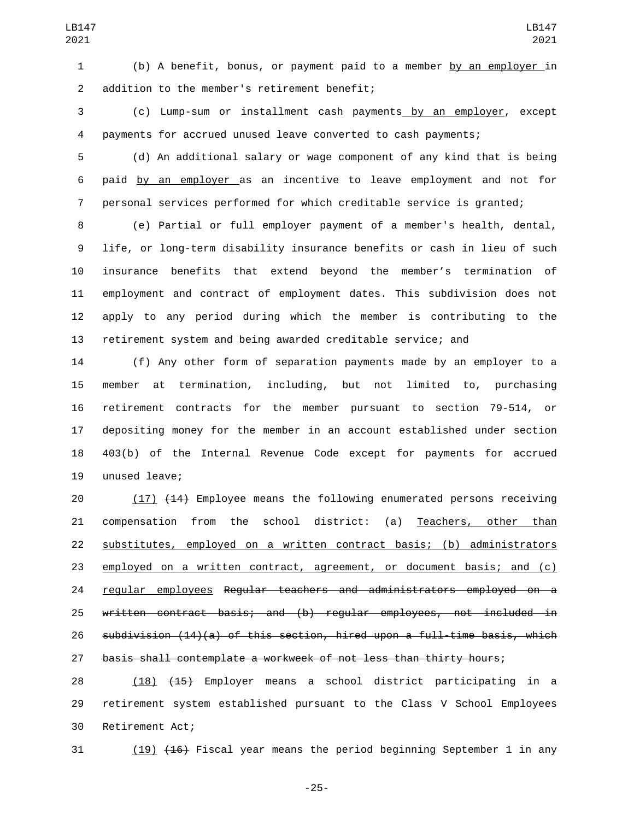(b) A benefit, bonus, or payment paid to a member by an employer in 2 addition to the member's retirement benefit;

 (c) Lump-sum or installment cash payments by an employer, except payments for accrued unused leave converted to cash payments;

 (d) An additional salary or wage component of any kind that is being paid by an employer as an incentive to leave employment and not for personal services performed for which creditable service is granted;

 (e) Partial or full employer payment of a member's health, dental, life, or long-term disability insurance benefits or cash in lieu of such insurance benefits that extend beyond the member's termination of employment and contract of employment dates. This subdivision does not apply to any period during which the member is contributing to the retirement system and being awarded creditable service; and

 (f) Any other form of separation payments made by an employer to a member at termination, including, but not limited to, purchasing retirement contracts for the member pursuant to section 79-514, or depositing money for the member in an account established under section 403(b) of the Internal Revenue Code except for payments for accrued 19 unused leave;

 (17) (14) Employee means the following enumerated persons receiving compensation from the school district: (a) Teachers, other than substitutes, employed on a written contract basis; (b) administrators employed on a written contract, agreement, or document basis; and (c) regular employees Regular teachers and administrators employed on a written contract basis; and (b) regular employees, not included in 26 subdivision  $(14)(a)$  of this section, hired upon a full-time basis, which basis shall contemplate a workweek of not less than thirty hours;

 (18) (15) Employer means a school district participating in a retirement system established pursuant to the Class V School Employees 30 Retirement Act;

(19) (16) Fiscal year means the period beginning September 1 in any

-25-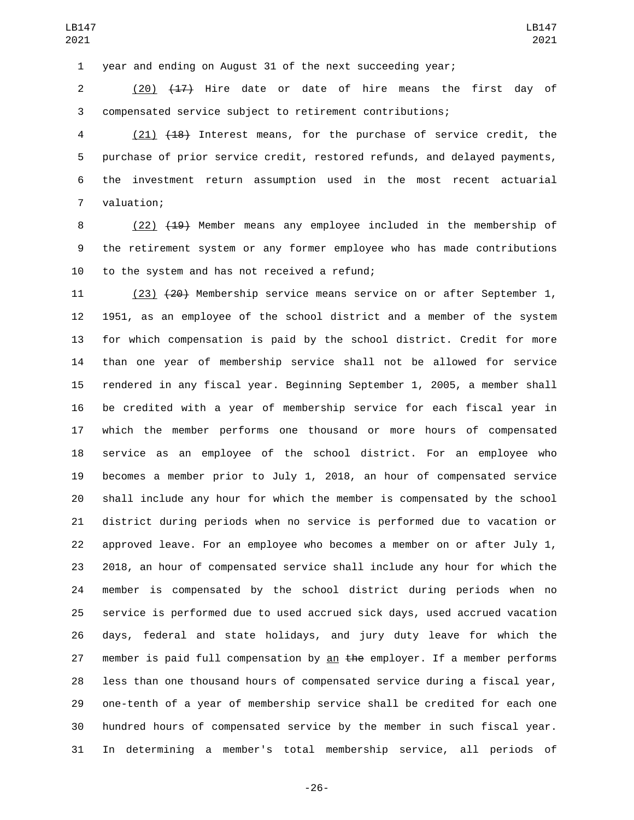year and ending on August 31 of the next succeeding year;

 (20) (17) Hire date or date of hire means the first day of compensated service subject to retirement contributions;

 (21) (18) Interest means, for the purchase of service credit, the purchase of prior service credit, restored refunds, and delayed payments, the investment return assumption used in the most recent actuarial 7 valuation;

8 (22) <del>(19)</del> Member means any employee included in the membership of the retirement system or any former employee who has made contributions 10 to the system and has not received a refund;

 (23) (20) Membership service means service on or after September 1, 1951, as an employee of the school district and a member of the system for which compensation is paid by the school district. Credit for more than one year of membership service shall not be allowed for service rendered in any fiscal year. Beginning September 1, 2005, a member shall be credited with a year of membership service for each fiscal year in which the member performs one thousand or more hours of compensated service as an employee of the school district. For an employee who becomes a member prior to July 1, 2018, an hour of compensated service shall include any hour for which the member is compensated by the school district during periods when no service is performed due to vacation or approved leave. For an employee who becomes a member on or after July 1, 2018, an hour of compensated service shall include any hour for which the member is compensated by the school district during periods when no service is performed due to used accrued sick days, used accrued vacation days, federal and state holidays, and jury duty leave for which the 27 member is paid full compensation by an the employer. If a member performs less than one thousand hours of compensated service during a fiscal year, one-tenth of a year of membership service shall be credited for each one hundred hours of compensated service by the member in such fiscal year. In determining a member's total membership service, all periods of

-26-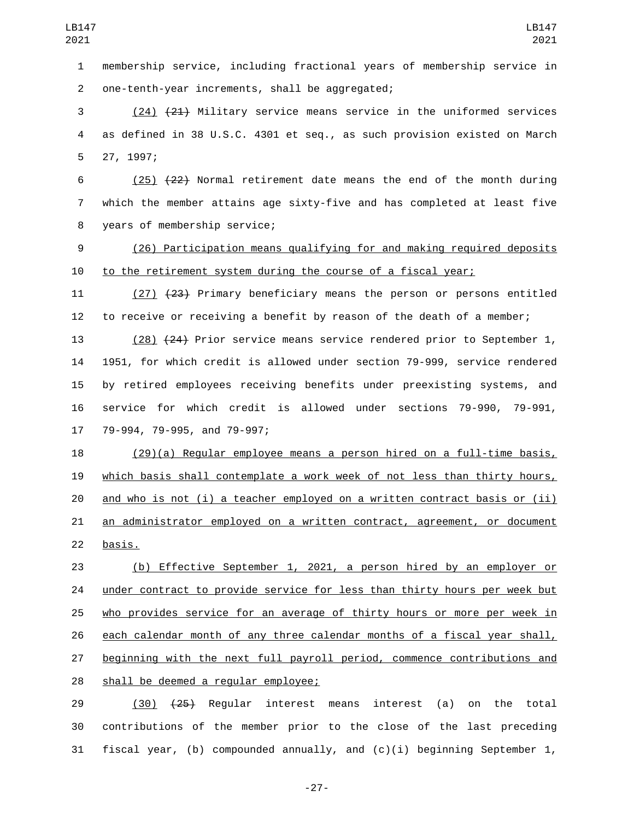membership service, including fractional years of membership service in one-tenth-year increments, shall be aggregated;2

 (24) (21) Military service means service in the uniformed services as defined in 38 U.S.C. 4301 et seq., as such provision existed on March 5 27, 1997;

6 (25)  $\{22\}$  Normal retirement date means the end of the month during which the member attains age sixty-five and has completed at least five 8 years of membership service;

 (26) Participation means qualifying for and making required deposits to the retirement system during the course of a fiscal year;

11 (27) (23) Primary beneficiary means the person or persons entitled to receive or receiving a benefit by reason of the death of a member;

 (28) (24) Prior service means service rendered prior to September 1, 1951, for which credit is allowed under section 79-999, service rendered by retired employees receiving benefits under preexisting systems, and service for which credit is allowed under sections 79-990, 79-991, 17 79-994, 79-995, and 79-997;

 (29)(a) Regular employee means a person hired on a full-time basis, which basis shall contemplate a work week of not less than thirty hours, and who is not (i) a teacher employed on a written contract basis or (ii) an administrator employed on a written contract, agreement, or document 22 basis.

 (b) Effective September 1, 2021, a person hired by an employer or under contract to provide service for less than thirty hours per week but who provides service for an average of thirty hours or more per week in each calendar month of any three calendar months of a fiscal year shall, beginning with the next full payroll period, commence contributions and 28 shall be deemed a regular employee;

 (30) (25) Regular interest means interest (a) on the total contributions of the member prior to the close of the last preceding 31 fiscal year, (b) compounded annually, and  $(c)(i)$  beginning September 1,

-27-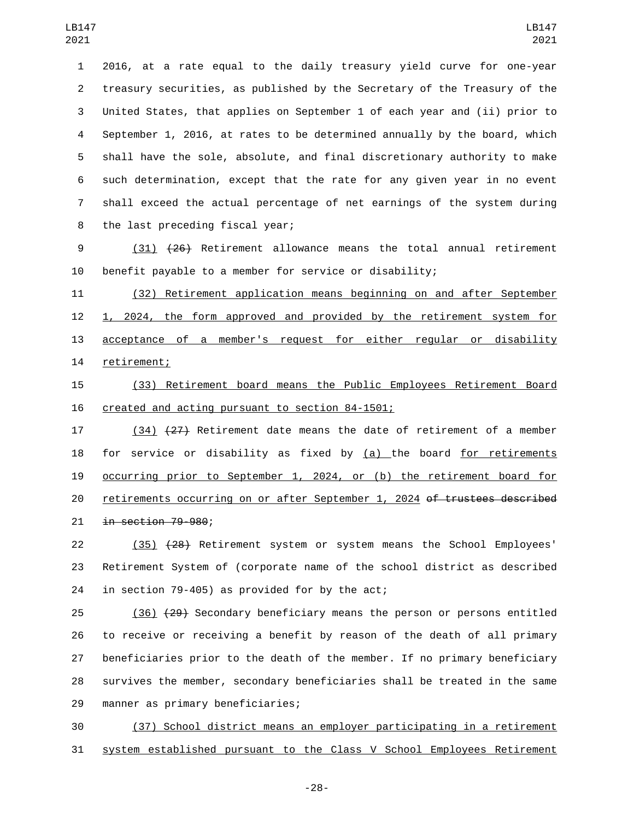2016, at a rate equal to the daily treasury yield curve for one-year treasury securities, as published by the Secretary of the Treasury of the United States, that applies on September 1 of each year and (ii) prior to September 1, 2016, at rates to be determined annually by the board, which shall have the sole, absolute, and final discretionary authority to make such determination, except that the rate for any given year in no event shall exceed the actual percentage of net earnings of the system during 8 the last preceding fiscal year;

 (31) (26) Retirement allowance means the total annual retirement benefit payable to a member for service or disability;

 (32) Retirement application means beginning on and after September 1, 2024, the form approved and provided by the retirement system for acceptance of a member's request for either regular or disability 14 retirement;

 (33) Retirement board means the Public Employees Retirement Board 16 created and acting pursuant to section 84-1501;

 (34) (27) Retirement date means the date of retirement of a member for service or disability as fixed by (a) the board for retirements occurring prior to September 1, 2024, or (b) the retirement board for 20 retirements occurring on or after September 1, 2024 o<del>f trustees described</del> in section 79-980;

 (35) (28) Retirement system or system means the School Employees' Retirement System of (corporate name of the school district as described 24 in section 79-405) as provided for by the act;

25 (36) (29) Secondary beneficiary means the person or persons entitled to receive or receiving a benefit by reason of the death of all primary beneficiaries prior to the death of the member. If no primary beneficiary survives the member, secondary beneficiaries shall be treated in the same 29 manner as primary beneficiaries;

 (37) School district means an employer participating in a retirement system established pursuant to the Class V School Employees Retirement

-28-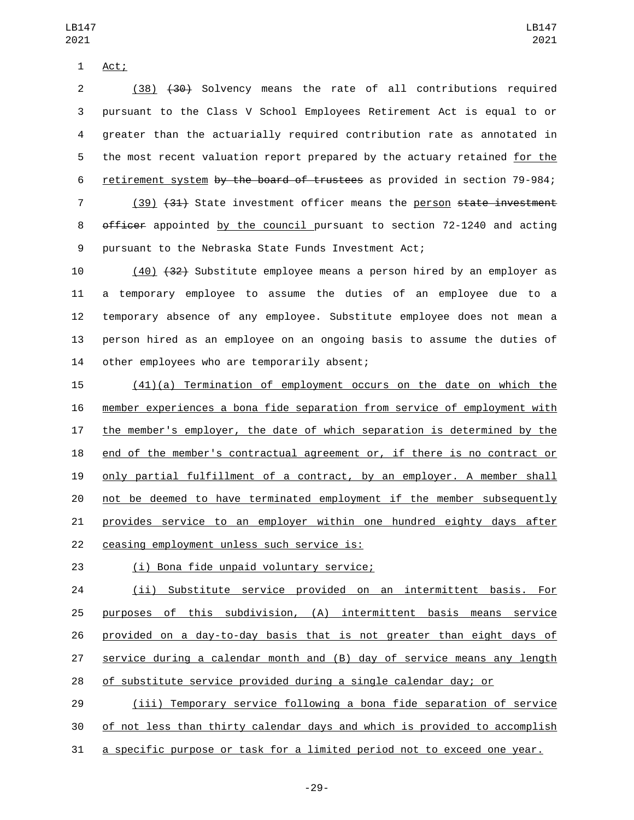1 Act;

 (38) (30) Solvency means the rate of all contributions required pursuant to the Class V School Employees Retirement Act is equal to or greater than the actuarially required contribution rate as annotated in the most recent valuation report prepared by the actuary retained for the retirement system by the board of trustees as provided in section 79-984;

7 (39) (31) State investment officer means the person state investment 8 officer appointed by the council pursuant to section 72-1240 and acting pursuant to the Nebraska State Funds Investment Act;

 (40) (32) Substitute employee means a person hired by an employer as a temporary employee to assume the duties of an employee due to a temporary absence of any employee. Substitute employee does not mean a person hired as an employee on an ongoing basis to assume the duties of 14 other employees who are temporarily absent;

 (41)(a) Termination of employment occurs on the date on which the member experiences a bona fide separation from service of employment with the member's employer, the date of which separation is determined by the end of the member's contractual agreement or, if there is no contract or only partial fulfillment of a contract, by an employer. A member shall not be deemed to have terminated employment if the member subsequently provides service to an employer within one hundred eighty days after 22 ceasing employment unless such service is:

(i) Bona fide unpaid voluntary service;23

 (ii) Substitute service provided on an intermittent basis. For purposes of this subdivision, (A) intermittent basis means service provided on a day-to-day basis that is not greater than eight days of service during a calendar month and (B) day of service means any length of substitute service provided during a single calendar day; or

 (iii) Temporary service following a bona fide separation of service of not less than thirty calendar days and which is provided to accomplish a specific purpose or task for a limited period not to exceed one year.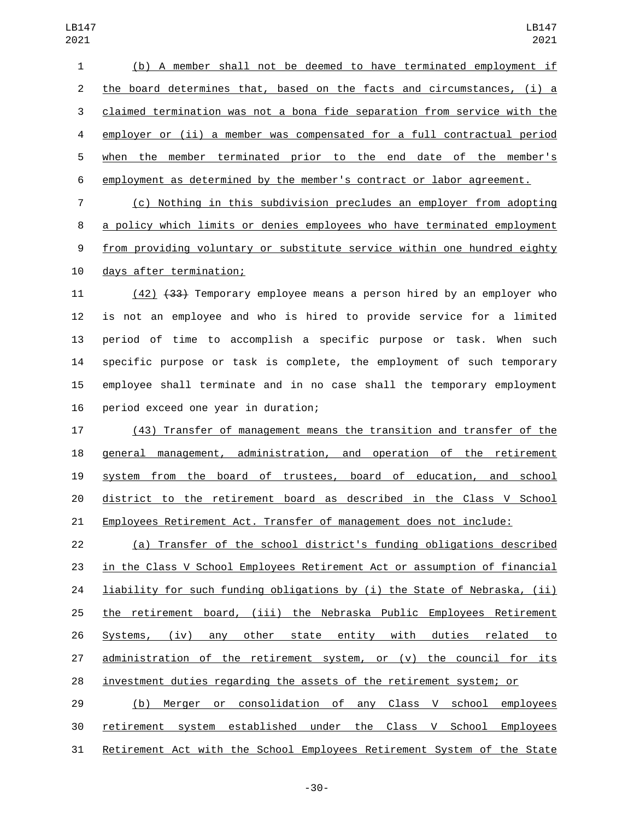(b) A member shall not be deemed to have terminated employment if the board determines that, based on the facts and circumstances, (i) a claimed termination was not a bona fide separation from service with the employer or (ii) a member was compensated for a full contractual period when the member terminated prior to the end date of the member's employment as determined by the member's contract or labor agreement.

 (c) Nothing in this subdivision precludes an employer from adopting a policy which limits or denies employees who have terminated employment from providing voluntary or substitute service within one hundred eighty 10 days after termination;

 (42) (33) Temporary employee means a person hired by an employer who is not an employee and who is hired to provide service for a limited period of time to accomplish a specific purpose or task. When such specific purpose or task is complete, the employment of such temporary employee shall terminate and in no case shall the temporary employment 16 period exceed one year in duration;

 (43) Transfer of management means the transition and transfer of the general management, administration, and operation of the retirement system from the board of trustees, board of education, and school district to the retirement board as described in the Class V School Employees Retirement Act. Transfer of management does not include:

 (a) Transfer of the school district's funding obligations described in the Class V School Employees Retirement Act or assumption of financial 24 liability for such funding obligations by (i) the State of Nebraska, (ii) the retirement board, (iii) the Nebraska Public Employees Retirement Systems, (iv) any other state entity with duties related to administration of the retirement system, or (v) the council for its investment duties regarding the assets of the retirement system; or

 (b) Merger or consolidation of any Class V school employees retirement system established under the Class V School Employees Retirement Act with the School Employees Retirement System of the State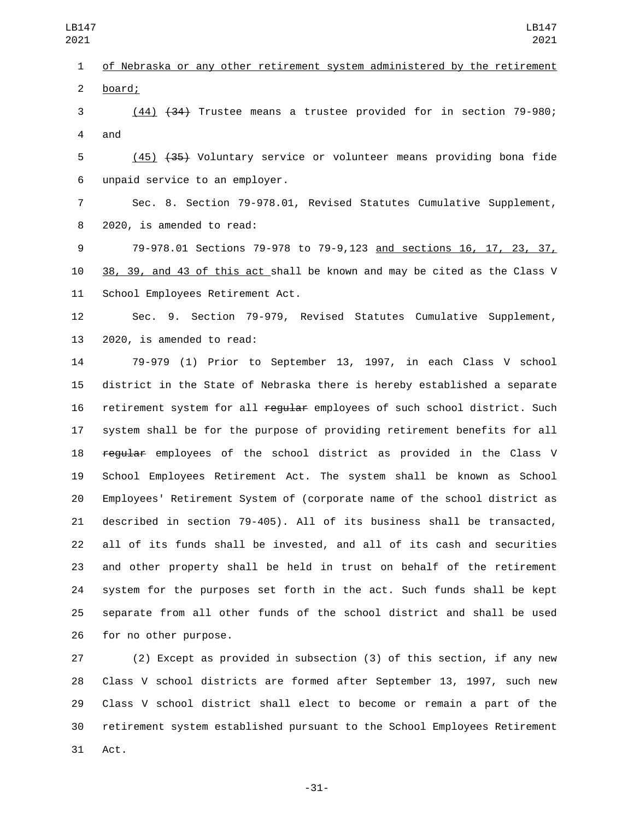of Nebraska or any other retirement system administered by the retirement 2 board;

 (44) (34) Trustee means a trustee provided for in section 79-980; 4 and

 (45) (35) Voluntary service or volunteer means providing bona fide unpaid service to an employer.6

 Sec. 8. Section 79-978.01, Revised Statutes Cumulative Supplement, 8 2020, is amended to read:

 79-978.01 Sections 79-978 to 79-9,123 and sections 16, 17, 23, 37, 38, 39, and 43 of this act shall be known and may be cited as the Class V 11 School Employees Retirement Act.

 Sec. 9. Section 79-979, Revised Statutes Cumulative Supplement, 13 2020, is amended to read:

 79-979 (1) Prior to September 13, 1997, in each Class V school district in the State of Nebraska there is hereby established a separate 16 retirement system for all regular employees of such school district. Such system shall be for the purpose of providing retirement benefits for all 18 regular employees of the school district as provided in the Class V School Employees Retirement Act. The system shall be known as School Employees' Retirement System of (corporate name of the school district as described in section 79-405). All of its business shall be transacted, all of its funds shall be invested, and all of its cash and securities and other property shall be held in trust on behalf of the retirement system for the purposes set forth in the act. Such funds shall be kept separate from all other funds of the school district and shall be used 26 for no other purpose.

 (2) Except as provided in subsection (3) of this section, if any new Class V school districts are formed after September 13, 1997, such new Class V school district shall elect to become or remain a part of the retirement system established pursuant to the School Employees Retirement 31 Act.

-31-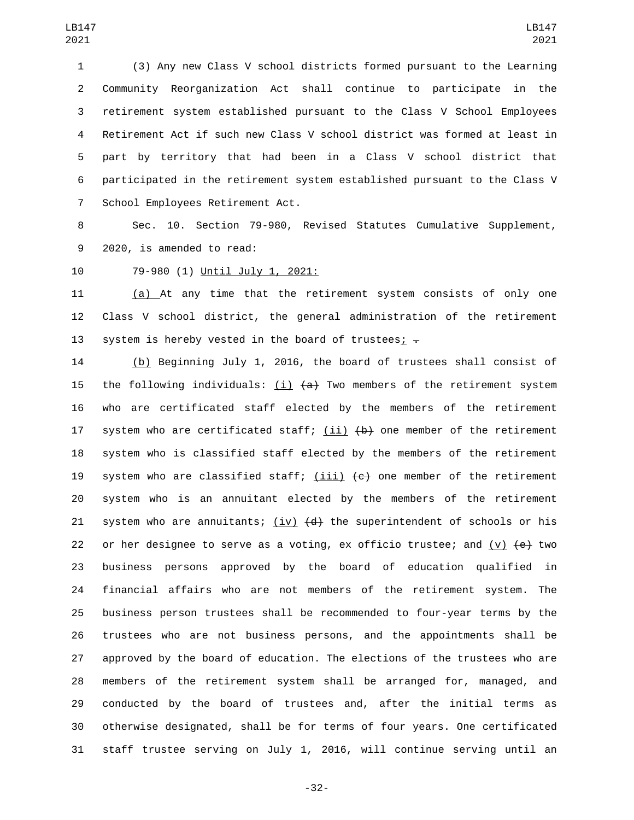(3) Any new Class V school districts formed pursuant to the Learning Community Reorganization Act shall continue to participate in the retirement system established pursuant to the Class V School Employees Retirement Act if such new Class V school district was formed at least in part by territory that had been in a Class V school district that participated in the retirement system established pursuant to the Class V 7 School Employees Retirement Act.

 Sec. 10. Section 79-980, Revised Statutes Cumulative Supplement, 9 2020, is amended to read:

10 79-980 (1) Until July 1, 2021:

 (a) At any time that the retirement system consists of only one Class V school district, the general administration of the retirement 13 system is hereby vested in the board of trustees;  $\overline{z}$ 

 (b) Beginning July 1, 2016, the board of trustees shall consist of 15 the following individuals: (i)  $\{a\}$  Two members of the retirement system who are certificated staff elected by the members of the retirement 17 system who are certificated staff;  $(i)$   $(i)$   $(i)$  one member of the retirement system who is classified staff elected by the members of the retirement 19 system who are classified staff;  $(iii)$   $(e)$  one member of the retirement system who is an annuitant elected by the members of the retirement 21 system who are annuitants; (iv)  $\{d\}$  the superintendent of schools or his 22 or her designee to serve as a voting, ex officio trustee; and  $(v)$   $\leftrightarrow$  two business persons approved by the board of education qualified in financial affairs who are not members of the retirement system. The business person trustees shall be recommended to four-year terms by the trustees who are not business persons, and the appointments shall be approved by the board of education. The elections of the trustees who are members of the retirement system shall be arranged for, managed, and conducted by the board of trustees and, after the initial terms as otherwise designated, shall be for terms of four years. One certificated staff trustee serving on July 1, 2016, will continue serving until an

-32-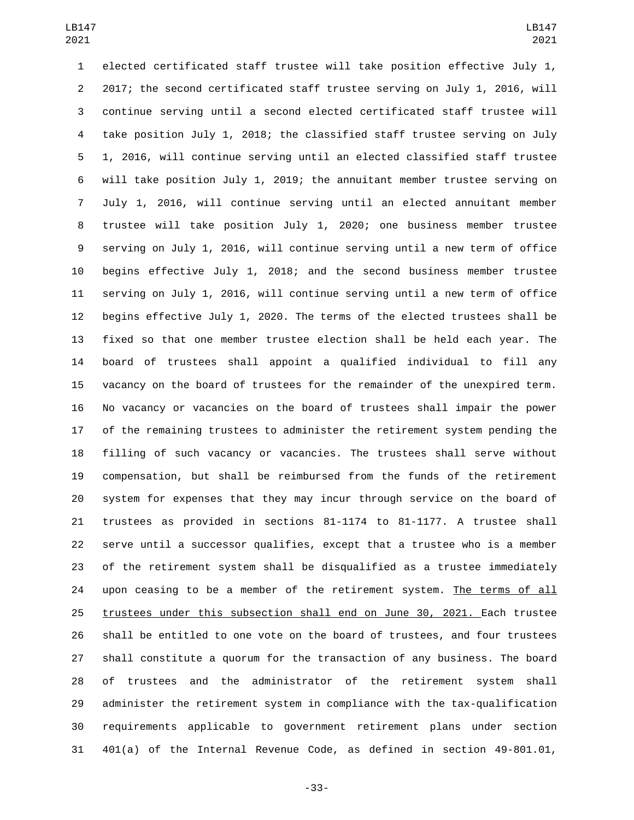elected certificated staff trustee will take position effective July 1, 2017; the second certificated staff trustee serving on July 1, 2016, will continue serving until a second elected certificated staff trustee will take position July 1, 2018; the classified staff trustee serving on July 1, 2016, will continue serving until an elected classified staff trustee will take position July 1, 2019; the annuitant member trustee serving on July 1, 2016, will continue serving until an elected annuitant member trustee will take position July 1, 2020; one business member trustee serving on July 1, 2016, will continue serving until a new term of office begins effective July 1, 2018; and the second business member trustee serving on July 1, 2016, will continue serving until a new term of office begins effective July 1, 2020. The terms of the elected trustees shall be fixed so that one member trustee election shall be held each year. The board of trustees shall appoint a qualified individual to fill any vacancy on the board of trustees for the remainder of the unexpired term. No vacancy or vacancies on the board of trustees shall impair the power of the remaining trustees to administer the retirement system pending the filling of such vacancy or vacancies. The trustees shall serve without compensation, but shall be reimbursed from the funds of the retirement system for expenses that they may incur through service on the board of trustees as provided in sections 81-1174 to 81-1177. A trustee shall serve until a successor qualifies, except that a trustee who is a member of the retirement system shall be disqualified as a trustee immediately 24 upon ceasing to be a member of the retirement system. The terms of all trustees under this subsection shall end on June 30, 2021. Each trustee shall be entitled to one vote on the board of trustees, and four trustees shall constitute a quorum for the transaction of any business. The board of trustees and the administrator of the retirement system shall administer the retirement system in compliance with the tax-qualification requirements applicable to government retirement plans under section 401(a) of the Internal Revenue Code, as defined in section 49-801.01,

-33-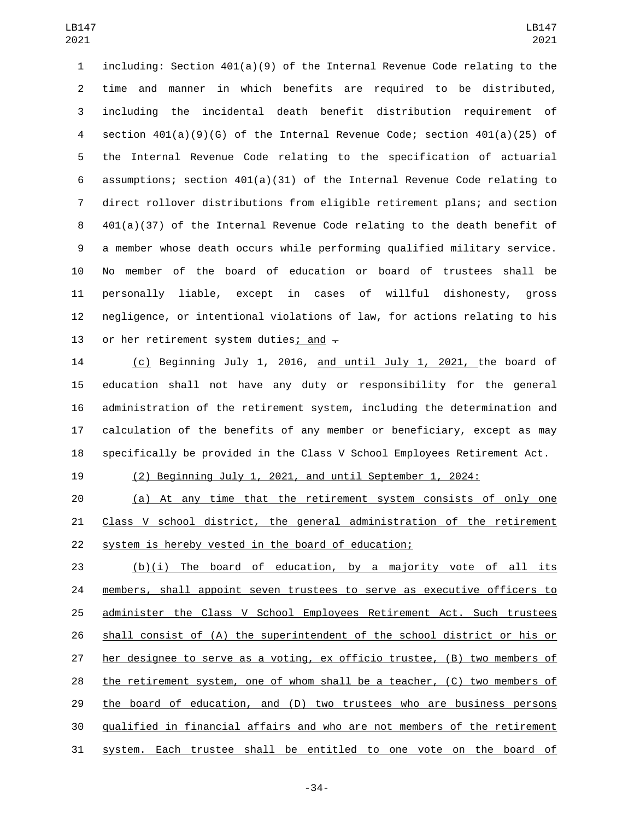including: Section 401(a)(9) of the Internal Revenue Code relating to the time and manner in which benefits are required to be distributed, including the incidental death benefit distribution requirement of section 401(a)(9)(G) of the Internal Revenue Code; section 401(a)(25) of the Internal Revenue Code relating to the specification of actuarial assumptions; section 401(a)(31) of the Internal Revenue Code relating to direct rollover distributions from eligible retirement plans; and section 401(a)(37) of the Internal Revenue Code relating to the death benefit of a member whose death occurs while performing qualified military service. No member of the board of education or board of trustees shall be personally liable, except in cases of willful dishonesty, gross negligence, or intentional violations of law, for actions relating to his 13 or her retirement system duties; and  $\overline{+}$ 

 (c) Beginning July 1, 2016, and until July 1, 2021, the board of education shall not have any duty or responsibility for the general administration of the retirement system, including the determination and calculation of the benefits of any member or beneficiary, except as may specifically be provided in the Class V School Employees Retirement Act.

(2) Beginning July 1, 2021, and until September 1, 2024:

 (a) At any time that the retirement system consists of only one Class V school district, the general administration of the retirement system is hereby vested in the board of education;

 (b)(i) The board of education, by a majority vote of all its 24 members, shall appoint seven trustees to serve as executive officers to administer the Class V School Employees Retirement Act. Such trustees shall consist of (A) the superintendent of the school district or his or her designee to serve as a voting, ex officio trustee, (B) two members of the retirement system, one of whom shall be a teacher, (C) two members of the board of education, and (D) two trustees who are business persons qualified in financial affairs and who are not members of the retirement system. Each trustee shall be entitled to one vote on the board of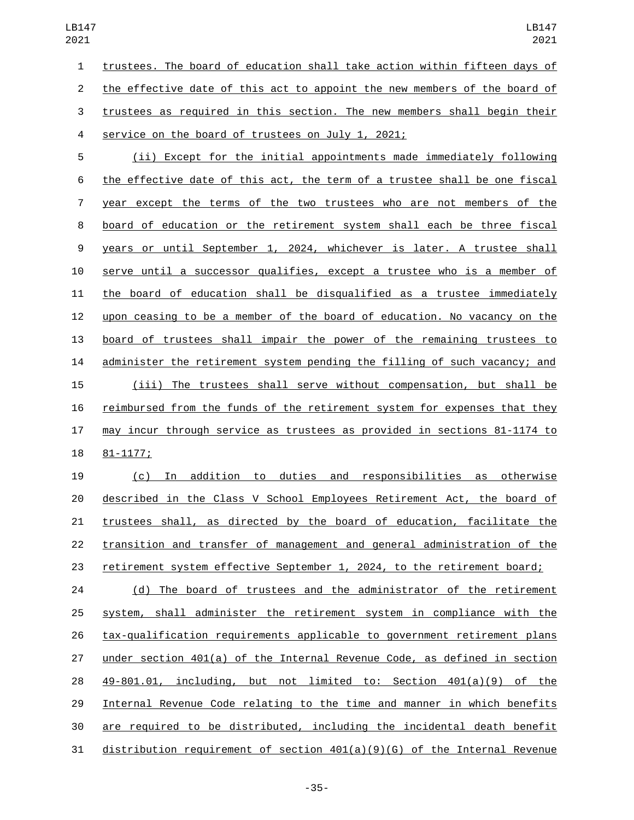trustees. The board of education shall take action within fifteen days of the effective date of this act to appoint the new members of the board of trustees as required in this section. The new members shall begin their 4 service on the board of trustees on July 1, 2021;

 (ii) Except for the initial appointments made immediately following the effective date of this act, the term of a trustee shall be one fiscal year except the terms of the two trustees who are not members of the board of education or the retirement system shall each be three fiscal years or until September 1, 2024, whichever is later. A trustee shall serve until a successor qualifies, except a trustee who is a member of the board of education shall be disqualified as a trustee immediately upon ceasing to be a member of the board of education. No vacancy on the board of trustees shall impair the power of the remaining trustees to administer the retirement system pending the filling of such vacancy; and (iii) The trustees shall serve without compensation, but shall be reimbursed from the funds of the retirement system for expenses that they may incur through service as trustees as provided in sections 81-1174 to 18 81-1177;

 (c) In addition to duties and responsibilities as otherwise described in the Class V School Employees Retirement Act, the board of trustees shall, as directed by the board of education, facilitate the transition and transfer of management and general administration of the retirement system effective September 1, 2024, to the retirement board;

24 (d) The board of trustees and the administrator of the retirement system, shall administer the retirement system in compliance with the tax-qualification requirements applicable to government retirement plans under section 401(a) of the Internal Revenue Code, as defined in section 49-801.01, including, but not limited to: Section 401(a)(9) of the Internal Revenue Code relating to the time and manner in which benefits are required to be distributed, including the incidental death benefit distribution requirement of section 401(a)(9)(G) of the Internal Revenue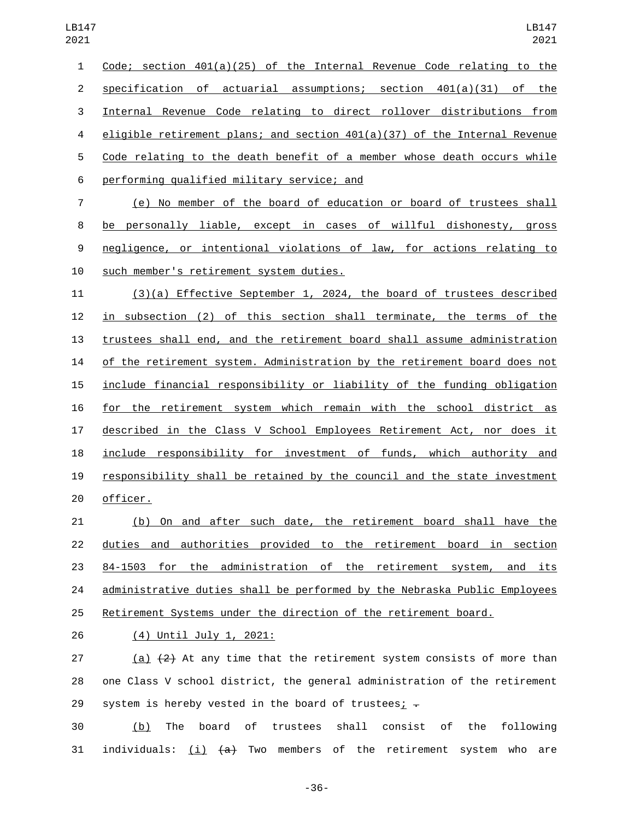Code; section 401(a)(25) of the Internal Revenue Code relating to the specification of actuarial assumptions; section 401(a)(31) of the Internal Revenue Code relating to direct rollover distributions from eligible retirement plans; and section 401(a)(37) of the Internal Revenue Code relating to the death benefit of a member whose death occurs while performing qualified military service; and6

 (e) No member of the board of education or board of trustees shall be personally liable, except in cases of willful dishonesty, gross negligence, or intentional violations of law, for actions relating to 10 such member's retirement system duties.

 (3)(a) Effective September 1, 2024, the board of trustees described in subsection (2) of this section shall terminate, the terms of the trustees shall end, and the retirement board shall assume administration of the retirement system. Administration by the retirement board does not include financial responsibility or liability of the funding obligation for the retirement system which remain with the school district as described in the Class V School Employees Retirement Act, nor does it include responsibility for investment of funds, which authority and responsibility shall be retained by the council and the state investment 20 officer.

 (b) On and after such date, the retirement board shall have the duties and authorities provided to the retirement board in section 84-1503 for the administration of the retirement system, and its administrative duties shall be performed by the Nebraska Public Employees Retirement Systems under the direction of the retirement board.

(4) Until July 1, 2021:26

27 (a)  $\{2\}$  At any time that the retirement system consists of more than one Class V school district, the general administration of the retirement 29 system is hereby vested in the board of trustees;  $\frac{1}{x}$ 

 (b) The board of trustees shall consist of the following 31 individuals:  $(i)$   $(a)$  Two members of the retirement system who are

-36-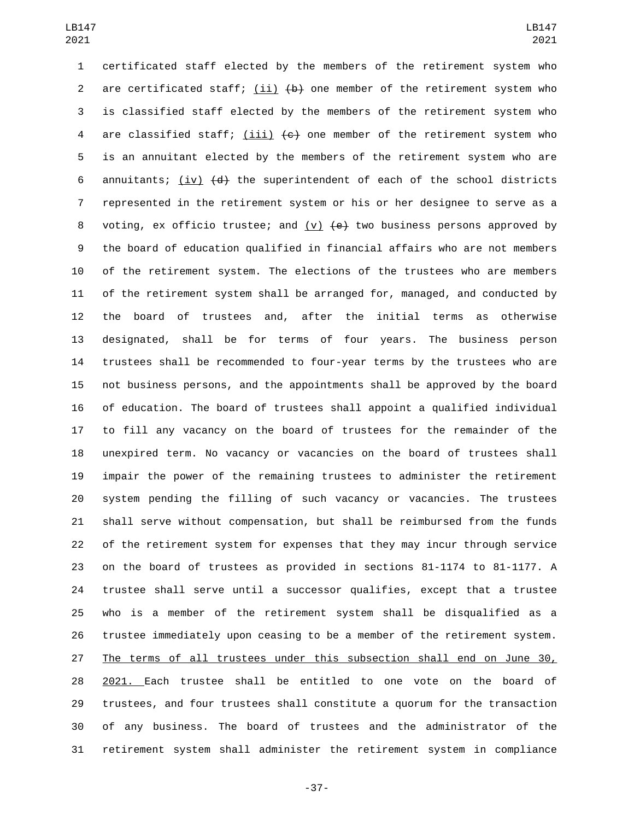certificated staff elected by the members of the retirement system who 2 are certificated staff; (ii)  $\{b\}$  one member of the retirement system who is classified staff elected by the members of the retirement system who 4 are classified staff; (iii)  $\left\lbrace e \right\rbrace$  one member of the retirement system who is an annuitant elected by the members of the retirement system who are 6 annuitants; (iv)  $\{d\}$  the superintendent of each of the school districts represented in the retirement system or his or her designee to serve as a 8 voting, ex officio trustee; and (v)  $\left\{\text{e}\right\}$  two business persons approved by the board of education qualified in financial affairs who are not members of the retirement system. The elections of the trustees who are members of the retirement system shall be arranged for, managed, and conducted by the board of trustees and, after the initial terms as otherwise designated, shall be for terms of four years. The business person trustees shall be recommended to four-year terms by the trustees who are not business persons, and the appointments shall be approved by the board of education. The board of trustees shall appoint a qualified individual to fill any vacancy on the board of trustees for the remainder of the unexpired term. No vacancy or vacancies on the board of trustees shall impair the power of the remaining trustees to administer the retirement system pending the filling of such vacancy or vacancies. The trustees shall serve without compensation, but shall be reimbursed from the funds of the retirement system for expenses that they may incur through service on the board of trustees as provided in sections 81-1174 to 81-1177. A trustee shall serve until a successor qualifies, except that a trustee who is a member of the retirement system shall be disqualified as a trustee immediately upon ceasing to be a member of the retirement system. The terms of all trustees under this subsection shall end on June 30, 2021. Each trustee shall be entitled to one vote on the board of trustees, and four trustees shall constitute a quorum for the transaction of any business. The board of trustees and the administrator of the retirement system shall administer the retirement system in compliance

-37-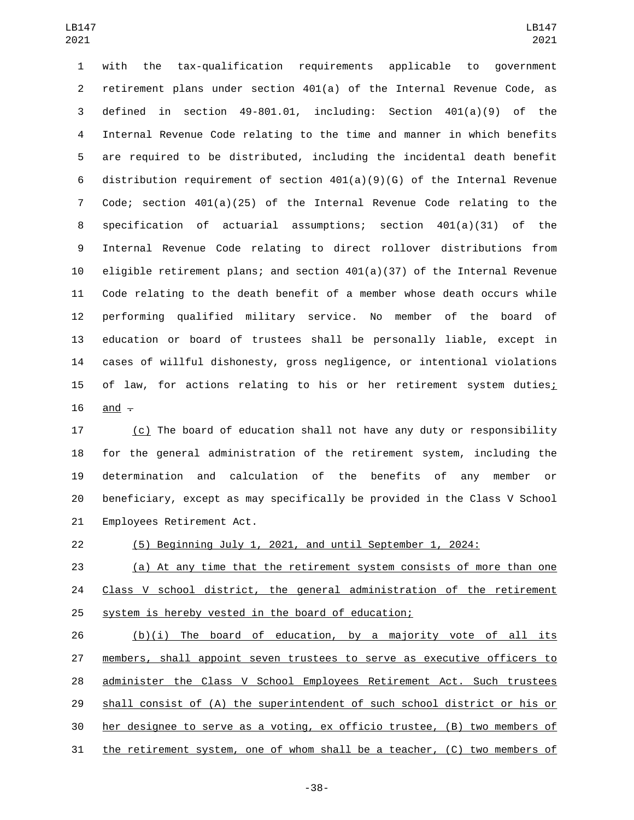with the tax-qualification requirements applicable to government retirement plans under section 401(a) of the Internal Revenue Code, as defined in section 49-801.01, including: Section 401(a)(9) of the Internal Revenue Code relating to the time and manner in which benefits are required to be distributed, including the incidental death benefit distribution requirement of section 401(a)(9)(G) of the Internal Revenue Code; section 401(a)(25) of the Internal Revenue Code relating to the specification of actuarial assumptions; section 401(a)(31) of the Internal Revenue Code relating to direct rollover distributions from eligible retirement plans; and section 401(a)(37) of the Internal Revenue Code relating to the death benefit of a member whose death occurs while performing qualified military service. No member of the board of education or board of trustees shall be personally liable, except in cases of willful dishonesty, gross negligence, or intentional violations of law, for actions relating to his or her retirement system duties; and  $\overline{ }$ 

 (c) The board of education shall not have any duty or responsibility for the general administration of the retirement system, including the determination and calculation of the benefits of any member or beneficiary, except as may specifically be provided in the Class V School 21 Employees Retirement Act.

(5) Beginning July 1, 2021, and until September 1, 2024:

 (a) At any time that the retirement system consists of more than one 24 Class V school district, the general administration of the retirement system is hereby vested in the board of education;

26 (b)(i) The board of education, by a majority vote of all its members, shall appoint seven trustees to serve as executive officers to administer the Class V School Employees Retirement Act. Such trustees shall consist of (A) the superintendent of such school district or his or her designee to serve as a voting, ex officio trustee, (B) two members of the retirement system, one of whom shall be a teacher, (C) two members of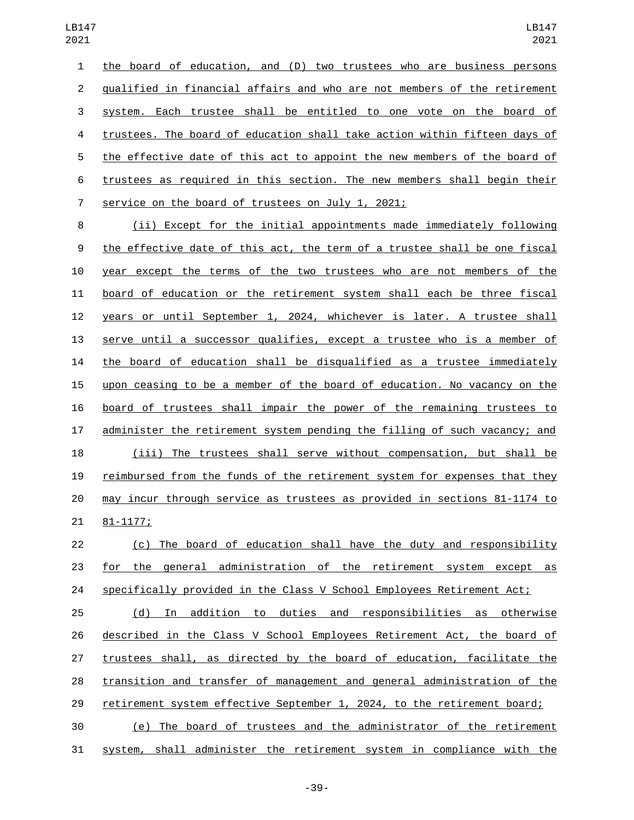the board of education, and (D) two trustees who are business persons qualified in financial affairs and who are not members of the retirement system. Each trustee shall be entitled to one vote on the board of trustees. The board of education shall take action within fifteen days of the effective date of this act to appoint the new members of the board of trustees as required in this section. The new members shall begin their 7 service on the board of trustees on July 1, 2021;

 (ii) Except for the initial appointments made immediately following the effective date of this act, the term of a trustee shall be one fiscal year except the terms of the two trustees who are not members of the board of education or the retirement system shall each be three fiscal years or until September 1, 2024, whichever is later. A trustee shall serve until a successor qualifies, except a trustee who is a member of the board of education shall be disqualified as a trustee immediately upon ceasing to be a member of the board of education. No vacancy on the board of trustees shall impair the power of the remaining trustees to administer the retirement system pending the filling of such vacancy; and (iii) The trustees shall serve without compensation, but shall be reimbursed from the funds of the retirement system for expenses that they may incur through service as trustees as provided in sections 81-1174 to 21 81-1177;

 (c) The board of education shall have the duty and responsibility for the general administration of the retirement system except as 24 specifically provided in the Class V School Employees Retirement Act;

 (d) In addition to duties and responsibilities as otherwise described in the Class V School Employees Retirement Act, the board of trustees shall, as directed by the board of education, facilitate the transition and transfer of management and general administration of the retirement system effective September 1, 2024, to the retirement board; (e) The board of trustees and the administrator of the retirement system, shall administer the retirement system in compliance with the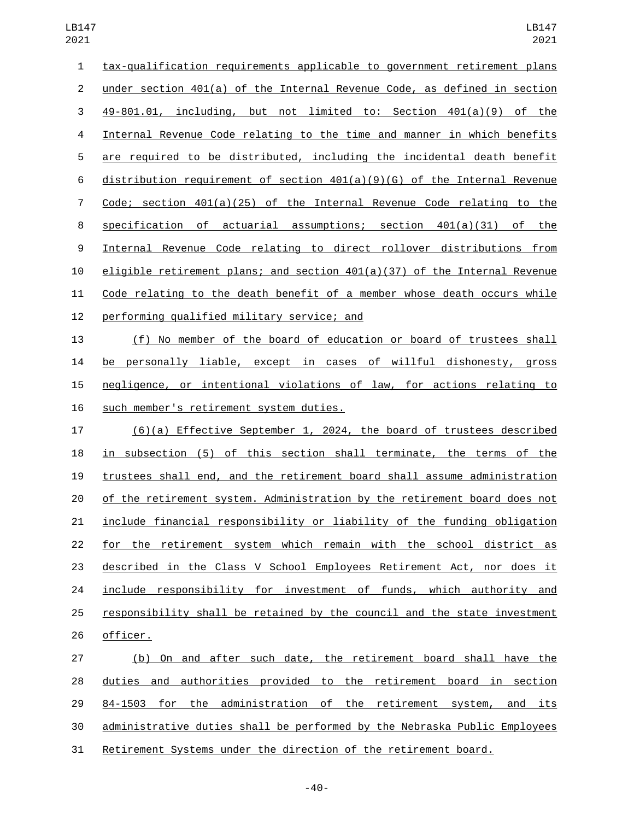tax-qualification requirements applicable to government retirement plans under section 401(a) of the Internal Revenue Code, as defined in section 49-801.01, including, but not limited to: Section 401(a)(9) of the Internal Revenue Code relating to the time and manner in which benefits are required to be distributed, including the incidental death benefit distribution requirement of section 401(a)(9)(G) of the Internal Revenue Code; section 401(a)(25) of the Internal Revenue Code relating to the specification of actuarial assumptions; section 401(a)(31) of the Internal Revenue Code relating to direct rollover distributions from eligible retirement plans; and section 401(a)(37) of the Internal Revenue Code relating to the death benefit of a member whose death occurs while 12 performing qualified military service; and 13 (f) No member of the board of education or board of trustees shall

 be personally liable, except in cases of willful dishonesty, gross negligence, or intentional violations of law, for actions relating to 16 such member's retirement system duties.

 (6)(a) Effective September 1, 2024, the board of trustees described in subsection (5) of this section shall terminate, the terms of the trustees shall end, and the retirement board shall assume administration of the retirement system. Administration by the retirement board does not include financial responsibility or liability of the funding obligation for the retirement system which remain with the school district as described in the Class V School Employees Retirement Act, nor does it include responsibility for investment of funds, which authority and responsibility shall be retained by the council and the state investment 26 officer.

 (b) On and after such date, the retirement board shall have the duties and authorities provided to the retirement board in section 84-1503 for the administration of the retirement system, and its administrative duties shall be performed by the Nebraska Public Employees Retirement Systems under the direction of the retirement board.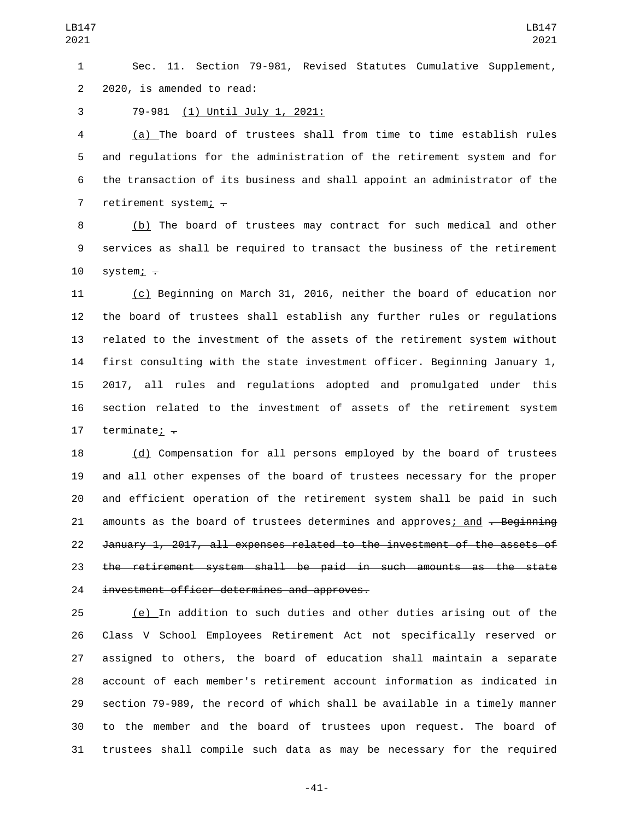Sec. 11. Section 79-981, Revised Statutes Cumulative Supplement, 2 2020, is amended to read:

3 79-981 (1) Until July 1, 2021:

 (a) The board of trustees shall from time to time establish rules and regulations for the administration of the retirement system and for the transaction of its business and shall appoint an administrator of the 7 retirement system;  $\div$ 

8 (b) The board of trustees may contract for such medical and other services as shall be required to transact the business of the retirement system;  $-$ 

 (c) Beginning on March 31, 2016, neither the board of education nor the board of trustees shall establish any further rules or regulations related to the investment of the assets of the retirement system without first consulting with the state investment officer. Beginning January 1, 2017, all rules and regulations adopted and promulgated under this section related to the investment of assets of the retirement system 17 terminate;  $\div$ 

 (d) Compensation for all persons employed by the board of trustees and all other expenses of the board of trustees necessary for the proper and efficient operation of the retirement system shall be paid in such 21 amounts as the board of trustees determines and approves; and <del>. Beginning</del> January 1, 2017, all expenses related to the investment of the assets of the retirement system shall be paid in such amounts as the state 24 investment officer determines and approves.

 (e) In addition to such duties and other duties arising out of the Class V School Employees Retirement Act not specifically reserved or assigned to others, the board of education shall maintain a separate account of each member's retirement account information as indicated in section 79-989, the record of which shall be available in a timely manner to the member and the board of trustees upon request. The board of trustees shall compile such data as may be necessary for the required

-41-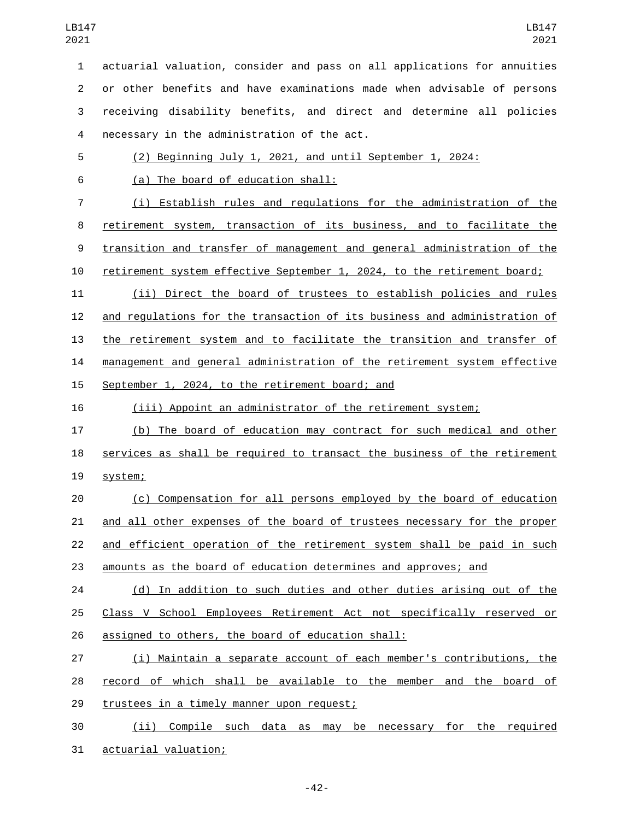actuarial valuation, consider and pass on all applications for annuities or other benefits and have examinations made when advisable of persons receiving disability benefits, and direct and determine all policies necessary in the administration of the act.4 (2) Beginning July 1, 2021, and until September 1, 2024: (a) The board of education shall:6 (i) Establish rules and regulations for the administration of the retirement system, transaction of its business, and to facilitate the transition and transfer of management and general administration of the retirement system effective September 1, 2024, to the retirement board; (ii) Direct the board of trustees to establish policies and rules and regulations for the transaction of its business and administration of the retirement system and to facilitate the transition and transfer of management and general administration of the retirement system effective 15 September 1, 2024, to the retirement board; and (iii) Appoint an administrator of the retirement system; (b) The board of education may contract for such medical and other services as shall be required to transact the business of the retirement 19 system; (c) Compensation for all persons employed by the board of education and all other expenses of the board of trustees necessary for the proper and efficient operation of the retirement system shall be paid in such amounts as the board of education determines and approves; and (d) In addition to such duties and other duties arising out of the Class V School Employees Retirement Act not specifically reserved or 26 assigned to others, the board of education shall: (i) Maintain a separate account of each member's contributions, the record of which shall be available to the member and the board of 29 trustees in a timely manner upon request; (ii) Compile such data as may be necessary for the required

31 actuarial valuation;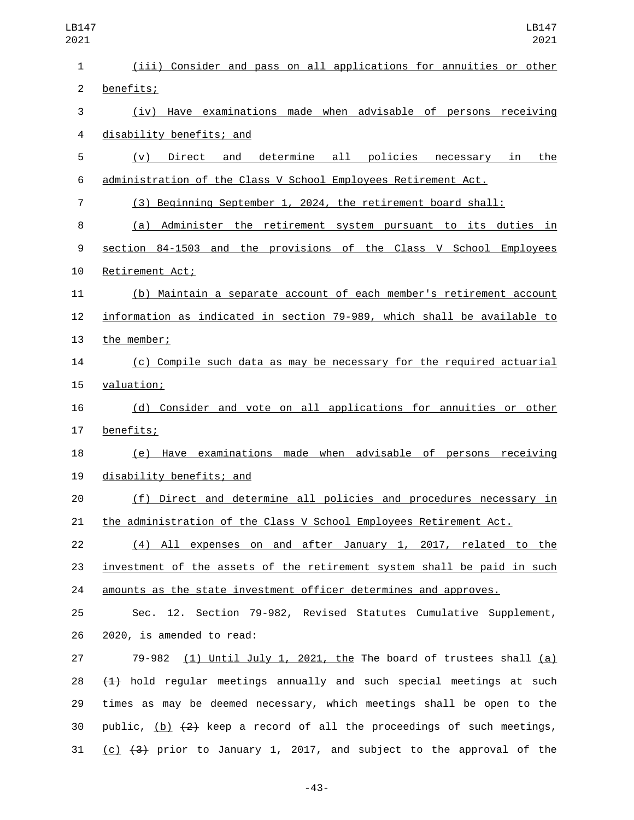| LB147<br>2021  | LB147<br>2021                                                                  |
|----------------|--------------------------------------------------------------------------------|
| 1              | (iii) Consider and pass on all applications for annuities or other             |
| $\overline{2}$ | benefits;                                                                      |
| 3              | Have examinations made when advisable of persons receiving<br>(iv)             |
| 4              | disability benefits; and                                                       |
| 5              | determine<br>all<br>policies<br>Direct<br>and<br>the<br>(v)<br>necessary<br>in |
| 6              | administration of the Class V School Employees Retirement Act.                 |
| $\overline{7}$ | (3) Beginning September 1, 2024, the retirement board shall:                   |
| 8              | Administer the retirement system pursuant to its duties<br>(a)<br>in           |
| 9              | section 84-1503 and the provisions of the Class V School Employees             |
| 10             | Retirement Act;                                                                |
| 11             | (b) Maintain a separate account of each member's retirement account            |
| 12             | information as indicated in section 79-989, which shall be available to        |
| 13             | the member;                                                                    |
| 14             | (c) Compile such data as may be necessary for the required actuarial           |
| 15             | valuation;                                                                     |
| 16             | (d) Consider and vote on all applications for annuities or other               |
| 17             | benefits;                                                                      |
| 18             | Have examinations made when advisable of<br>(e)<br>persons receiving           |
| 19             | disability benefits; and                                                       |
| 20             | (f) Direct and determine all policies and procedures necessary in              |
| 21             | the administration of the Class V School Employees Retirement Act.             |
| 22             | (4) All expenses on and after January 1, 2017, related to the                  |
| 23             | investment of the assets of the retirement system shall be paid in such        |
| 24             | <u>amounts as the state investment officer determines and approves.</u>        |
| 25             | Sec. 12. Section 79-982, Revised Statutes Cumulative Supplement,               |
| 26             | 2020, is amended to read:                                                      |
| 27             | 79-982 $(1)$ Until July 1, 2021, the The board of trustees shall $(a)$         |
| 28             | $(1)$ hold regular meetings annually and such special meetings at such         |
| 29             | times as may be deemed necessary, which meetings shall be open to the          |
| 30             | public, $(b)$ $(2)$ keep a record of all the proceedings of such meetings,     |
| 31             | $(c)$ $(3)$ prior to January 1, 2017, and subject to the approval of the       |

-43-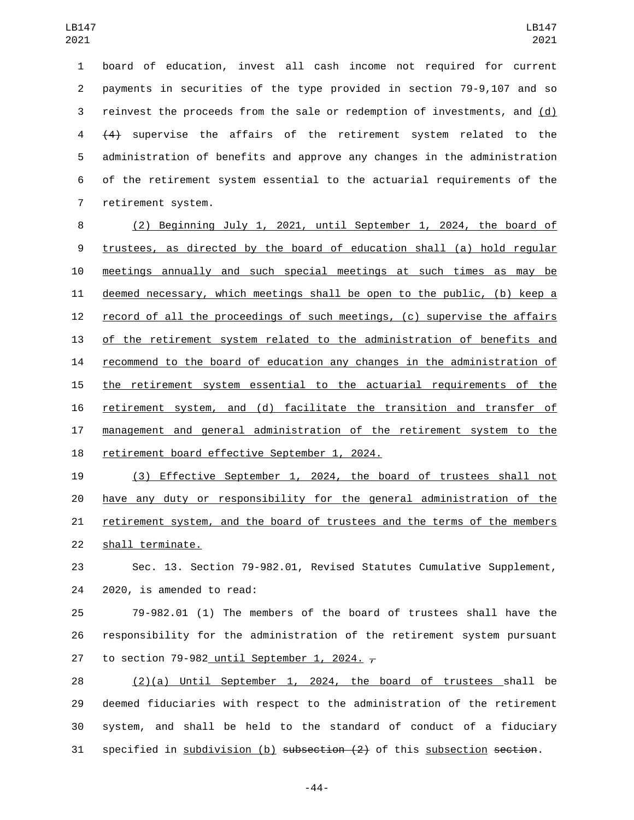board of education, invest all cash income not required for current payments in securities of the type provided in section 79-9,107 and so reinvest the proceeds from the sale or redemption of investments, and (d) (4) supervise the affairs of the retirement system related to the administration of benefits and approve any changes in the administration of the retirement system essential to the actuarial requirements of the 7 retirement system.

 (2) Beginning July 1, 2021, until September 1, 2024, the board of trustees, as directed by the board of education shall (a) hold regular meetings annually and such special meetings at such times as may be deemed necessary, which meetings shall be open to the public, (b) keep a record of all the proceedings of such meetings, (c) supervise the affairs of the retirement system related to the administration of benefits and 14 recommend to the board of education any changes in the administration of the retirement system essential to the actuarial requirements of the retirement system, and (d) facilitate the transition and transfer of management and general administration of the retirement system to the 18 retirement board effective September 1, 2024.

 (3) Effective September 1, 2024, the board of trustees shall not have any duty or responsibility for the general administration of the retirement system, and the board of trustees and the terms of the members 22 shall terminate.

 Sec. 13. Section 79-982.01, Revised Statutes Cumulative Supplement, 24 2020, is amended to read:

 79-982.01 (1) The members of the board of trustees shall have the responsibility for the administration of the retirement system pursuant 27 to section 79-982 until September 1, 2024.  $\tau$ 

 (2)(a) Until September 1, 2024, the board of trustees shall be deemed fiduciaries with respect to the administration of the retirement system, and shall be held to the standard of conduct of a fiduciary 31 specified in subdivision (b) subsection (2) of this subsection section.

-44-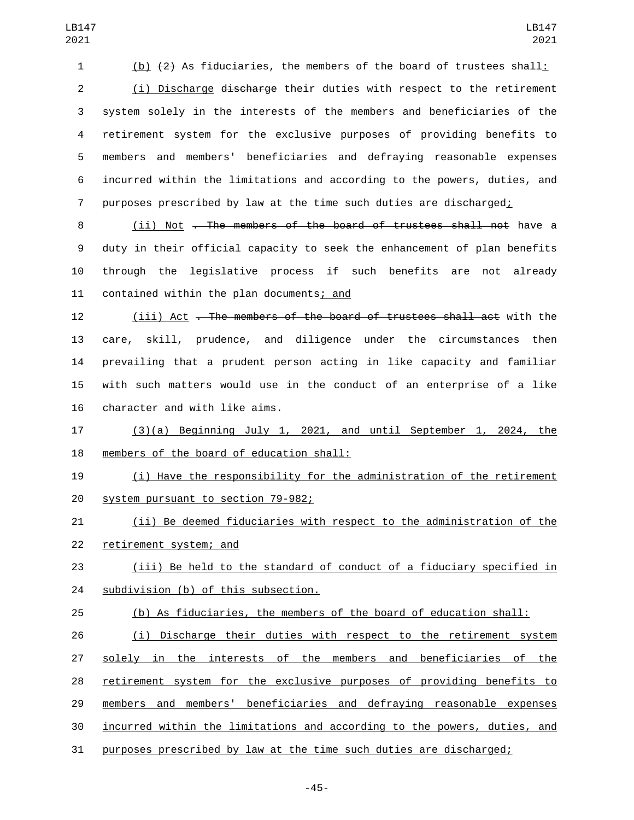(b) (2) As fiduciaries, the members of the board of trustees shall:

 (i) Discharge discharge their duties with respect to the retirement system solely in the interests of the members and beneficiaries of the retirement system for the exclusive purposes of providing benefits to members and members' beneficiaries and defraying reasonable expenses incurred within the limitations and according to the powers, duties, and purposes prescribed by law at the time such duties are discharged;

8 (ii) Not <del>. The members of the board of trustees shall not</del> have a duty in their official capacity to seek the enhancement of plan benefits through the legislative process if such benefits are not already 11 contained within the plan documents; and

 (iii) Act . The members of the board of trustees shall act with the care, skill, prudence, and diligence under the circumstances then prevailing that a prudent person acting in like capacity and familiar with such matters would use in the conduct of an enterprise of a like 16 character and with like aims.

 (3)(a) Beginning July 1, 2021, and until September 1, 2024, the 18 members of the board of education shall:

 (i) Have the responsibility for the administration of the retirement 20 system pursuant to section 79-982;

 (ii) Be deemed fiduciaries with respect to the administration of the 22 retirement system; and

 (iii) Be held to the standard of conduct of a fiduciary specified in **subdivision** (b) of this subsection.

(b) As fiduciaries, the members of the board of education shall:

 (i) Discharge their duties with respect to the retirement system solely in the interests of the members and beneficiaries of the retirement system for the exclusive purposes of providing benefits to members and members' beneficiaries and defraying reasonable expenses incurred within the limitations and according to the powers, duties, and purposes prescribed by law at the time such duties are discharged;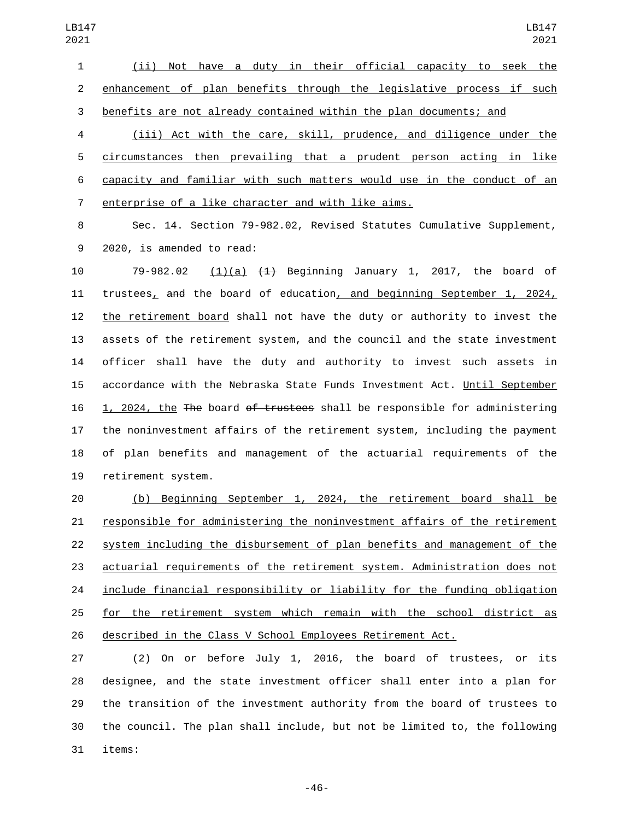(ii) Not have a duty in their official capacity to seek the enhancement of plan benefits through the legislative process if such benefits are not already contained within the plan documents; and

 (iii) Act with the care, skill, prudence, and diligence under the circumstances then prevailing that a prudent person acting in like capacity and familiar with such matters would use in the conduct of an 7 enterprise of a like character and with like aims.

 Sec. 14. Section 79-982.02, Revised Statutes Cumulative Supplement, 9 2020, is amended to read:

 79-982.02 (1)(a) (1) Beginning January 1, 2017, the board of trustees, and the board of education, and beginning September 1, 2024, the retirement board shall not have the duty or authority to invest the assets of the retirement system, and the council and the state investment officer shall have the duty and authority to invest such assets in accordance with the Nebraska State Funds Investment Act. Until September 16 1, 2024, the The board of trustees shall be responsible for administering the noninvestment affairs of the retirement system, including the payment of plan benefits and management of the actuarial requirements of the 19 retirement system.

 (b) Beginning September 1, 2024, the retirement board shall be responsible for administering the noninvestment affairs of the retirement system including the disbursement of plan benefits and management of the actuarial requirements of the retirement system. Administration does not 24 include financial responsibility or liability for the funding obligation for the retirement system which remain with the school district as described in the Class V School Employees Retirement Act.

 (2) On or before July 1, 2016, the board of trustees, or its designee, and the state investment officer shall enter into a plan for the transition of the investment authority from the board of trustees to the council. The plan shall include, but not be limited to, the following 31 items: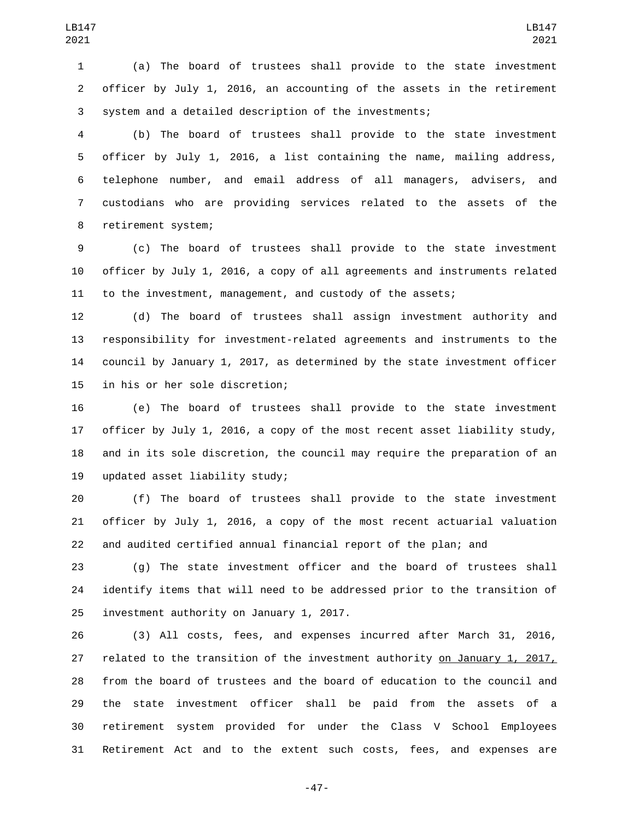(a) The board of trustees shall provide to the state investment officer by July 1, 2016, an accounting of the assets in the retirement system and a detailed description of the investments;

 (b) The board of trustees shall provide to the state investment officer by July 1, 2016, a list containing the name, mailing address, telephone number, and email address of all managers, advisers, and custodians who are providing services related to the assets of the 8 retirement system;

 (c) The board of trustees shall provide to the state investment officer by July 1, 2016, a copy of all agreements and instruments related to the investment, management, and custody of the assets;

 (d) The board of trustees shall assign investment authority and responsibility for investment-related agreements and instruments to the council by January 1, 2017, as determined by the state investment officer 15 in his or her sole discretion;

 (e) The board of trustees shall provide to the state investment officer by July 1, 2016, a copy of the most recent asset liability study, and in its sole discretion, the council may require the preparation of an 19 updated asset liability study;

 (f) The board of trustees shall provide to the state investment officer by July 1, 2016, a copy of the most recent actuarial valuation and audited certified annual financial report of the plan; and

 (g) The state investment officer and the board of trustees shall identify items that will need to be addressed prior to the transition of 25 investment authority on January 1, 2017.

 (3) All costs, fees, and expenses incurred after March 31, 2016, related to the transition of the investment authority on January 1, 2017, from the board of trustees and the board of education to the council and the state investment officer shall be paid from the assets of a retirement system provided for under the Class V School Employees Retirement Act and to the extent such costs, fees, and expenses are

-47-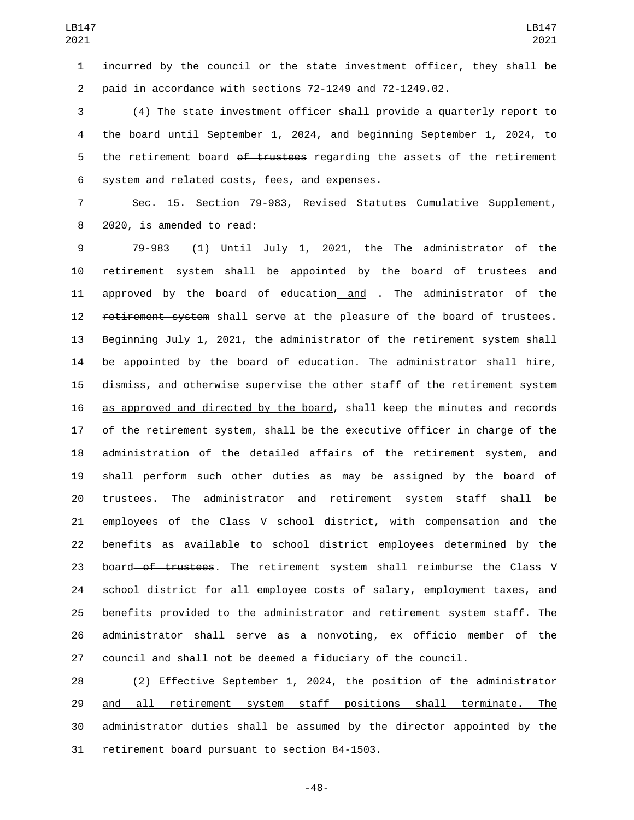incurred by the council or the state investment officer, they shall be paid in accordance with sections 72-1249 and 72-1249.02.

 (4) The state investment officer shall provide a quarterly report to the board until September 1, 2024, and beginning September 1, 2024, to 5 the retirement board of trustees regarding the assets of the retirement 6 system and related costs, fees, and expenses.

 Sec. 15. Section 79-983, Revised Statutes Cumulative Supplement, 8 2020, is amended to read:

 79-983 (1) Until July 1, 2021, the The administrator of the retirement system shall be appointed by the board of trustees and 11 approved by the board of education and . The administrator of the 12 retirement system shall serve at the pleasure of the board of trustees. Beginning July 1, 2021, the administrator of the retirement system shall be appointed by the board of education. The administrator shall hire, dismiss, and otherwise supervise the other staff of the retirement system as approved and directed by the board, shall keep the minutes and records of the retirement system, shall be the executive officer in charge of the administration of the detailed affairs of the retirement system, and 19 shall perform such other duties as may be assigned by the board-of trustees. The administrator and retirement system staff shall be employees of the Class V school district, with compensation and the benefits as available to school district employees determined by the 23 board of trustees. The retirement system shall reimburse the Class V school district for all employee costs of salary, employment taxes, and benefits provided to the administrator and retirement system staff. The administrator shall serve as a nonvoting, ex officio member of the council and shall not be deemed a fiduciary of the council.

 (2) Effective September 1, 2024, the position of the administrator 29 and all retirement system staff positions shall terminate. The administrator duties shall be assumed by the director appointed by the 31 retirement board pursuant to section 84-1503.

-48-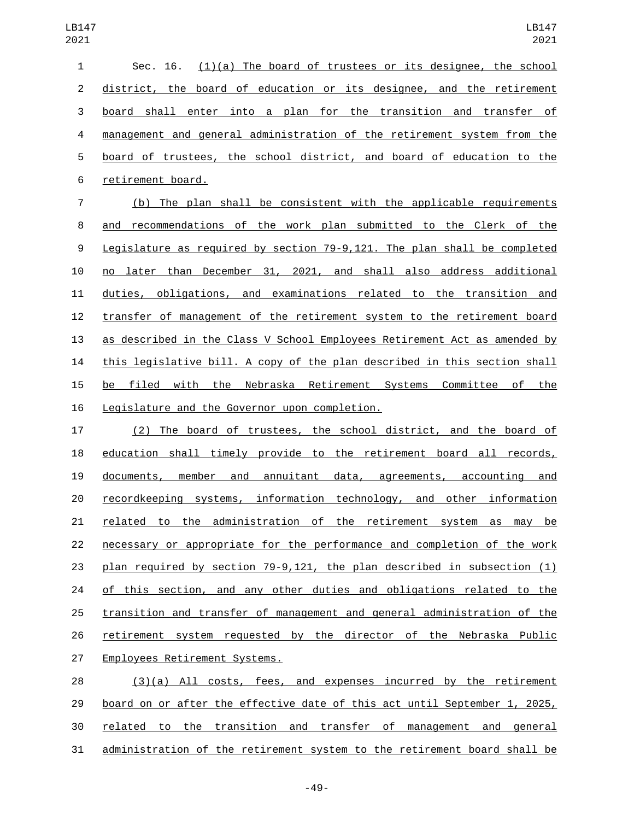| $1 \quad$   | Sec. 16. $(1)(a)$ The board of trustees or its designee, the school       |
|-------------|---------------------------------------------------------------------------|
|             | 2 district, the board of education or its designee, and the retirement    |
| $3^{\circ}$ | board shall enter into a plan for the transition and transfer of          |
|             | 4 management and general administration of the retirement system from the |
|             | 5 board of trustees, the school district, and board of education to the   |
|             | 6 retirement board.                                                       |

 (b) The plan shall be consistent with the applicable requirements and recommendations of the work plan submitted to the Clerk of the Legislature as required by section 79-9,121. The plan shall be completed no later than December 31, 2021, and shall also address additional duties, obligations, and examinations related to the transition and transfer of management of the retirement system to the retirement board as described in the Class V School Employees Retirement Act as amended by this legislative bill. A copy of the plan described in this section shall be filed with the Nebraska Retirement Systems Committee of the 16 Legislature and the Governor upon completion.

 (2) The board of trustees, the school district, and the board of education shall timely provide to the retirement board all records, documents, member and annuitant data, agreements, accounting and recordkeeping systems, information technology, and other information related to the administration of the retirement system as may be necessary or appropriate for the performance and completion of the work plan required by section 79-9,121, the plan described in subsection (1) of this section, and any other duties and obligations related to the transition and transfer of management and general administration of the retirement system requested by the director of the Nebraska Public 27 Employees Retirement Systems.

 (3)(a) All costs, fees, and expenses incurred by the retirement board on or after the effective date of this act until September 1, 2025, related to the transition and transfer of management and general administration of the retirement system to the retirement board shall be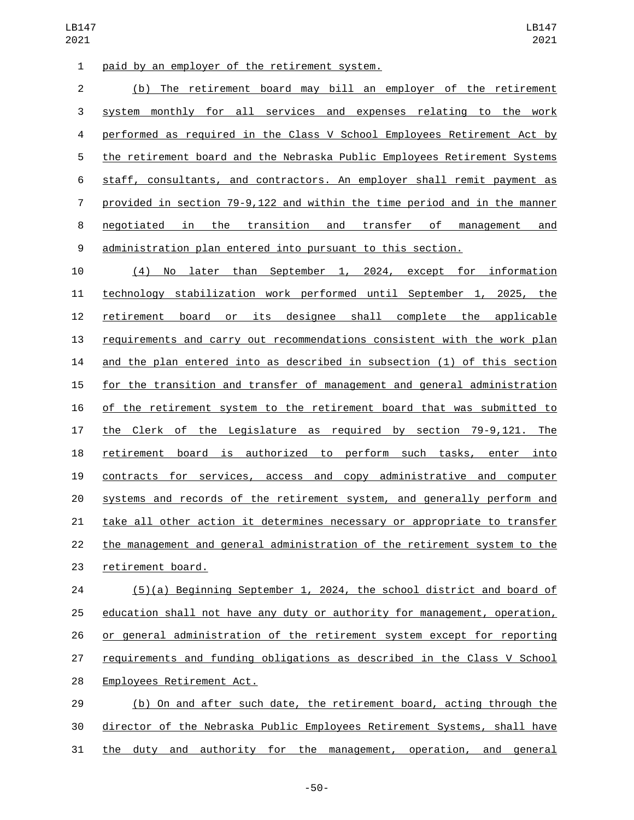1 paid by an employer of the retirement system.

 (b) The retirement board may bill an employer of the retirement system monthly for all services and expenses relating to the work performed as required in the Class V School Employees Retirement Act by the retirement board and the Nebraska Public Employees Retirement Systems staff, consultants, and contractors. An employer shall remit payment as provided in section 79-9,122 and within the time period and in the manner negotiated in the transition and transfer of management and administration plan entered into pursuant to this section.

 (4) No later than September 1, 2024, except for information technology stabilization work performed until September 1, 2025, the retirement board or its designee shall complete the applicable requirements and carry out recommendations consistent with the work plan and the plan entered into as described in subsection (1) of this section for the transition and transfer of management and general administration of the retirement system to the retirement board that was submitted to the Clerk of the Legislature as required by section 79-9,121. The retirement board is authorized to perform such tasks, enter into contracts for services, access and copy administrative and computer systems and records of the retirement system, and generally perform and take all other action it determines necessary or appropriate to transfer the management and general administration of the retirement system to the 23 retirement board.

 (5)(a) Beginning September 1, 2024, the school district and board of education shall not have any duty or authority for management, operation, or general administration of the retirement system except for reporting requirements and funding obligations as described in the Class V School 28 Employees Retirement Act.

 (b) On and after such date, the retirement board, acting through the director of the Nebraska Public Employees Retirement Systems, shall have the duty and authority for the management, operation, and general

-50-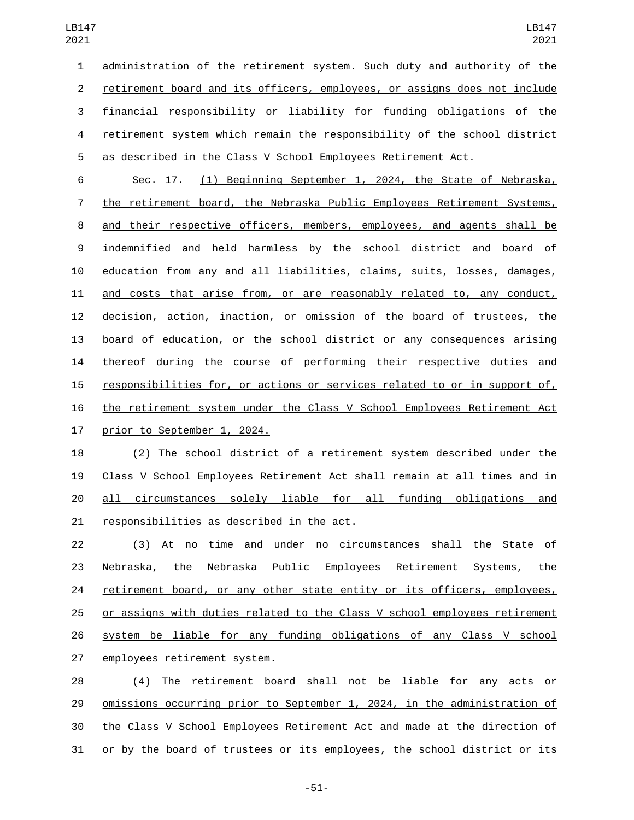administration of the retirement system. Such duty and authority of the retirement board and its officers, employees, or assigns does not include financial responsibility or liability for funding obligations of the retirement system which remain the responsibility of the school district as described in the Class V School Employees Retirement Act.

 Sec. 17. (1) Beginning September 1, 2024, the State of Nebraska, the retirement board, the Nebraska Public Employees Retirement Systems, and their respective officers, members, employees, and agents shall be indemnified and held harmless by the school district and board of education from any and all liabilities, claims, suits, losses, damages, and costs that arise from, or are reasonably related to, any conduct, decision, action, inaction, or omission of the board of trustees, the board of education, or the school district or any consequences arising thereof during the course of performing their respective duties and responsibilities for, or actions or services related to or in support of, the retirement system under the Class V School Employees Retirement Act 17 prior to September 1, 2024.

 (2) The school district of a retirement system described under the Class V School Employees Retirement Act shall remain at all times and in all circumstances solely liable for all funding obligations and 21 responsibilities as described in the act.

 (3) At no time and under no circumstances shall the State of Nebraska, the Nebraska Public Employees Retirement Systems, the retirement board, or any other state entity or its officers, employees, or assigns with duties related to the Class V school employees retirement system be liable for any funding obligations of any Class V school 27 employees retirement system.

 (4) The retirement board shall not be liable for any acts or omissions occurring prior to September 1, 2024, in the administration of the Class V School Employees Retirement Act and made at the direction of or by the board of trustees or its employees, the school district or its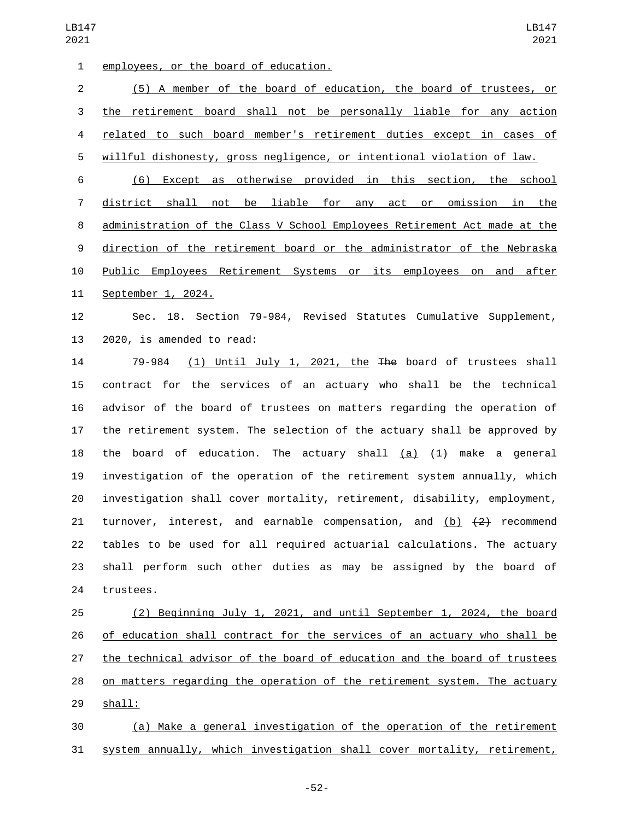1 employees, or the board of education.

 (5) A member of the board of education, the board of trustees, or the retirement board shall not be personally liable for any action related to such board member's retirement duties except in cases of willful dishonesty, gross negligence, or intentional violation of law. (6) Except as otherwise provided in this section, the school district shall not be liable for any act or omission in the administration of the Class V School Employees Retirement Act made at the direction of the retirement board or the administrator of the Nebraska Public Employees Retirement Systems or its employees on and after 11 September 1, 2024.

 Sec. 18. Section 79-984, Revised Statutes Cumulative Supplement, 13 2020, is amended to read:

 79-984 (1) Until July 1, 2021, the The board of trustees shall contract for the services of an actuary who shall be the technical advisor of the board of trustees on matters regarding the operation of the retirement system. The selection of the actuary shall be approved by 18 the board of education. The actuary shall (a)  $\{4\}$  make a general investigation of the operation of the retirement system annually, which investigation shall cover mortality, retirement, disability, employment, 21 turnover, interest, and earnable compensation, and  $(b)$   $(2)$  recommend tables to be used for all required actuarial calculations. The actuary shall perform such other duties as may be assigned by the board of 24 trustees.

 (2) Beginning July 1, 2021, and until September 1, 2024, the board of education shall contract for the services of an actuary who shall be the technical advisor of the board of education and the board of trustees on matters regarding the operation of the retirement system. The actuary 29 shall:

 (a) Make a general investigation of the operation of the retirement system annually, which investigation shall cover mortality, retirement,

-52-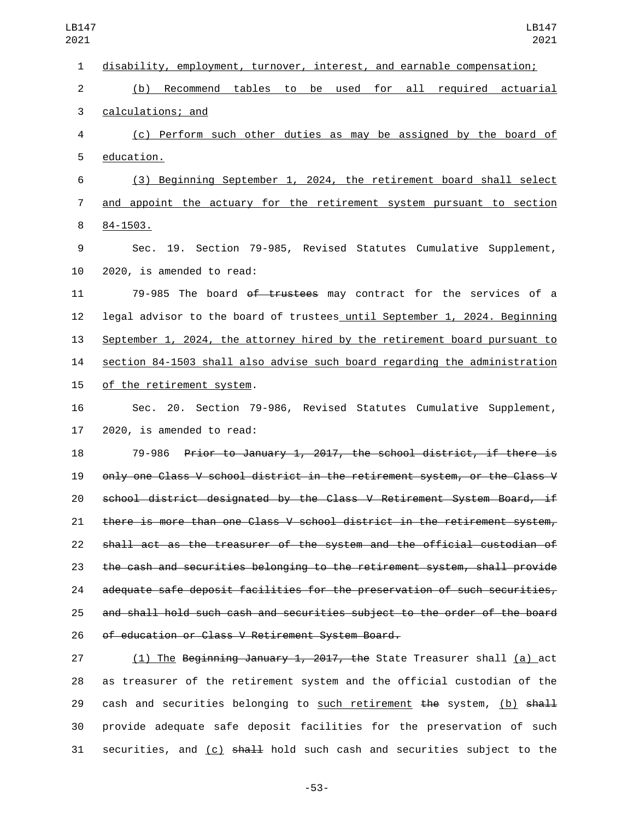disability, employment, turnover, interest, and earnable compensation; (b) Recommend tables to be used for all required actuarial 3 calculations; and (c) Perform such other duties as may be assigned by the board of 5 education. (3) Beginning September 1, 2024, the retirement board shall select and appoint the actuary for the retirement system pursuant to section 8 84-1503. Sec. 19. Section 79-985, Revised Statutes Cumulative Supplement, 10 2020, is amended to read: 79-985 The board of trustees may contract for the services of a legal advisor to the board of trustees until September 1, 2024. Beginning 13 September 1, 2024, the attorney hired by the retirement board pursuant to section 84-1503 shall also advise such board regarding the administration 15 of the retirement system. Sec. 20. Section 79-986, Revised Statutes Cumulative Supplement, 2020, is amended to read: 79-986 Prior to January 1, 2017, the school district, if there is only one Class V school district in the retirement system, or the Class V school district designated by the Class V Retirement System Board, if there is more than one Class V school district in the retirement system, shall act as the treasurer of the system and the official custodian of the cash and securities belonging to the retirement system, shall provide adequate safe deposit facilities for the preservation of such securities, and shall hold such cash and securities subject to the order of the board 26 of education or Class V Retirement System Board. (1) The Beginning January 1, 2017, the State Treasurer shall (a) act

 as treasurer of the retirement system and the official custodian of the 29 cash and securities belonging to such retirement the system,  $(b)$  shall provide adequate safe deposit facilities for the preservation of such 31 securities, and  $(c)$  shall hold such cash and securities subject to the

-53-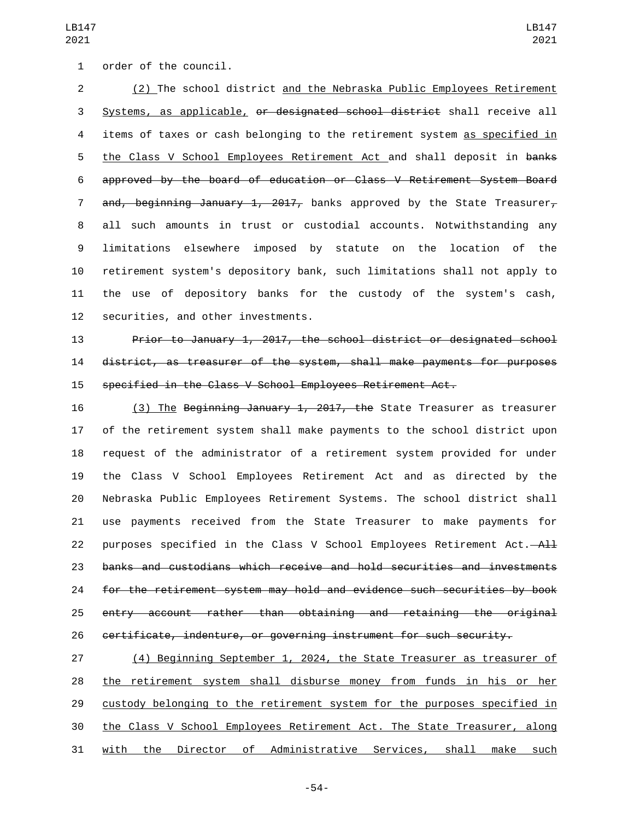(2) The school district and the Nebraska Public Employees Retirement Systems, as applicable, or designated school district shall receive all items of taxes or cash belonging to the retirement system as specified in 5 the Class V School Employees Retirement Act and shall deposit in banks approved by the board of education or Class V Retirement System Board 7 and, beginning January 1, 2017, banks approved by the State Treasurer, all such amounts in trust or custodial accounts. Notwithstanding any limitations elsewhere imposed by statute on the location of the retirement system's depository bank, such limitations shall not apply to the use of depository banks for the custody of the system's cash, 12 securities, and other investments.

 Prior to January 1, 2017, the school district or designated school district, as treasurer of the system, shall make payments for purposes specified in the Class V School Employees Retirement Act.

16 (3) The Beginning January 1, 2017, the State Treasurer as treasurer of the retirement system shall make payments to the school district upon request of the administrator of a retirement system provided for under the Class V School Employees Retirement Act and as directed by the Nebraska Public Employees Retirement Systems. The school district shall use payments received from the State Treasurer to make payments for 22 purposes specified in the Class V School Employees Retirement Act. $-\mathsf{A}\mathsf{H}$  banks and custodians which receive and hold securities and investments for the retirement system may hold and evidence such securities by book entry account rather than obtaining and retaining the original certificate, indenture, or governing instrument for such security.

 (4) Beginning September 1, 2024, the State Treasurer as treasurer of the retirement system shall disburse money from funds in his or her custody belonging to the retirement system for the purposes specified in the Class V School Employees Retirement Act. The State Treasurer, along with the Director of Administrative Services, shall make such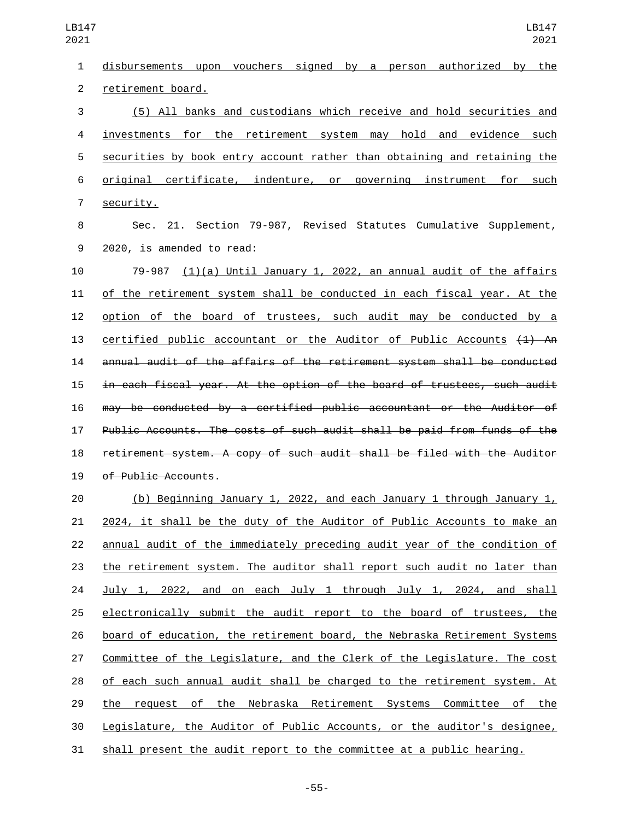disbursements upon vouchers signed by a person authorized by the 2 retirement board. (5) All banks and custodians which receive and hold securities and investments for the retirement system may hold and evidence such securities by book entry account rather than obtaining and retaining the original certificate, indenture, or governing instrument for such 7 security. Sec. 21. Section 79-987, Revised Statutes Cumulative Supplement, 9 2020, is amended to read: 79-987 (1)(a) Until January 1, 2022, an annual audit of the affairs of the retirement system shall be conducted in each fiscal year. At the option of the board of trustees, such audit may be conducted by a 13 certified public accountant or the Auditor of Public Accounts  $(1)$  An annual audit of the affairs of the retirement system shall be conducted in each fiscal year. At the option of the board of trustees, such audit may be conducted by a certified public accountant or the Auditor of Public Accounts. The costs of such audit shall be paid from funds of the retirement system. A copy of such audit shall be filed with the Auditor 19 of Public Accounts. (b) Beginning January 1, 2022, and each January 1 through January 1, 2024, it shall be the duty of the Auditor of Public Accounts to make an annual audit of the immediately preceding audit year of the condition of

 the retirement system. The auditor shall report such audit no later than July 1, 2022, and on each July 1 through July 1, 2024, and shall 25 electronically submit the audit report to the board of trustees, the board of education, the retirement board, the Nebraska Retirement Systems Committee of the Legislature, and the Clerk of the Legislature. The cost of each such annual audit shall be charged to the retirement system. At the request of the Nebraska Retirement Systems Committee of the Legislature, the Auditor of Public Accounts, or the auditor's designee, shall present the audit report to the committee at a public hearing.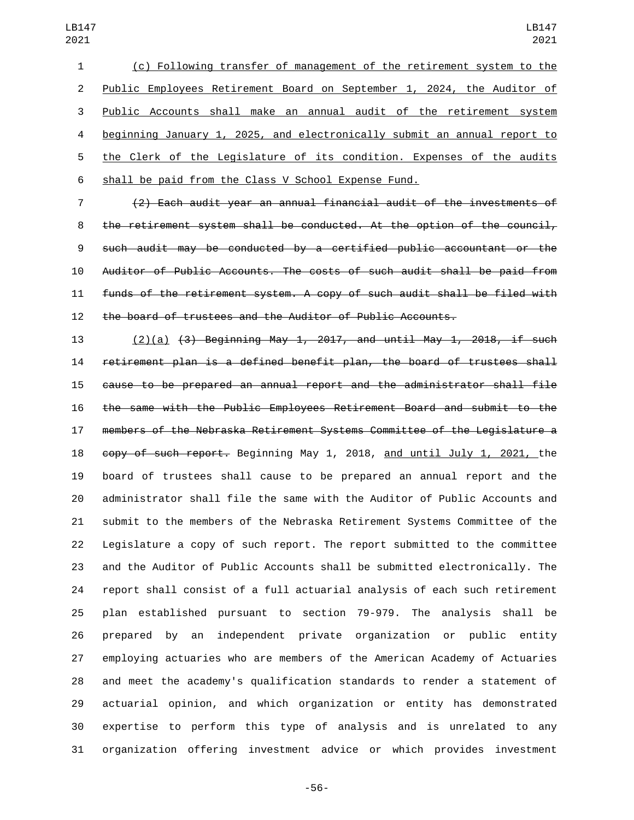(c) Following transfer of management of the retirement system to the Public Employees Retirement Board on September 1, 2024, the Auditor of Public Accounts shall make an annual audit of the retirement system beginning January 1, 2025, and electronically submit an annual report to the Clerk of the Legislature of its condition. Expenses of the audits shall be paid from the Class V School Expense Fund.

 (2) Each audit year an annual financial audit of the investments of the retirement system shall be conducted. At the option of the council, such audit may be conducted by a certified public accountant or the Auditor of Public Accounts. The costs of such audit shall be paid from funds of the retirement system. A copy of such audit shall be filed with the board of trustees and the Auditor of Public Accounts.

 (2)(a) (3) Beginning May 1, 2017, and until May 1, 2018, if such retirement plan is a defined benefit plan, the board of trustees shall cause to be prepared an annual report and the administrator shall file the same with the Public Employees Retirement Board and submit to the members of the Nebraska Retirement Systems Committee of the Legislature a copy of such report. Beginning May 1, 2018, and until July 1, 2021, the board of trustees shall cause to be prepared an annual report and the administrator shall file the same with the Auditor of Public Accounts and submit to the members of the Nebraska Retirement Systems Committee of the Legislature a copy of such report. The report submitted to the committee and the Auditor of Public Accounts shall be submitted electronically. The report shall consist of a full actuarial analysis of each such retirement plan established pursuant to section 79-979. The analysis shall be prepared by an independent private organization or public entity employing actuaries who are members of the American Academy of Actuaries and meet the academy's qualification standards to render a statement of actuarial opinion, and which organization or entity has demonstrated expertise to perform this type of analysis and is unrelated to any organization offering investment advice or which provides investment

-56-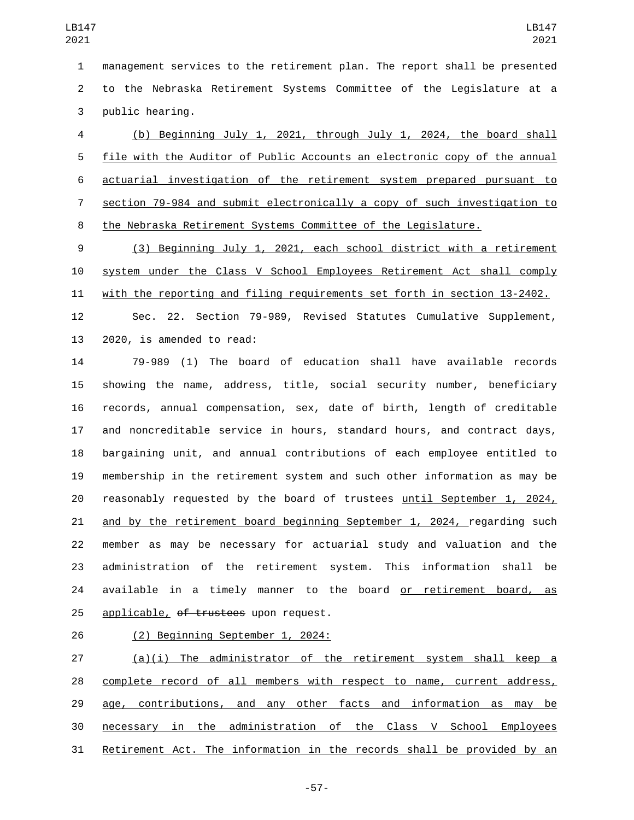management services to the retirement plan. The report shall be presented to the Nebraska Retirement Systems Committee of the Legislature at a 3 public hearing.

 (b) Beginning July 1, 2021, through July 1, 2024, the board shall file with the Auditor of Public Accounts an electronic copy of the annual actuarial investigation of the retirement system prepared pursuant to section 79-984 and submit electronically a copy of such investigation to the Nebraska Retirement Systems Committee of the Legislature.

 (3) Beginning July 1, 2021, each school district with a retirement system under the Class V School Employees Retirement Act shall comply with the reporting and filing requirements set forth in section 13-2402.

 Sec. 22. Section 79-989, Revised Statutes Cumulative Supplement, 13 2020, is amended to read:

 79-989 (1) The board of education shall have available records showing the name, address, title, social security number, beneficiary records, annual compensation, sex, date of birth, length of creditable and noncreditable service in hours, standard hours, and contract days, bargaining unit, and annual contributions of each employee entitled to membership in the retirement system and such other information as may be reasonably requested by the board of trustees until September 1, 2024, and by the retirement board beginning September 1, 2024, regarding such member as may be necessary for actuarial study and valuation and the administration of the retirement system. This information shall be 24 available in a timely manner to the board or retirement board, as 25 applicable, of trustees upon request.

26 (2) Beginning September 1, 2024:

 (a)(i) The administrator of the retirement system shall keep a complete record of all members with respect to name, current address, 29 age, contributions, and any other facts and information as may be necessary in the administration of the Class V School Employees Retirement Act. The information in the records shall be provided by an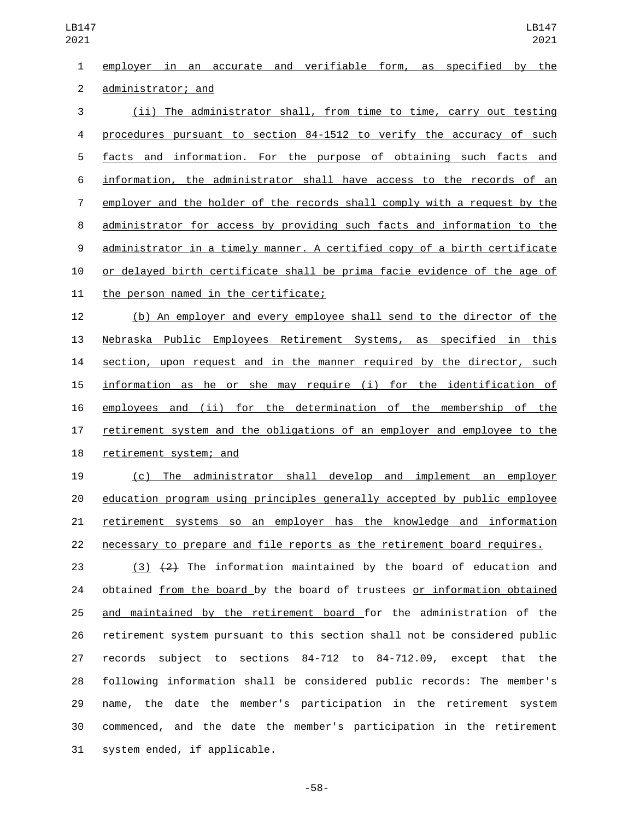employer in an accurate and verifiable form, as specified by the 2 administrator; and (ii) The administrator shall, from time to time, carry out testing procedures pursuant to section 84-1512 to verify the accuracy of such facts and information. For the purpose of obtaining such facts and information, the administrator shall have access to the records of an employer and the holder of the records shall comply with a request by the administrator for access by providing such facts and information to the administrator in a timely manner. A certified copy of a birth certificate or delayed birth certificate shall be prima facie evidence of the age of 11 the person named in the certificate; (b) An employer and every employee shall send to the director of the Nebraska Public Employees Retirement Systems, as specified in this section, upon request and in the manner required by the director, such information as he or she may require (i) for the identification of employees and (ii) for the determination of the membership of the retirement system and the obligations of an employer and employee to the 18 retirement system; and (c) The administrator shall develop and implement an employer education program using principles generally accepted by public employee retirement systems so an employer has the knowledge and information

necessary to prepare and file reports as the retirement board requires.

 $(3)$   $(2)$  The information maintained by the board of education and obtained from the board by the board of trustees or information obtained and maintained by the retirement board for the administration of the retirement system pursuant to this section shall not be considered public records subject to sections 84-712 to 84-712.09, except that the following information shall be considered public records: The member's name, the date the member's participation in the retirement system commenced, and the date the member's participation in the retirement 31 system ended, if applicable.

-58-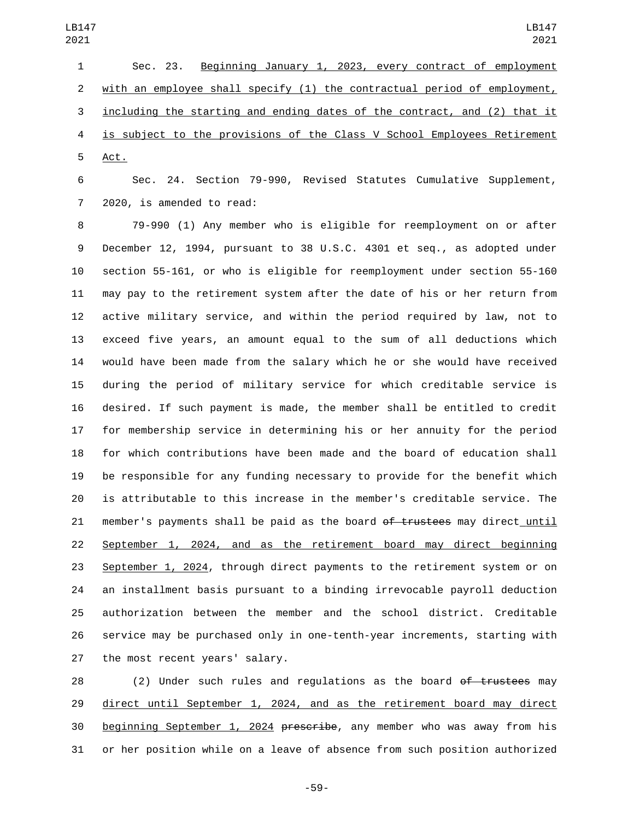Sec. 23. Beginning January 1, 2023, every contract of employment with an employee shall specify (1) the contractual period of employment, including the starting and ending dates of the contract, and (2) that it is subject to the provisions of the Class V School Employees Retirement 5 Act.

 Sec. 24. Section 79-990, Revised Statutes Cumulative Supplement, 7 2020, is amended to read:

 79-990 (1) Any member who is eligible for reemployment on or after December 12, 1994, pursuant to 38 U.S.C. 4301 et seq., as adopted under section 55-161, or who is eligible for reemployment under section 55-160 may pay to the retirement system after the date of his or her return from active military service, and within the period required by law, not to exceed five years, an amount equal to the sum of all deductions which would have been made from the salary which he or she would have received during the period of military service for which creditable service is desired. If such payment is made, the member shall be entitled to credit for membership service in determining his or her annuity for the period for which contributions have been made and the board of education shall be responsible for any funding necessary to provide for the benefit which is attributable to this increase in the member's creditable service. The 21 member's payments shall be paid as the board  $of$  trustees may direct until 22 September 1, 2024, and as the retirement board may direct beginning September 1, 2024, through direct payments to the retirement system or on an installment basis pursuant to a binding irrevocable payroll deduction authorization between the member and the school district. Creditable service may be purchased only in one-tenth-year increments, starting with 27 the most recent years' salary.

28 (2) Under such rules and requlations as the board of trustees may direct until September 1, 2024, and as the retirement board may direct beginning September 1, 2024 prescribe, any member who was away from his or her position while on a leave of absence from such position authorized

-59-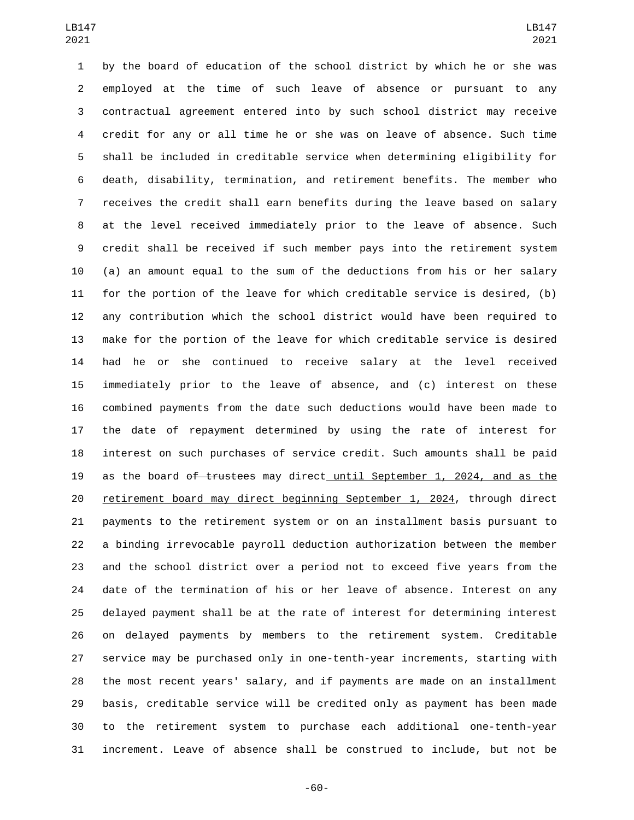by the board of education of the school district by which he or she was employed at the time of such leave of absence or pursuant to any contractual agreement entered into by such school district may receive credit for any or all time he or she was on leave of absence. Such time shall be included in creditable service when determining eligibility for death, disability, termination, and retirement benefits. The member who receives the credit shall earn benefits during the leave based on salary at the level received immediately prior to the leave of absence. Such credit shall be received if such member pays into the retirement system (a) an amount equal to the sum of the deductions from his or her salary for the portion of the leave for which creditable service is desired, (b) any contribution which the school district would have been required to make for the portion of the leave for which creditable service is desired had he or she continued to receive salary at the level received immediately prior to the leave of absence, and (c) interest on these combined payments from the date such deductions would have been made to the date of repayment determined by using the rate of interest for interest on such purchases of service credit. Such amounts shall be paid 19 as the board of trustees may direct until September 1, 2024, and as the retirement board may direct beginning September 1, 2024, through direct payments to the retirement system or on an installment basis pursuant to a binding irrevocable payroll deduction authorization between the member and the school district over a period not to exceed five years from the date of the termination of his or her leave of absence. Interest on any delayed payment shall be at the rate of interest for determining interest on delayed payments by members to the retirement system. Creditable service may be purchased only in one-tenth-year increments, starting with the most recent years' salary, and if payments are made on an installment basis, creditable service will be credited only as payment has been made to the retirement system to purchase each additional one-tenth-year increment. Leave of absence shall be construed to include, but not be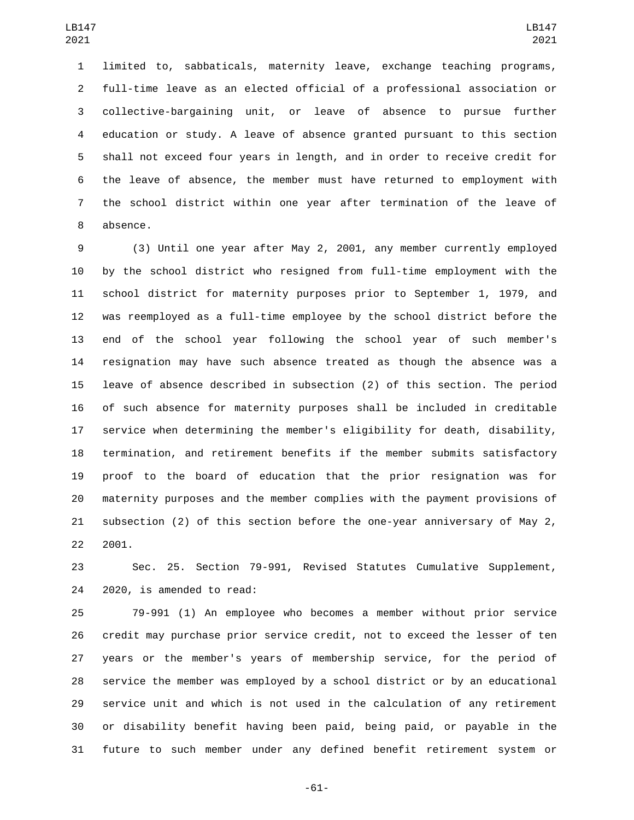limited to, sabbaticals, maternity leave, exchange teaching programs, full-time leave as an elected official of a professional association or collective-bargaining unit, or leave of absence to pursue further education or study. A leave of absence granted pursuant to this section shall not exceed four years in length, and in order to receive credit for the leave of absence, the member must have returned to employment with the school district within one year after termination of the leave of 8 absence.

 (3) Until one year after May 2, 2001, any member currently employed by the school district who resigned from full-time employment with the school district for maternity purposes prior to September 1, 1979, and was reemployed as a full-time employee by the school district before the end of the school year following the school year of such member's resignation may have such absence treated as though the absence was a leave of absence described in subsection (2) of this section. The period of such absence for maternity purposes shall be included in creditable service when determining the member's eligibility for death, disability, termination, and retirement benefits if the member submits satisfactory proof to the board of education that the prior resignation was for maternity purposes and the member complies with the payment provisions of subsection (2) of this section before the one-year anniversary of May 2, 2001.

 Sec. 25. Section 79-991, Revised Statutes Cumulative Supplement, 24 2020, is amended to read:

 79-991 (1) An employee who becomes a member without prior service credit may purchase prior service credit, not to exceed the lesser of ten years or the member's years of membership service, for the period of service the member was employed by a school district or by an educational service unit and which is not used in the calculation of any retirement or disability benefit having been paid, being paid, or payable in the future to such member under any defined benefit retirement system or

-61-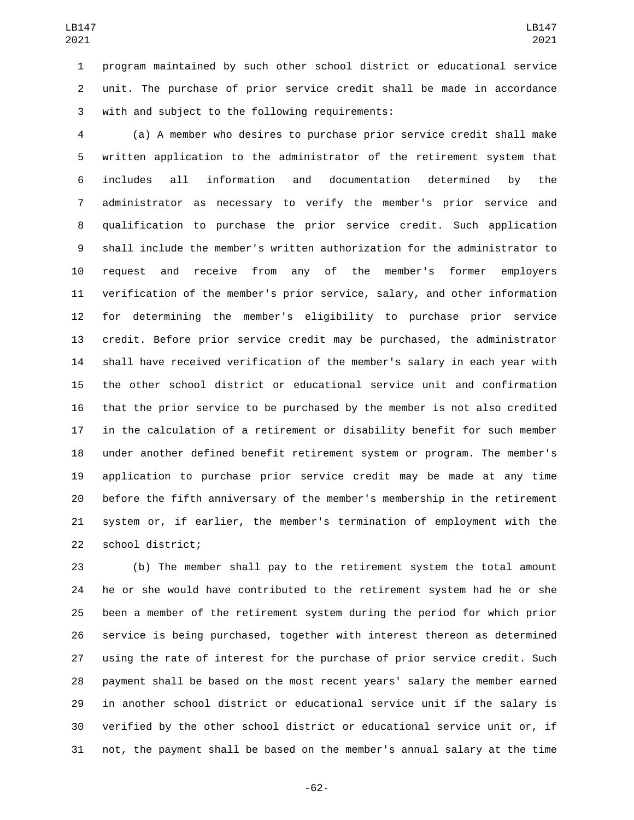program maintained by such other school district or educational service unit. The purchase of prior service credit shall be made in accordance 3 with and subject to the following requirements:

 (a) A member who desires to purchase prior service credit shall make written application to the administrator of the retirement system that includes all information and documentation determined by the administrator as necessary to verify the member's prior service and qualification to purchase the prior service credit. Such application shall include the member's written authorization for the administrator to request and receive from any of the member's former employers verification of the member's prior service, salary, and other information for determining the member's eligibility to purchase prior service credit. Before prior service credit may be purchased, the administrator shall have received verification of the member's salary in each year with the other school district or educational service unit and confirmation that the prior service to be purchased by the member is not also credited in the calculation of a retirement or disability benefit for such member under another defined benefit retirement system or program. The member's application to purchase prior service credit may be made at any time before the fifth anniversary of the member's membership in the retirement system or, if earlier, the member's termination of employment with the 22 school district;

 (b) The member shall pay to the retirement system the total amount he or she would have contributed to the retirement system had he or she been a member of the retirement system during the period for which prior service is being purchased, together with interest thereon as determined using the rate of interest for the purchase of prior service credit. Such payment shall be based on the most recent years' salary the member earned in another school district or educational service unit if the salary is verified by the other school district or educational service unit or, if not, the payment shall be based on the member's annual salary at the time

-62-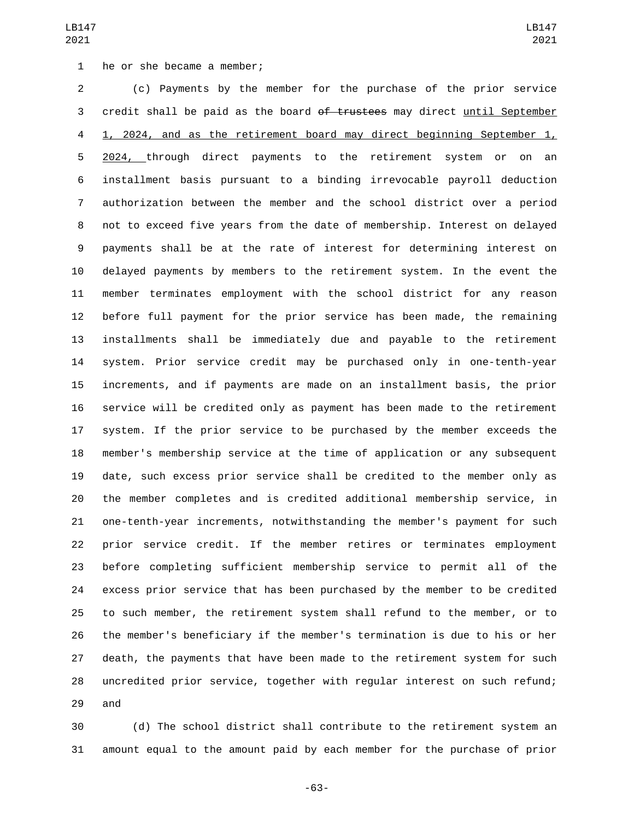1 he or she became a member;

 (c) Payments by the member for the purchase of the prior service 3 credit shall be paid as the board of trustees may direct until September 1, 2024, and as the retirement board may direct beginning September 1, 5 2024, through direct payments to the retirement system or on an installment basis pursuant to a binding irrevocable payroll deduction authorization between the member and the school district over a period not to exceed five years from the date of membership. Interest on delayed payments shall be at the rate of interest for determining interest on delayed payments by members to the retirement system. In the event the member terminates employment with the school district for any reason before full payment for the prior service has been made, the remaining installments shall be immediately due and payable to the retirement system. Prior service credit may be purchased only in one-tenth-year increments, and if payments are made on an installment basis, the prior service will be credited only as payment has been made to the retirement system. If the prior service to be purchased by the member exceeds the member's membership service at the time of application or any subsequent date, such excess prior service shall be credited to the member only as the member completes and is credited additional membership service, in one-tenth-year increments, notwithstanding the member's payment for such prior service credit. If the member retires or terminates employment before completing sufficient membership service to permit all of the excess prior service that has been purchased by the member to be credited to such member, the retirement system shall refund to the member, or to the member's beneficiary if the member's termination is due to his or her death, the payments that have been made to the retirement system for such uncredited prior service, together with regular interest on such refund; 29 and

 (d) The school district shall contribute to the retirement system an amount equal to the amount paid by each member for the purchase of prior

-63-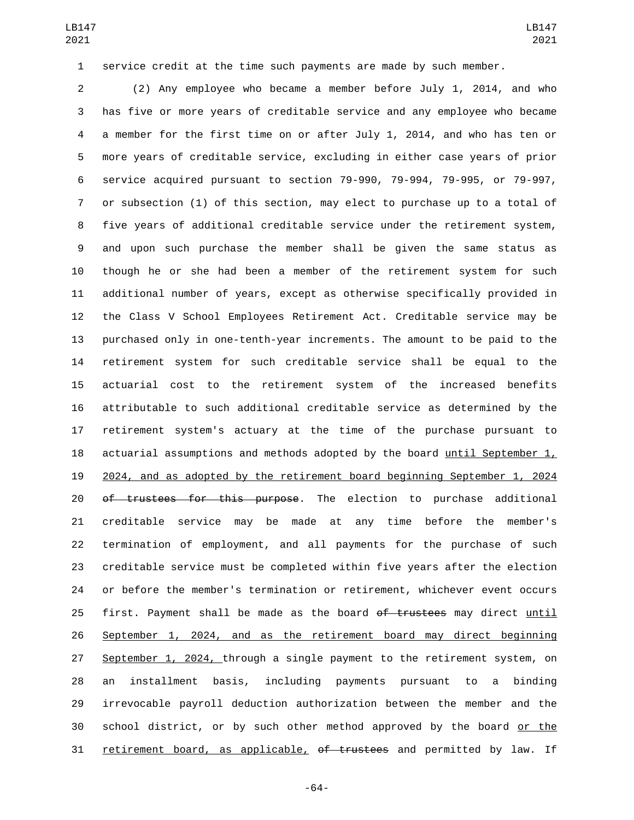service credit at the time such payments are made by such member.

 (2) Any employee who became a member before July 1, 2014, and who has five or more years of creditable service and any employee who became a member for the first time on or after July 1, 2014, and who has ten or more years of creditable service, excluding in either case years of prior service acquired pursuant to section 79-990, 79-994, 79-995, or 79-997, or subsection (1) of this section, may elect to purchase up to a total of five years of additional creditable service under the retirement system, and upon such purchase the member shall be given the same status as though he or she had been a member of the retirement system for such additional number of years, except as otherwise specifically provided in the Class V School Employees Retirement Act. Creditable service may be purchased only in one-tenth-year increments. The amount to be paid to the retirement system for such creditable service shall be equal to the actuarial cost to the retirement system of the increased benefits attributable to such additional creditable service as determined by the retirement system's actuary at the time of the purchase pursuant to actuarial assumptions and methods adopted by the board until September 1, 2024, and as adopted by the retirement board beginning September 1, 2024 20 of trustees for this purpose. The election to purchase additional creditable service may be made at any time before the member's termination of employment, and all payments for the purchase of such creditable service must be completed within five years after the election or before the member's termination or retirement, whichever event occurs 25 first. Payment shall be made as the board of trustees may direct until September 1, 2024, and as the retirement board may direct beginning 27 September 1, 2024, through a single payment to the retirement system, on an installment basis, including payments pursuant to a binding irrevocable payroll deduction authorization between the member and the school district, or by such other method approved by the board or the 31 retirement board, as applicable, of trustees and permitted by law. If

-64-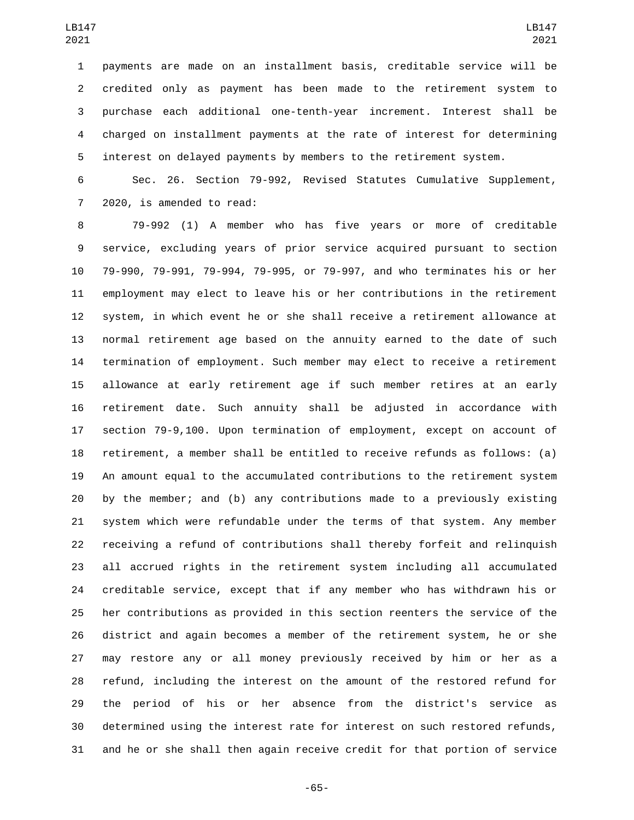payments are made on an installment basis, creditable service will be credited only as payment has been made to the retirement system to purchase each additional one-tenth-year increment. Interest shall be charged on installment payments at the rate of interest for determining interest on delayed payments by members to the retirement system.

 Sec. 26. Section 79-992, Revised Statutes Cumulative Supplement, 7 2020, is amended to read:

 79-992 (1) A member who has five years or more of creditable service, excluding years of prior service acquired pursuant to section 79-990, 79-991, 79-994, 79-995, or 79-997, and who terminates his or her employment may elect to leave his or her contributions in the retirement system, in which event he or she shall receive a retirement allowance at normal retirement age based on the annuity earned to the date of such termination of employment. Such member may elect to receive a retirement allowance at early retirement age if such member retires at an early retirement date. Such annuity shall be adjusted in accordance with section 79-9,100. Upon termination of employment, except on account of retirement, a member shall be entitled to receive refunds as follows: (a) An amount equal to the accumulated contributions to the retirement system by the member; and (b) any contributions made to a previously existing system which were refundable under the terms of that system. Any member receiving a refund of contributions shall thereby forfeit and relinquish all accrued rights in the retirement system including all accumulated creditable service, except that if any member who has withdrawn his or her contributions as provided in this section reenters the service of the district and again becomes a member of the retirement system, he or she may restore any or all money previously received by him or her as a refund, including the interest on the amount of the restored refund for the period of his or her absence from the district's service as determined using the interest rate for interest on such restored refunds, and he or she shall then again receive credit for that portion of service

-65-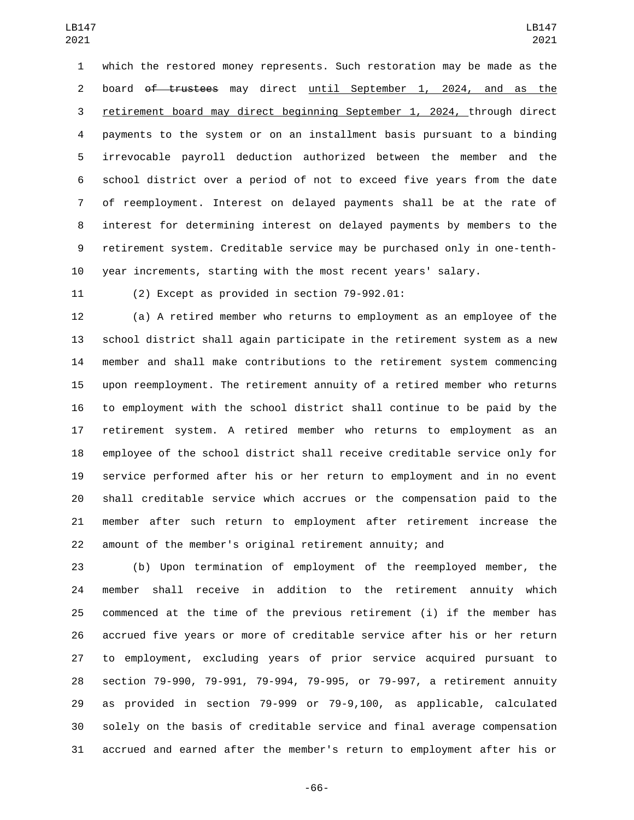which the restored money represents. Such restoration may be made as the board of trustees may direct until September 1, 2024, and as the retirement board may direct beginning September 1, 2024, through direct payments to the system or on an installment basis pursuant to a binding irrevocable payroll deduction authorized between the member and the school district over a period of not to exceed five years from the date of reemployment. Interest on delayed payments shall be at the rate of interest for determining interest on delayed payments by members to the retirement system. Creditable service may be purchased only in one-tenth-year increments, starting with the most recent years' salary.

(2) Except as provided in section  $79-992.01$ :

 (a) A retired member who returns to employment as an employee of the school district shall again participate in the retirement system as a new member and shall make contributions to the retirement system commencing upon reemployment. The retirement annuity of a retired member who returns to employment with the school district shall continue to be paid by the retirement system. A retired member who returns to employment as an employee of the school district shall receive creditable service only for service performed after his or her return to employment and in no event shall creditable service which accrues or the compensation paid to the member after such return to employment after retirement increase the amount of the member's original retirement annuity; and

 (b) Upon termination of employment of the reemployed member, the member shall receive in addition to the retirement annuity which commenced at the time of the previous retirement (i) if the member has accrued five years or more of creditable service after his or her return to employment, excluding years of prior service acquired pursuant to section 79-990, 79-991, 79-994, 79-995, or 79-997, a retirement annuity as provided in section 79-999 or 79-9,100, as applicable, calculated solely on the basis of creditable service and final average compensation accrued and earned after the member's return to employment after his or

-66-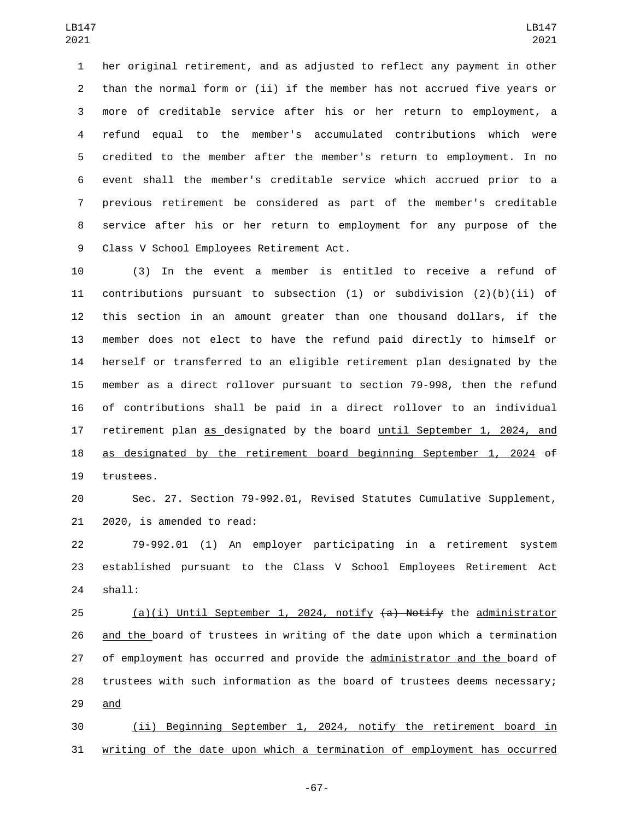her original retirement, and as adjusted to reflect any payment in other than the normal form or (ii) if the member has not accrued five years or more of creditable service after his or her return to employment, a refund equal to the member's accumulated contributions which were credited to the member after the member's return to employment. In no event shall the member's creditable service which accrued prior to a previous retirement be considered as part of the member's creditable service after his or her return to employment for any purpose of the 9 Class V School Employees Retirement Act.

 (3) In the event a member is entitled to receive a refund of contributions pursuant to subsection (1) or subdivision (2)(b)(ii) of this section in an amount greater than one thousand dollars, if the member does not elect to have the refund paid directly to himself or herself or transferred to an eligible retirement plan designated by the member as a direct rollover pursuant to section 79-998, then the refund of contributions shall be paid in a direct rollover to an individual retirement plan as designated by the board until September 1, 2024, and as designated by the retirement board beginning September 1, 2024 of trustees.

 Sec. 27. Section 79-992.01, Revised Statutes Cumulative Supplement, 21 2020, is amended to read:

 79-992.01 (1) An employer participating in a retirement system established pursuant to the Class V School Employees Retirement Act 24 shall:

25 (a)(i) Until September 1, 2024, notify (a) Notify the administrator and the board of trustees in writing of the date upon which a termination of employment has occurred and provide the administrator and the board of trustees with such information as the board of trustees deems necessary; 29 and

 (ii) Beginning September 1, 2024, notify the retirement board in writing of the date upon which a termination of employment has occurred

-67-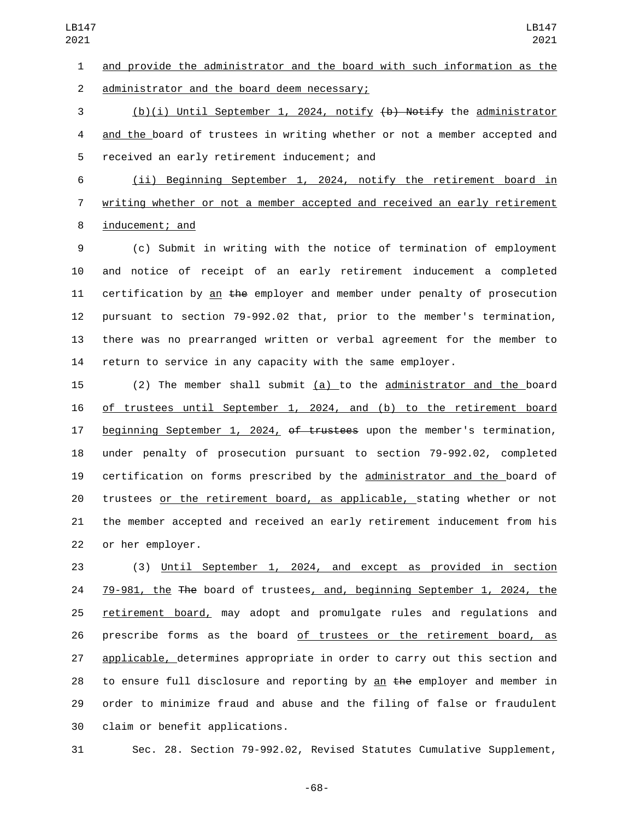and provide the administrator and the board with such information as the 2 administrator and the board deem necessary;

3 (b)(i) Until September 1, 2024, notify  $\{\mathbf{b}\}$  Notify the administrator 4 and the board of trustees in writing whether or not a member accepted and 5 received an early retirement inducement; and

 (ii) Beginning September 1, 2024, notify the retirement board in writing whether or not a member accepted and received an early retirement 8 inducement; and

 (c) Submit in writing with the notice of termination of employment and notice of receipt of an early retirement inducement a completed 11 certification by an the employer and member under penalty of prosecution pursuant to section 79-992.02 that, prior to the member's termination, there was no prearranged written or verbal agreement for the member to return to service in any capacity with the same employer.

 (2) The member shall submit (a) to the administrator and the board of trustees until September 1, 2024, and (b) to the retirement board 17 beginning September 1, 2024, of trustees upon the member's termination, under penalty of prosecution pursuant to section 79-992.02, completed certification on forms prescribed by the administrator and the board of trustees or the retirement board, as applicable, stating whether or not the member accepted and received an early retirement inducement from his 22 or her employer.

 (3) Until September 1, 2024, and except as provided in section 79-981, the The board of trustees, and, beginning September 1, 2024, the retirement board, may adopt and promulgate rules and regulations and prescribe forms as the board of trustees or the retirement board, as applicable, determines appropriate in order to carry out this section and 28 to ensure full disclosure and reporting by an the employer and member in order to minimize fraud and abuse and the filing of false or fraudulent 30 claim or benefit applications.

Sec. 28. Section 79-992.02, Revised Statutes Cumulative Supplement,

-68-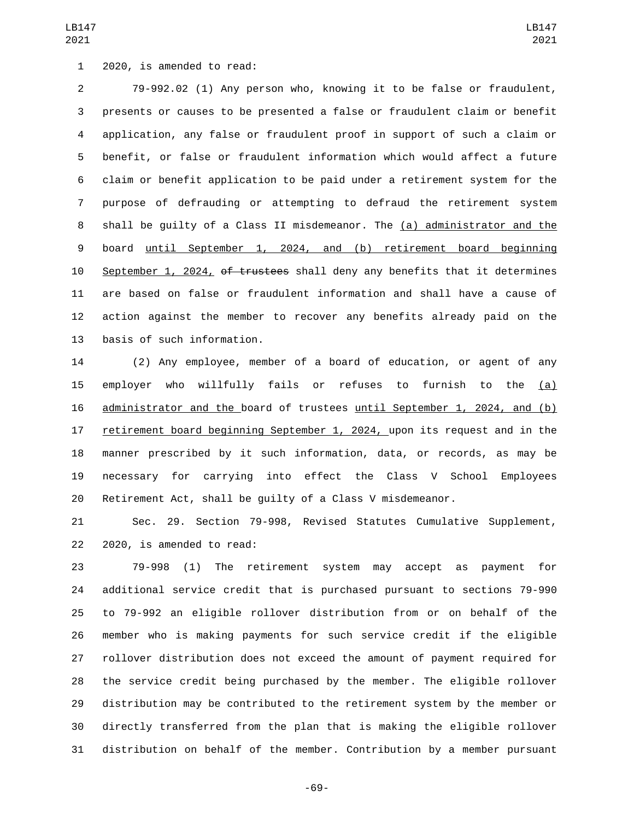1 2020, is amended to read:

 79-992.02 (1) Any person who, knowing it to be false or fraudulent, presents or causes to be presented a false or fraudulent claim or benefit application, any false or fraudulent proof in support of such a claim or benefit, or false or fraudulent information which would affect a future claim or benefit application to be paid under a retirement system for the purpose of defrauding or attempting to defraud the retirement system shall be guilty of a Class II misdemeanor. The (a) administrator and the board until September 1, 2024, and (b) retirement board beginning 10 September 1, 2024, of trustees shall deny any benefits that it determines are based on false or fraudulent information and shall have a cause of action against the member to recover any benefits already paid on the 13 basis of such information.

 (2) Any employee, member of a board of education, or agent of any employer who willfully fails or refuses to furnish to the (a) administrator and the board of trustees until September 1, 2024, and (b) 17 retirement board beginning September 1, 2024, upon its request and in the manner prescribed by it such information, data, or records, as may be necessary for carrying into effect the Class V School Employees Retirement Act, shall be guilty of a Class V misdemeanor.

 Sec. 29. Section 79-998, Revised Statutes Cumulative Supplement, 22 2020, is amended to read:

 79-998 (1) The retirement system may accept as payment for additional service credit that is purchased pursuant to sections 79-990 to 79-992 an eligible rollover distribution from or on behalf of the member who is making payments for such service credit if the eligible rollover distribution does not exceed the amount of payment required for the service credit being purchased by the member. The eligible rollover distribution may be contributed to the retirement system by the member or directly transferred from the plan that is making the eligible rollover distribution on behalf of the member. Contribution by a member pursuant

-69-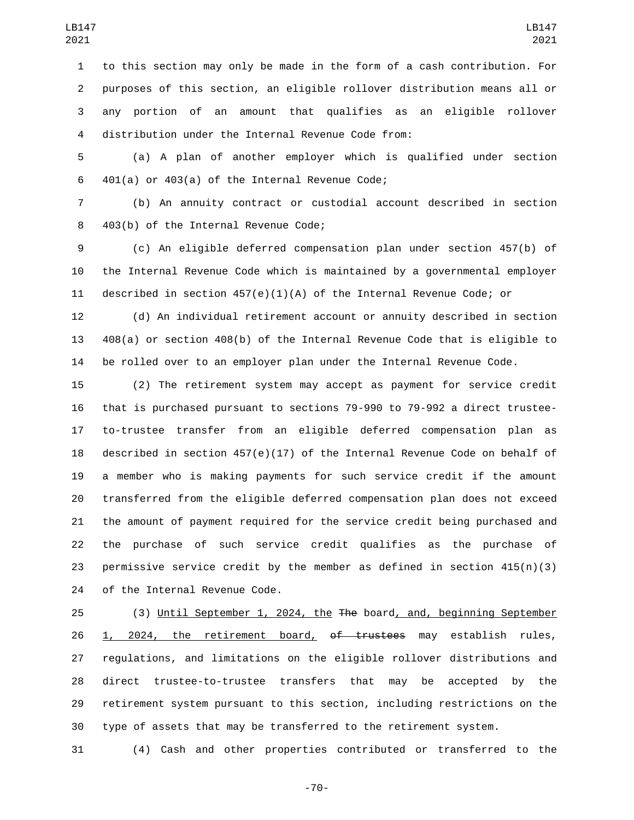to this section may only be made in the form of a cash contribution. For purposes of this section, an eligible rollover distribution means all or any portion of an amount that qualifies as an eligible rollover distribution under the Internal Revenue Code from:4

 (a) A plan of another employer which is qualified under section 401(a) or 403(a) of the Internal Revenue Code;

 (b) An annuity contract or custodial account described in section 403(b) of the Internal Revenue Code;8

 (c) An eligible deferred compensation plan under section 457(b) of the Internal Revenue Code which is maintained by a governmental employer described in section 457(e)(1)(A) of the Internal Revenue Code; or

 (d) An individual retirement account or annuity described in section 408(a) or section 408(b) of the Internal Revenue Code that is eligible to be rolled over to an employer plan under the Internal Revenue Code.

 (2) The retirement system may accept as payment for service credit that is purchased pursuant to sections 79-990 to 79-992 a direct trustee- to-trustee transfer from an eligible deferred compensation plan as described in section 457(e)(17) of the Internal Revenue Code on behalf of a member who is making payments for such service credit if the amount transferred from the eligible deferred compensation plan does not exceed the amount of payment required for the service credit being purchased and the purchase of such service credit qualifies as the purchase of permissive service credit by the member as defined in section 415(n)(3) 24 of the Internal Revenue Code.

 (3) Until September 1, 2024, the The board, and, beginning September 26 1, 2024, the retirement board, of trustees may establish rules, regulations, and limitations on the eligible rollover distributions and direct trustee-to-trustee transfers that may be accepted by the retirement system pursuant to this section, including restrictions on the type of assets that may be transferred to the retirement system.

(4) Cash and other properties contributed or transferred to the

-70-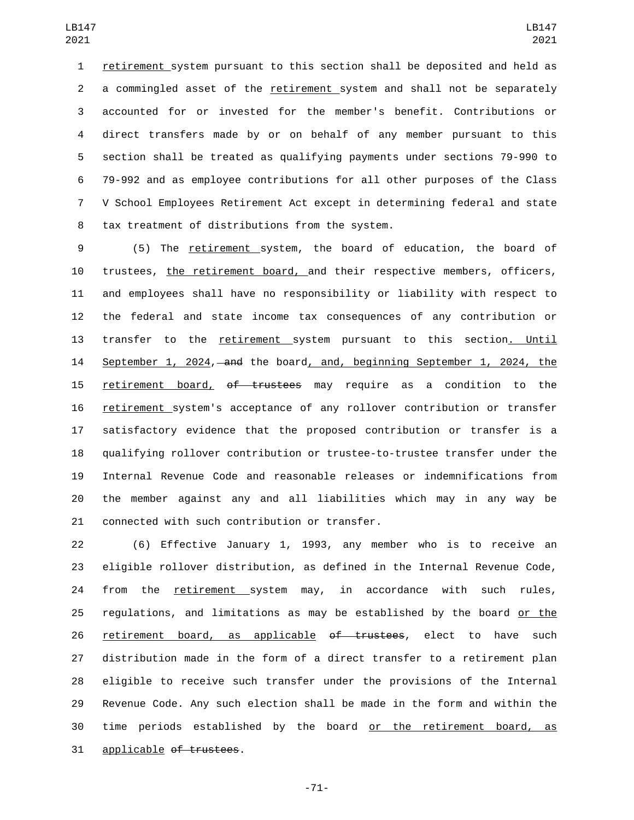retirement system pursuant to this section shall be deposited and held as a commingled asset of the retirement system and shall not be separately accounted for or invested for the member's benefit. Contributions or direct transfers made by or on behalf of any member pursuant to this section shall be treated as qualifying payments under sections 79-990 to 79-992 and as employee contributions for all other purposes of the Class V School Employees Retirement Act except in determining federal and state 8 tax treatment of distributions from the system.

 (5) The retirement system, the board of education, the board of trustees, the retirement board, and their respective members, officers, and employees shall have no responsibility or liability with respect to the federal and state income tax consequences of any contribution or transfer to the retirement system pursuant to this section. Until 14 September 1, 2024, and the board, and, beginning September 1, 2024, the retirement board, of trustees may require as a condition to the retirement system's acceptance of any rollover contribution or transfer satisfactory evidence that the proposed contribution or transfer is a qualifying rollover contribution or trustee-to-trustee transfer under the Internal Revenue Code and reasonable releases or indemnifications from the member against any and all liabilities which may in any way be 21 connected with such contribution or transfer.

 (6) Effective January 1, 1993, any member who is to receive an eligible rollover distribution, as defined in the Internal Revenue Code, from the retirement system may, in accordance with such rules, 25 requlations, and limitations as may be established by the board or the 26 retirement board, as applicable <del>of trustees</del>, elect to have such distribution made in the form of a direct transfer to a retirement plan eligible to receive such transfer under the provisions of the Internal Revenue Code. Any such election shall be made in the form and within the time periods established by the board or the retirement board, as 31 applicable of trustees.

-71-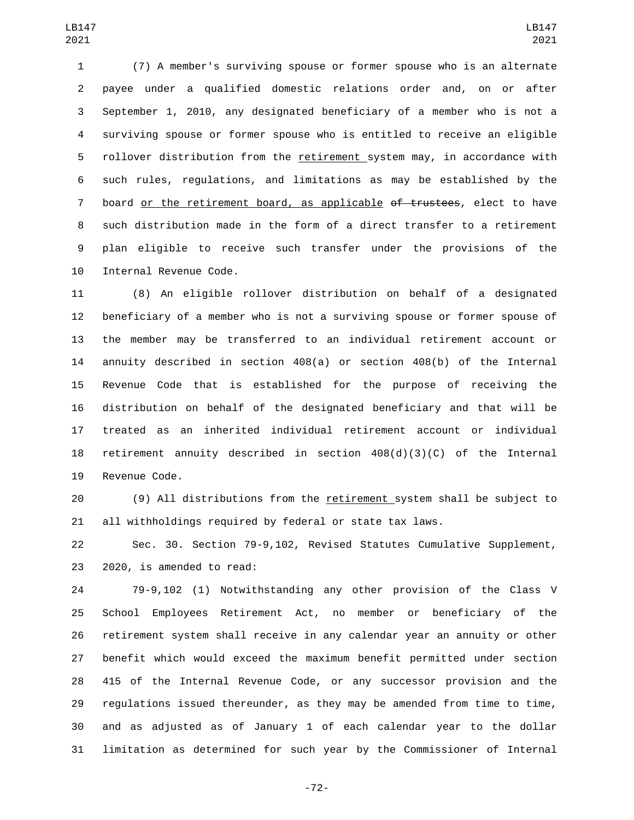(7) A member's surviving spouse or former spouse who is an alternate payee under a qualified domestic relations order and, on or after September 1, 2010, any designated beneficiary of a member who is not a surviving spouse or former spouse who is entitled to receive an eligible rollover distribution from the retirement system may, in accordance with such rules, regulations, and limitations as may be established by the 7 board or the retirement board, as applicable of trustees, elect to have such distribution made in the form of a direct transfer to a retirement plan eligible to receive such transfer under the provisions of the 10 Internal Revenue Code.

 (8) An eligible rollover distribution on behalf of a designated beneficiary of a member who is not a surviving spouse or former spouse of the member may be transferred to an individual retirement account or annuity described in section 408(a) or section 408(b) of the Internal Revenue Code that is established for the purpose of receiving the distribution on behalf of the designated beneficiary and that will be treated as an inherited individual retirement account or individual 18 retirement annuity described in section  $408(d)(3)(C)$  of the Internal 19 Revenue Code.

 (9) All distributions from the retirement system shall be subject to all withholdings required by federal or state tax laws.

 Sec. 30. Section 79-9,102, Revised Statutes Cumulative Supplement, 23 2020, is amended to read:

 79-9,102 (1) Notwithstanding any other provision of the Class V School Employees Retirement Act, no member or beneficiary of the retirement system shall receive in any calendar year an annuity or other benefit which would exceed the maximum benefit permitted under section 415 of the Internal Revenue Code, or any successor provision and the regulations issued thereunder, as they may be amended from time to time, and as adjusted as of January 1 of each calendar year to the dollar limitation as determined for such year by the Commissioner of Internal

-72-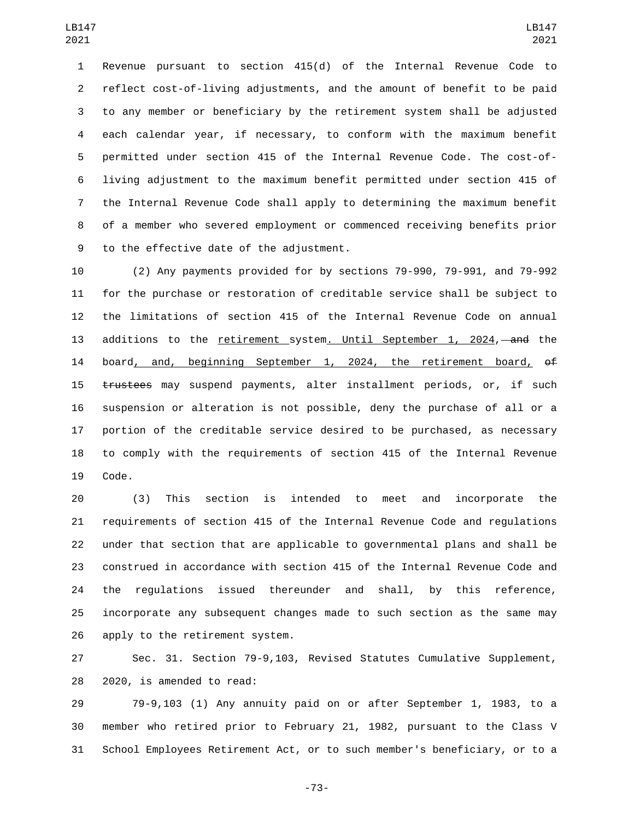Revenue pursuant to section 415(d) of the Internal Revenue Code to reflect cost-of-living adjustments, and the amount of benefit to be paid to any member or beneficiary by the retirement system shall be adjusted each calendar year, if necessary, to conform with the maximum benefit permitted under section 415 of the Internal Revenue Code. The cost-of- living adjustment to the maximum benefit permitted under section 415 of the Internal Revenue Code shall apply to determining the maximum benefit of a member who severed employment or commenced receiving benefits prior 9 to the effective date of the adjustment.

 (2) Any payments provided for by sections 79-990, 79-991, and 79-992 for the purchase or restoration of creditable service shall be subject to the limitations of section 415 of the Internal Revenue Code on annual 13 additions to the retirement system. Until September 1, 2024, and the 14 board, and, beginning September 1, 2024, the retirement board, of 15 trustees may suspend payments, alter installment periods, or, if such suspension or alteration is not possible, deny the purchase of all or a portion of the creditable service desired to be purchased, as necessary to comply with the requirements of section 415 of the Internal Revenue 19 Code.

 (3) This section is intended to meet and incorporate the requirements of section 415 of the Internal Revenue Code and regulations under that section that are applicable to governmental plans and shall be construed in accordance with section 415 of the Internal Revenue Code and the regulations issued thereunder and shall, by this reference, incorporate any subsequent changes made to such section as the same may 26 apply to the retirement system.

 Sec. 31. Section 79-9,103, Revised Statutes Cumulative Supplement, 28 2020, is amended to read:

 79-9,103 (1) Any annuity paid on or after September 1, 1983, to a member who retired prior to February 21, 1982, pursuant to the Class V School Employees Retirement Act, or to such member's beneficiary, or to a

-73-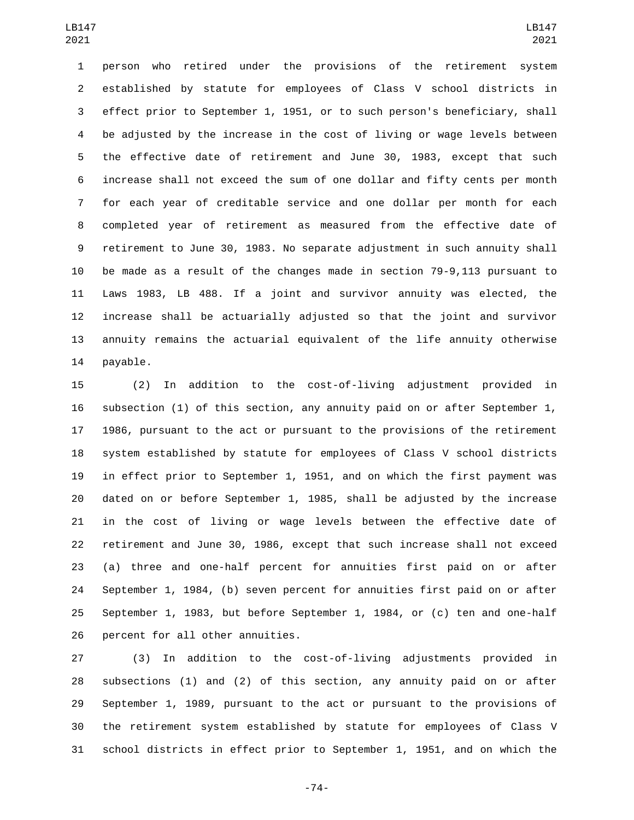person who retired under the provisions of the retirement system established by statute for employees of Class V school districts in effect prior to September 1, 1951, or to such person's beneficiary, shall be adjusted by the increase in the cost of living or wage levels between the effective date of retirement and June 30, 1983, except that such increase shall not exceed the sum of one dollar and fifty cents per month for each year of creditable service and one dollar per month for each completed year of retirement as measured from the effective date of retirement to June 30, 1983. No separate adjustment in such annuity shall be made as a result of the changes made in section 79-9,113 pursuant to Laws 1983, LB 488. If a joint and survivor annuity was elected, the increase shall be actuarially adjusted so that the joint and survivor annuity remains the actuarial equivalent of the life annuity otherwise 14 payable.

 (2) In addition to the cost-of-living adjustment provided in subsection (1) of this section, any annuity paid on or after September 1, 1986, pursuant to the act or pursuant to the provisions of the retirement system established by statute for employees of Class V school districts in effect prior to September 1, 1951, and on which the first payment was dated on or before September 1, 1985, shall be adjusted by the increase in the cost of living or wage levels between the effective date of retirement and June 30, 1986, except that such increase shall not exceed (a) three and one-half percent for annuities first paid on or after September 1, 1984, (b) seven percent for annuities first paid on or after September 1, 1983, but before September 1, 1984, or (c) ten and one-half 26 percent for all other annuities.

 (3) In addition to the cost-of-living adjustments provided in subsections (1) and (2) of this section, any annuity paid on or after September 1, 1989, pursuant to the act or pursuant to the provisions of the retirement system established by statute for employees of Class V school districts in effect prior to September 1, 1951, and on which the

-74-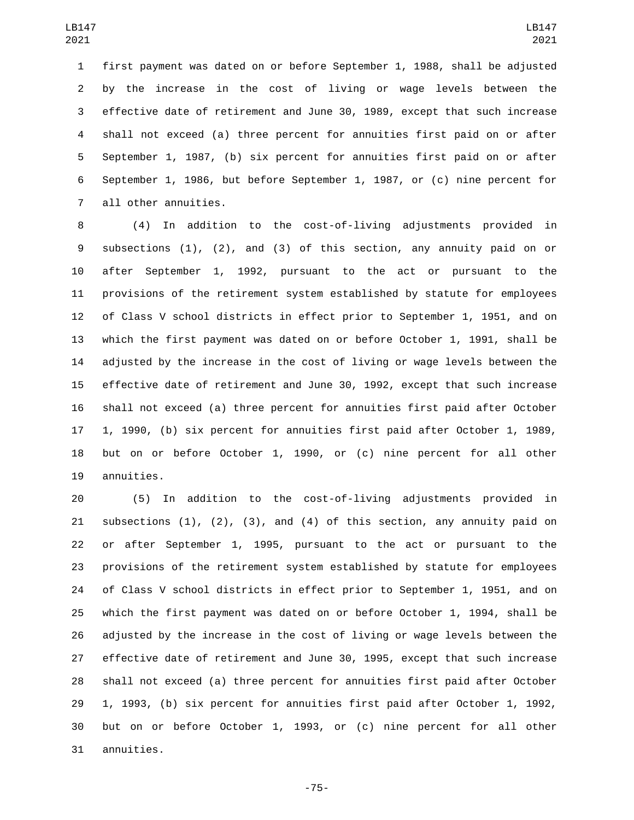first payment was dated on or before September 1, 1988, shall be adjusted by the increase in the cost of living or wage levels between the effective date of retirement and June 30, 1989, except that such increase shall not exceed (a) three percent for annuities first paid on or after September 1, 1987, (b) six percent for annuities first paid on or after September 1, 1986, but before September 1, 1987, or (c) nine percent for 7 all other annuities.

 (4) In addition to the cost-of-living adjustments provided in subsections (1), (2), and (3) of this section, any annuity paid on or after September 1, 1992, pursuant to the act or pursuant to the provisions of the retirement system established by statute for employees of Class V school districts in effect prior to September 1, 1951, and on which the first payment was dated on or before October 1, 1991, shall be adjusted by the increase in the cost of living or wage levels between the effective date of retirement and June 30, 1992, except that such increase shall not exceed (a) three percent for annuities first paid after October 1, 1990, (b) six percent for annuities first paid after October 1, 1989, but on or before October 1, 1990, or (c) nine percent for all other 19 annuities.

 (5) In addition to the cost-of-living adjustments provided in subsections (1), (2), (3), and (4) of this section, any annuity paid on or after September 1, 1995, pursuant to the act or pursuant to the provisions of the retirement system established by statute for employees of Class V school districts in effect prior to September 1, 1951, and on which the first payment was dated on or before October 1, 1994, shall be adjusted by the increase in the cost of living or wage levels between the effective date of retirement and June 30, 1995, except that such increase shall not exceed (a) three percent for annuities first paid after October 1, 1993, (b) six percent for annuities first paid after October 1, 1992, but on or before October 1, 1993, or (c) nine percent for all other 31 annuities.

-75-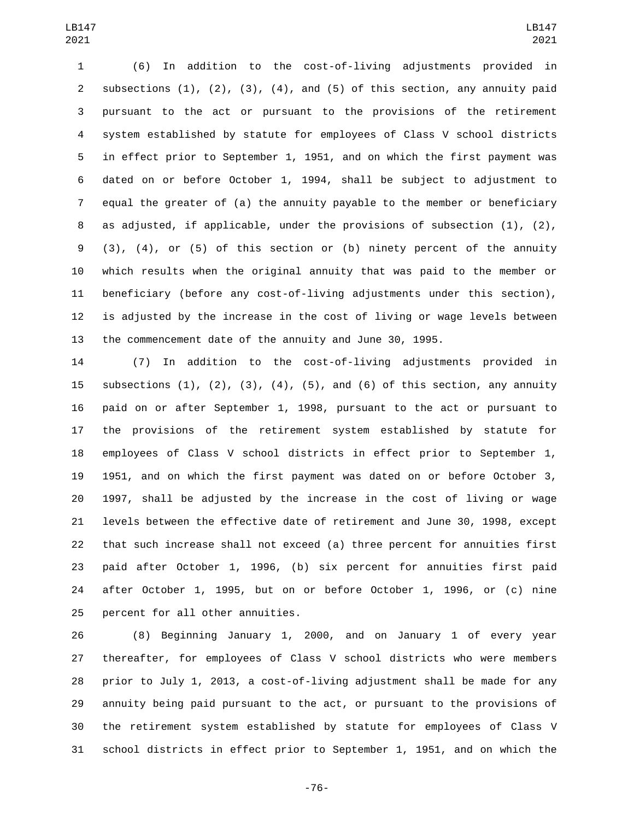(6) In addition to the cost-of-living adjustments provided in 2 subsections  $(1)$ ,  $(2)$ ,  $(3)$ ,  $(4)$ , and  $(5)$  of this section, any annuity paid pursuant to the act or pursuant to the provisions of the retirement system established by statute for employees of Class V school districts in effect prior to September 1, 1951, and on which the first payment was dated on or before October 1, 1994, shall be subject to adjustment to equal the greater of (a) the annuity payable to the member or beneficiary as adjusted, if applicable, under the provisions of subsection (1), (2), (3), (4), or (5) of this section or (b) ninety percent of the annuity which results when the original annuity that was paid to the member or beneficiary (before any cost-of-living adjustments under this section), is adjusted by the increase in the cost of living or wage levels between the commencement date of the annuity and June 30, 1995.

 (7) In addition to the cost-of-living adjustments provided in 15 subsections  $(1)$ ,  $(2)$ ,  $(3)$ ,  $(4)$ ,  $(5)$ , and  $(6)$  of this section, any annuity paid on or after September 1, 1998, pursuant to the act or pursuant to the provisions of the retirement system established by statute for employees of Class V school districts in effect prior to September 1, 1951, and on which the first payment was dated on or before October 3, 1997, shall be adjusted by the increase in the cost of living or wage levels between the effective date of retirement and June 30, 1998, except that such increase shall not exceed (a) three percent for annuities first paid after October 1, 1996, (b) six percent for annuities first paid after October 1, 1995, but on or before October 1, 1996, or (c) nine 25 percent for all other annuities.

 (8) Beginning January 1, 2000, and on January 1 of every year thereafter, for employees of Class V school districts who were members prior to July 1, 2013, a cost-of-living adjustment shall be made for any annuity being paid pursuant to the act, or pursuant to the provisions of the retirement system established by statute for employees of Class V school districts in effect prior to September 1, 1951, and on which the

-76-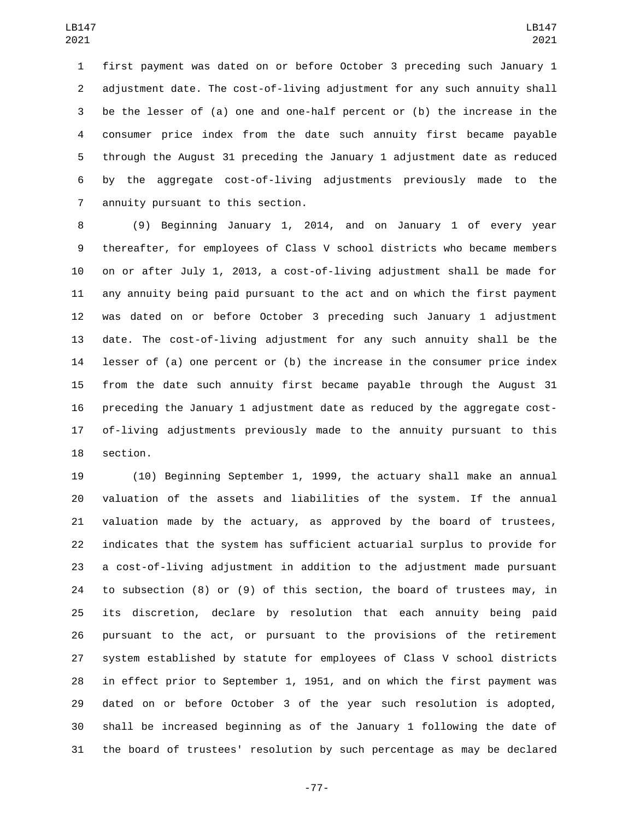first payment was dated on or before October 3 preceding such January 1 adjustment date. The cost-of-living adjustment for any such annuity shall be the lesser of (a) one and one-half percent or (b) the increase in the consumer price index from the date such annuity first became payable through the August 31 preceding the January 1 adjustment date as reduced by the aggregate cost-of-living adjustments previously made to the annuity pursuant to this section.7

 (9) Beginning January 1, 2014, and on January 1 of every year thereafter, for employees of Class V school districts who became members on or after July 1, 2013, a cost-of-living adjustment shall be made for any annuity being paid pursuant to the act and on which the first payment was dated on or before October 3 preceding such January 1 adjustment date. The cost-of-living adjustment for any such annuity shall be the lesser of (a) one percent or (b) the increase in the consumer price index from the date such annuity first became payable through the August 31 preceding the January 1 adjustment date as reduced by the aggregate cost- of-living adjustments previously made to the annuity pursuant to this 18 section.

 (10) Beginning September 1, 1999, the actuary shall make an annual valuation of the assets and liabilities of the system. If the annual valuation made by the actuary, as approved by the board of trustees, indicates that the system has sufficient actuarial surplus to provide for a cost-of-living adjustment in addition to the adjustment made pursuant to subsection (8) or (9) of this section, the board of trustees may, in its discretion, declare by resolution that each annuity being paid pursuant to the act, or pursuant to the provisions of the retirement system established by statute for employees of Class V school districts in effect prior to September 1, 1951, and on which the first payment was dated on or before October 3 of the year such resolution is adopted, shall be increased beginning as of the January 1 following the date of the board of trustees' resolution by such percentage as may be declared

-77-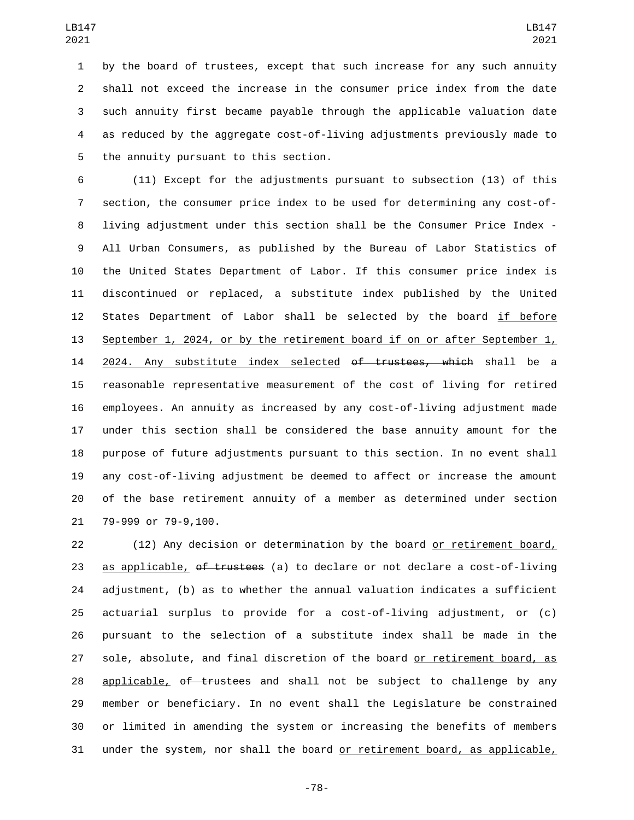by the board of trustees, except that such increase for any such annuity shall not exceed the increase in the consumer price index from the date such annuity first became payable through the applicable valuation date as reduced by the aggregate cost-of-living adjustments previously made to 5 the annuity pursuant to this section.

 (11) Except for the adjustments pursuant to subsection (13) of this section, the consumer price index to be used for determining any cost-of- living adjustment under this section shall be the Consumer Price Index - All Urban Consumers, as published by the Bureau of Labor Statistics of the United States Department of Labor. If this consumer price index is discontinued or replaced, a substitute index published by the United 12 States Department of Labor shall be selected by the board if before September 1, 2024, or by the retirement board if on or after September 1, 14 2024. Any substitute index selected of trustees, which shall be a reasonable representative measurement of the cost of living for retired employees. An annuity as increased by any cost-of-living adjustment made under this section shall be considered the base annuity amount for the purpose of future adjustments pursuant to this section. In no event shall any cost-of-living adjustment be deemed to affect or increase the amount of the base retirement annuity of a member as determined under section 21 79-999 or 79-9,100.

 (12) Any decision or determination by the board or retirement board, 23 as applicable, of trustees (a) to declare or not declare a cost-of-living adjustment, (b) as to whether the annual valuation indicates a sufficient actuarial surplus to provide for a cost-of-living adjustment, or (c) pursuant to the selection of a substitute index shall be made in the sole, absolute, and final discretion of the board or retirement board, as 28 applicable, of trustees and shall not be subject to challenge by any member or beneficiary. In no event shall the Legislature be constrained or limited in amending the system or increasing the benefits of members under the system, nor shall the board or retirement board, as applicable,

-78-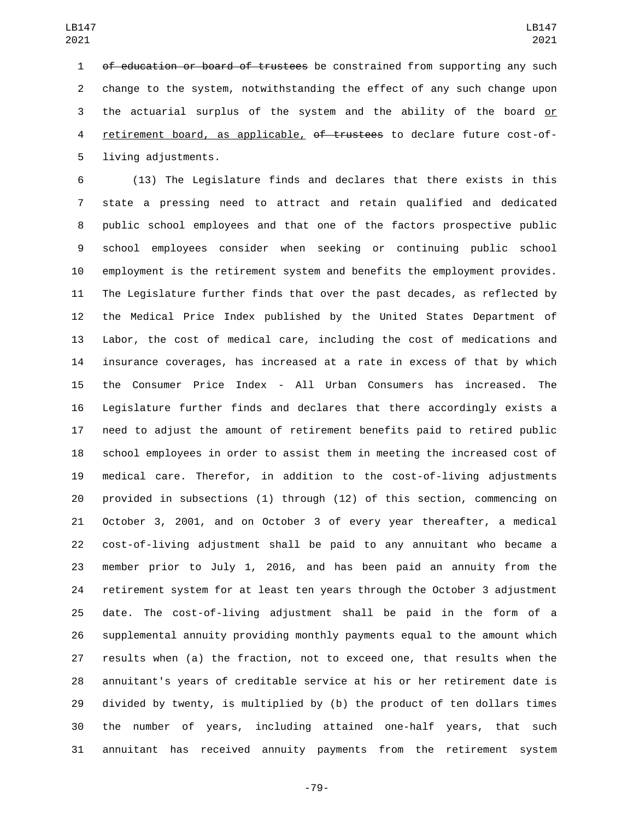1 of education or board of trustees be constrained from supporting any such change to the system, notwithstanding the effect of any such change upon the actuarial surplus of the system and the ability of the board or 4 retirement board, as applicable, of trustees to declare future cost-of-5 living adjustments.

 (13) The Legislature finds and declares that there exists in this state a pressing need to attract and retain qualified and dedicated public school employees and that one of the factors prospective public school employees consider when seeking or continuing public school employment is the retirement system and benefits the employment provides. The Legislature further finds that over the past decades, as reflected by the Medical Price Index published by the United States Department of Labor, the cost of medical care, including the cost of medications and insurance coverages, has increased at a rate in excess of that by which the Consumer Price Index - All Urban Consumers has increased. The Legislature further finds and declares that there accordingly exists a need to adjust the amount of retirement benefits paid to retired public school employees in order to assist them in meeting the increased cost of medical care. Therefor, in addition to the cost-of-living adjustments provided in subsections (1) through (12) of this section, commencing on October 3, 2001, and on October 3 of every year thereafter, a medical cost-of-living adjustment shall be paid to any annuitant who became a member prior to July 1, 2016, and has been paid an annuity from the retirement system for at least ten years through the October 3 adjustment date. The cost-of-living adjustment shall be paid in the form of a supplemental annuity providing monthly payments equal to the amount which results when (a) the fraction, not to exceed one, that results when the annuitant's years of creditable service at his or her retirement date is divided by twenty, is multiplied by (b) the product of ten dollars times the number of years, including attained one-half years, that such annuitant has received annuity payments from the retirement system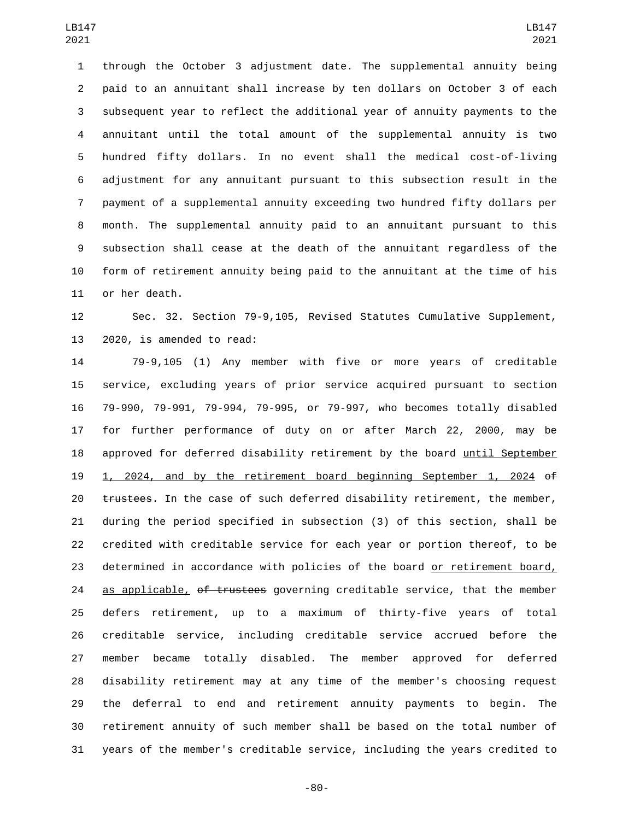through the October 3 adjustment date. The supplemental annuity being paid to an annuitant shall increase by ten dollars on October 3 of each subsequent year to reflect the additional year of annuity payments to the annuitant until the total amount of the supplemental annuity is two hundred fifty dollars. In no event shall the medical cost-of-living adjustment for any annuitant pursuant to this subsection result in the payment of a supplemental annuity exceeding two hundred fifty dollars per month. The supplemental annuity paid to an annuitant pursuant to this subsection shall cease at the death of the annuitant regardless of the form of retirement annuity being paid to the annuitant at the time of his 11 or her death.

 Sec. 32. Section 79-9,105, Revised Statutes Cumulative Supplement, 13 2020, is amended to read:

 79-9,105 (1) Any member with five or more years of creditable service, excluding years of prior service acquired pursuant to section 79-990, 79-991, 79-994, 79-995, or 79-997, who becomes totally disabled for further performance of duty on or after March 22, 2000, may be approved for deferred disability retirement by the board until September 1, 2024, and by the retirement board beginning September 1, 2024 of 20 trustees. In the case of such deferred disability retirement, the member, during the period specified in subsection (3) of this section, shall be credited with creditable service for each year or portion thereof, to be determined in accordance with policies of the board or retirement board, 24 as applicable, of trustees governing creditable service, that the member defers retirement, up to a maximum of thirty-five years of total creditable service, including creditable service accrued before the member became totally disabled. The member approved for deferred disability retirement may at any time of the member's choosing request the deferral to end and retirement annuity payments to begin. The retirement annuity of such member shall be based on the total number of years of the member's creditable service, including the years credited to

-80-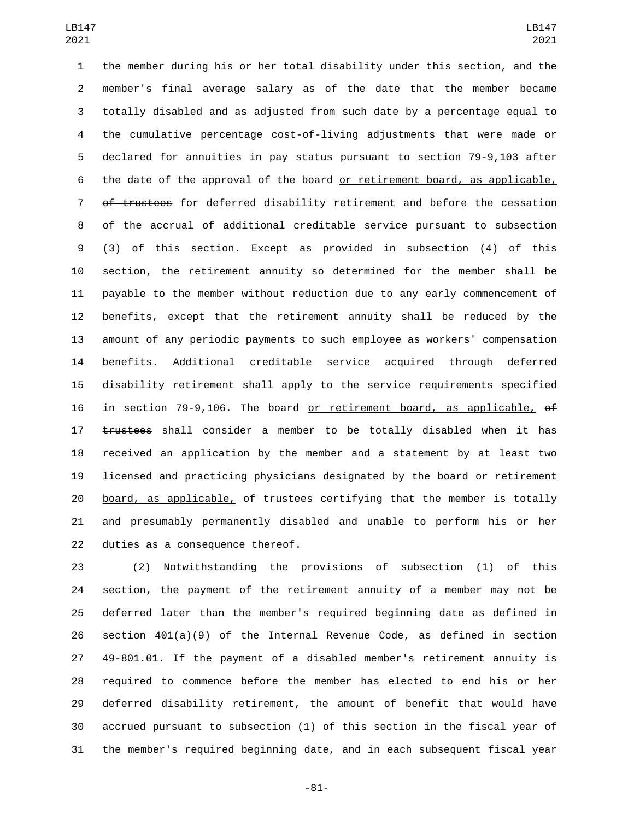the member during his or her total disability under this section, and the member's final average salary as of the date that the member became totally disabled and as adjusted from such date by a percentage equal to the cumulative percentage cost-of-living adjustments that were made or declared for annuities in pay status pursuant to section 79-9,103 after the date of the approval of the board or retirement board, as applicable, of trustees for deferred disability retirement and before the cessation of the accrual of additional creditable service pursuant to subsection (3) of this section. Except as provided in subsection (4) of this section, the retirement annuity so determined for the member shall be payable to the member without reduction due to any early commencement of benefits, except that the retirement annuity shall be reduced by the amount of any periodic payments to such employee as workers' compensation benefits. Additional creditable service acquired through deferred disability retirement shall apply to the service requirements specified in section 79-9,106. The board or retirement board, as applicable, of 17 trustees shall consider a member to be totally disabled when it has received an application by the member and a statement by at least two licensed and practicing physicians designated by the board or retirement 20 board, as applicable, of trustees certifying that the member is totally and presumably permanently disabled and unable to perform his or her 22 duties as a consequence thereof.

 (2) Notwithstanding the provisions of subsection (1) of this section, the payment of the retirement annuity of a member may not be deferred later than the member's required beginning date as defined in section 401(a)(9) of the Internal Revenue Code, as defined in section 49-801.01. If the payment of a disabled member's retirement annuity is required to commence before the member has elected to end his or her deferred disability retirement, the amount of benefit that would have accrued pursuant to subsection (1) of this section in the fiscal year of the member's required beginning date, and in each subsequent fiscal year

-81-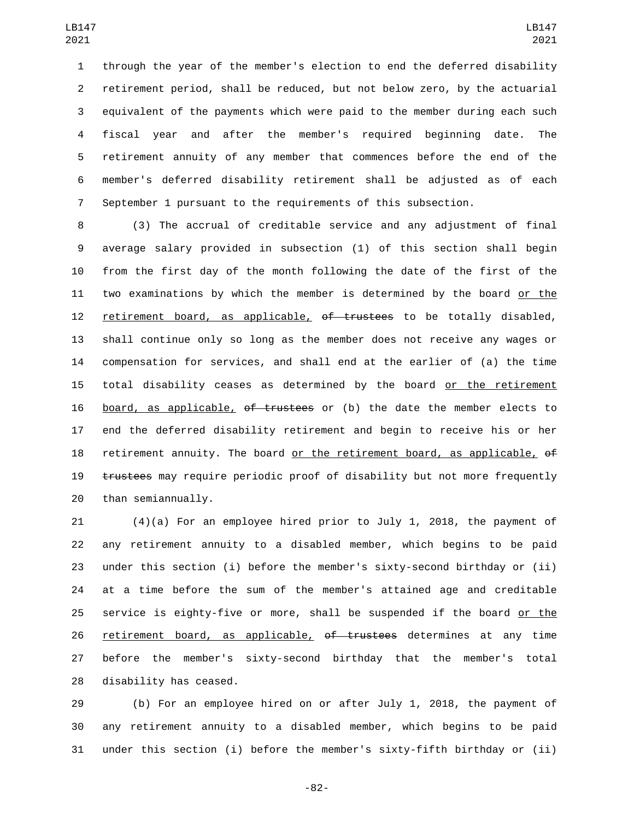through the year of the member's election to end the deferred disability retirement period, shall be reduced, but not below zero, by the actuarial equivalent of the payments which were paid to the member during each such fiscal year and after the member's required beginning date. The retirement annuity of any member that commences before the end of the member's deferred disability retirement shall be adjusted as of each September 1 pursuant to the requirements of this subsection.

 (3) The accrual of creditable service and any adjustment of final average salary provided in subsection (1) of this section shall begin from the first day of the month following the date of the first of the two examinations by which the member is determined by the board or the 12 retirement board, as applicable, of trustees to be totally disabled, shall continue only so long as the member does not receive any wages or compensation for services, and shall end at the earlier of (a) the time total disability ceases as determined by the board or the retirement board, as applicable, of trustees or (b) the date the member elects to end the deferred disability retirement and begin to receive his or her 18 retirement annuity. The board or the retirement board, as applicable,  $\theta$ f 19 trustees may require periodic proof of disability but not more frequently 20 than semiannually.

 (4)(a) For an employee hired prior to July 1, 2018, the payment of any retirement annuity to a disabled member, which begins to be paid under this section (i) before the member's sixty-second birthday or (ii) at a time before the sum of the member's attained age and creditable 25 service is eighty-five or more, shall be suspended if the board or the 26 retirement board, as applicable, of trustees determines at any time before the member's sixty-second birthday that the member's total 28 disability has ceased.

 (b) For an employee hired on or after July 1, 2018, the payment of any retirement annuity to a disabled member, which begins to be paid under this section (i) before the member's sixty-fifth birthday or (ii)

-82-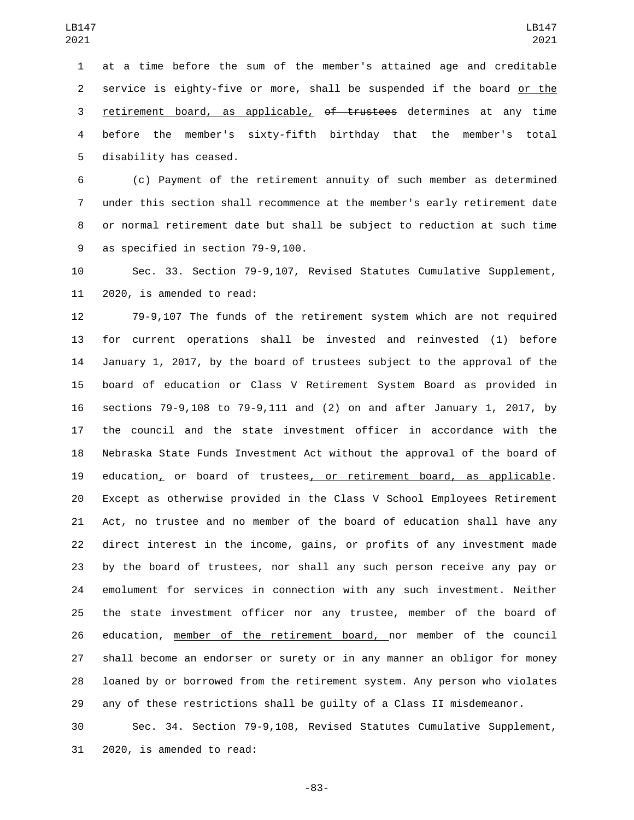at a time before the sum of the member's attained age and creditable service is eighty-five or more, shall be suspended if the board or the 3 retirement board, as applicable, of trustees determines at any time before the member's sixty-fifth birthday that the member's total 5 disability has ceased.

 (c) Payment of the retirement annuity of such member as determined under this section shall recommence at the member's early retirement date or normal retirement date but shall be subject to reduction at such time 9 as specified in section 79-9,100.

 Sec. 33. Section 79-9,107, Revised Statutes Cumulative Supplement, 11 2020, is amended to read:

 79-9,107 The funds of the retirement system which are not required for current operations shall be invested and reinvested (1) before January 1, 2017, by the board of trustees subject to the approval of the board of education or Class V Retirement System Board as provided in sections 79-9,108 to 79-9,111 and (2) on and after January 1, 2017, by the council and the state investment officer in accordance with the Nebraska State Funds Investment Act without the approval of the board of 19 education, of board of trustees, or retirement board, as applicable. Except as otherwise provided in the Class V School Employees Retirement Act, no trustee and no member of the board of education shall have any direct interest in the income, gains, or profits of any investment made by the board of trustees, nor shall any such person receive any pay or emolument for services in connection with any such investment. Neither the state investment officer nor any trustee, member of the board of 26 education, member of the retirement board, nor member of the council shall become an endorser or surety or in any manner an obligor for money loaned by or borrowed from the retirement system. Any person who violates any of these restrictions shall be guilty of a Class II misdemeanor.

 Sec. 34. Section 79-9,108, Revised Statutes Cumulative Supplement, 31 2020, is amended to read:

-83-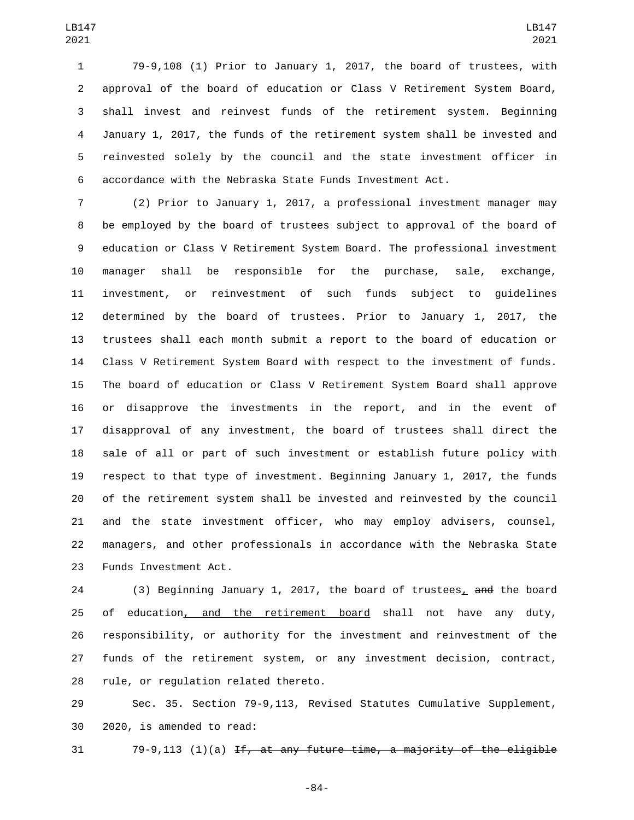79-9,108 (1) Prior to January 1, 2017, the board of trustees, with approval of the board of education or Class V Retirement System Board, shall invest and reinvest funds of the retirement system. Beginning January 1, 2017, the funds of the retirement system shall be invested and reinvested solely by the council and the state investment officer in accordance with the Nebraska State Funds Investment Act.

 (2) Prior to January 1, 2017, a professional investment manager may be employed by the board of trustees subject to approval of the board of education or Class V Retirement System Board. The professional investment manager shall be responsible for the purchase, sale, exchange, investment, or reinvestment of such funds subject to guidelines determined by the board of trustees. Prior to January 1, 2017, the trustees shall each month submit a report to the board of education or Class V Retirement System Board with respect to the investment of funds. The board of education or Class V Retirement System Board shall approve or disapprove the investments in the report, and in the event of disapproval of any investment, the board of trustees shall direct the sale of all or part of such investment or establish future policy with respect to that type of investment. Beginning January 1, 2017, the funds of the retirement system shall be invested and reinvested by the council and the state investment officer, who may employ advisers, counsel, managers, and other professionals in accordance with the Nebraska State 23 Funds Investment Act.

 (3) Beginning January 1, 2017, the board of trustees, and the board of education, and the retirement board shall not have any duty, responsibility, or authority for the investment and reinvestment of the funds of the retirement system, or any investment decision, contract, 28 rule, or regulation related thereto.

 Sec. 35. Section 79-9,113, Revised Statutes Cumulative Supplement, 30 2020, is amended to read:

31  $79-9,113$  (1)(a) If, at any future time, a majority of the eligible

-84-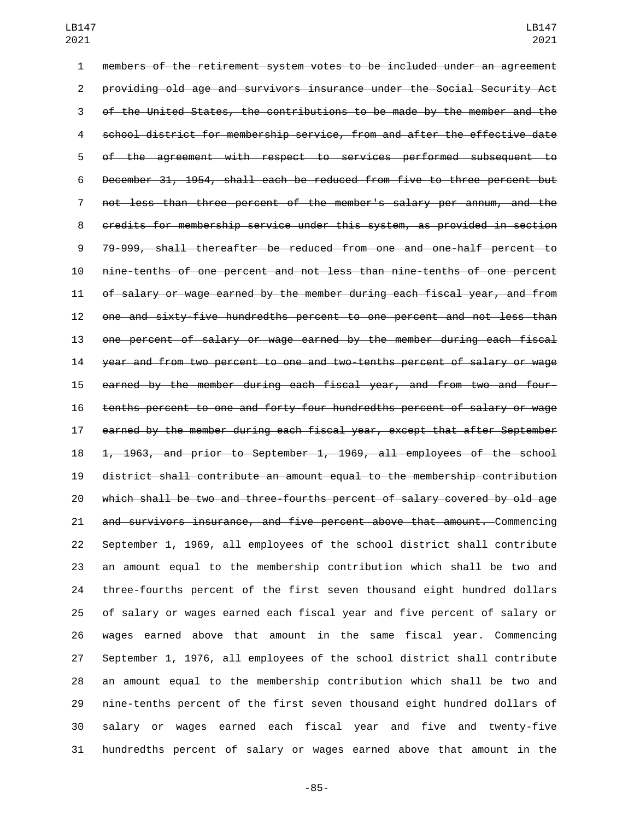members of the retirement system votes to be included under an agreement providing old age and survivors insurance under the Social Security Act of the United States, the contributions to be made by the member and the school district for membership service, from and after the effective date of the agreement with respect to services performed subsequent to December 31, 1954, shall each be reduced from five to three percent but not less than three percent of the member's salary per annum, and the credits for membership service under this system, as provided in section 79-999, shall thereafter be reduced from one and one-half percent to nine-tenths of one percent and not less than nine-tenths of one percent of salary or wage earned by the member during each fiscal year, and from one and sixty-five hundredths percent to one percent and not less than one percent of salary or wage earned by the member during each fiscal year and from two percent to one and two-tenths percent of salary or wage earned by the member during each fiscal year, and from two and four- tenths percent to one and forty-four hundredths percent of salary or wage earned by the member during each fiscal year, except that after September 1, 1963, and prior to September 1, 1969, all employees of the school district shall contribute an amount equal to the membership contribution which shall be two and three-fourths percent of salary covered by old age and survivors insurance, and five percent above that amount. Commencing September 1, 1969, all employees of the school district shall contribute an amount equal to the membership contribution which shall be two and three-fourths percent of the first seven thousand eight hundred dollars of salary or wages earned each fiscal year and five percent of salary or wages earned above that amount in the same fiscal year. Commencing September 1, 1976, all employees of the school district shall contribute an amount equal to the membership contribution which shall be two and nine-tenths percent of the first seven thousand eight hundred dollars of salary or wages earned each fiscal year and five and twenty-five hundredths percent of salary or wages earned above that amount in the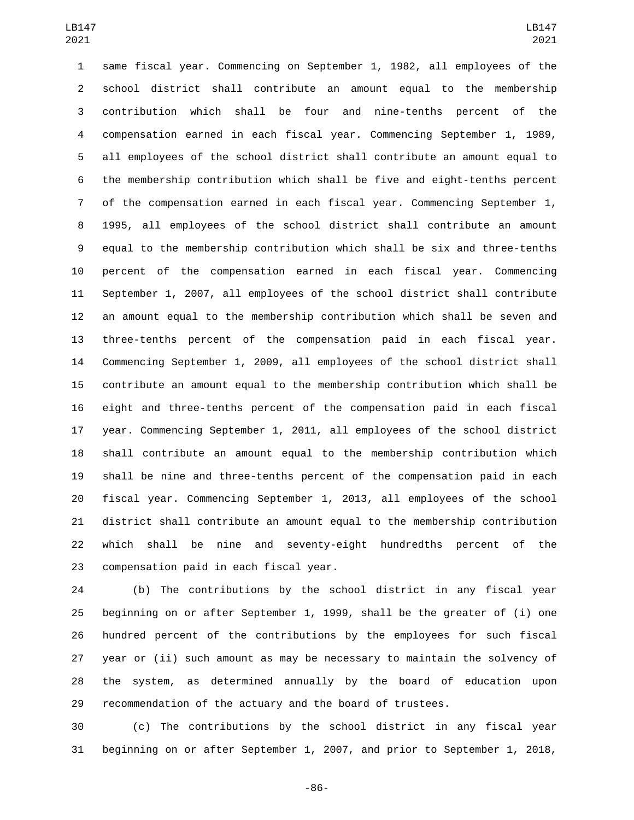same fiscal year. Commencing on September 1, 1982, all employees of the school district shall contribute an amount equal to the membership contribution which shall be four and nine-tenths percent of the compensation earned in each fiscal year. Commencing September 1, 1989, all employees of the school district shall contribute an amount equal to the membership contribution which shall be five and eight-tenths percent of the compensation earned in each fiscal year. Commencing September 1, 1995, all employees of the school district shall contribute an amount equal to the membership contribution which shall be six and three-tenths percent of the compensation earned in each fiscal year. Commencing September 1, 2007, all employees of the school district shall contribute an amount equal to the membership contribution which shall be seven and three-tenths percent of the compensation paid in each fiscal year. Commencing September 1, 2009, all employees of the school district shall contribute an amount equal to the membership contribution which shall be eight and three-tenths percent of the compensation paid in each fiscal year. Commencing September 1, 2011, all employees of the school district shall contribute an amount equal to the membership contribution which shall be nine and three-tenths percent of the compensation paid in each fiscal year. Commencing September 1, 2013, all employees of the school district shall contribute an amount equal to the membership contribution which shall be nine and seventy-eight hundredths percent of the 23 compensation paid in each fiscal year.

 (b) The contributions by the school district in any fiscal year beginning on or after September 1, 1999, shall be the greater of (i) one hundred percent of the contributions by the employees for such fiscal year or (ii) such amount as may be necessary to maintain the solvency of the system, as determined annually by the board of education upon recommendation of the actuary and the board of trustees.

 (c) The contributions by the school district in any fiscal year beginning on or after September 1, 2007, and prior to September 1, 2018,

-86-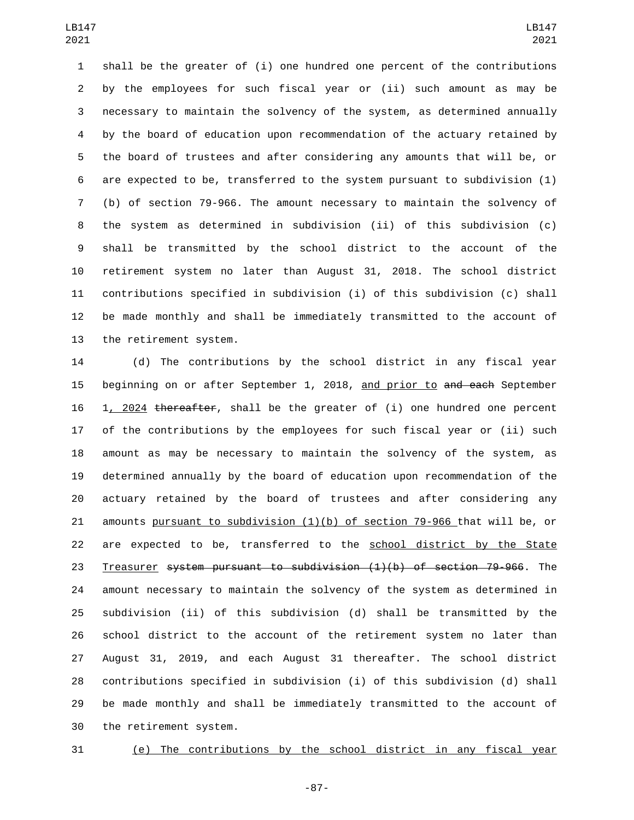shall be the greater of (i) one hundred one percent of the contributions by the employees for such fiscal year or (ii) such amount as may be necessary to maintain the solvency of the system, as determined annually by the board of education upon recommendation of the actuary retained by the board of trustees and after considering any amounts that will be, or are expected to be, transferred to the system pursuant to subdivision (1) (b) of section 79-966. The amount necessary to maintain the solvency of the system as determined in subdivision (ii) of this subdivision (c) shall be transmitted by the school district to the account of the retirement system no later than August 31, 2018. The school district contributions specified in subdivision (i) of this subdivision (c) shall be made monthly and shall be immediately transmitted to the account of 13 the retirement system.

 (d) The contributions by the school district in any fiscal year 15 beginning on or after September 1, 2018, and prior to and each September 1, 2024 thereafter, shall be the greater of (i) one hundred one percent of the contributions by the employees for such fiscal year or (ii) such amount as may be necessary to maintain the solvency of the system, as determined annually by the board of education upon recommendation of the actuary retained by the board of trustees and after considering any amounts pursuant to subdivision (1)(b) of section 79-966 that will be, or are expected to be, transferred to the school district by the State Treasurer system pursuant to subdivision (1)(b) of section 79-966. The amount necessary to maintain the solvency of the system as determined in subdivision (ii) of this subdivision (d) shall be transmitted by the school district to the account of the retirement system no later than August 31, 2019, and each August 31 thereafter. The school district contributions specified in subdivision (i) of this subdivision (d) shall be made monthly and shall be immediately transmitted to the account of 30 the retirement system.

(e) The contributions by the school district in any fiscal year

-87-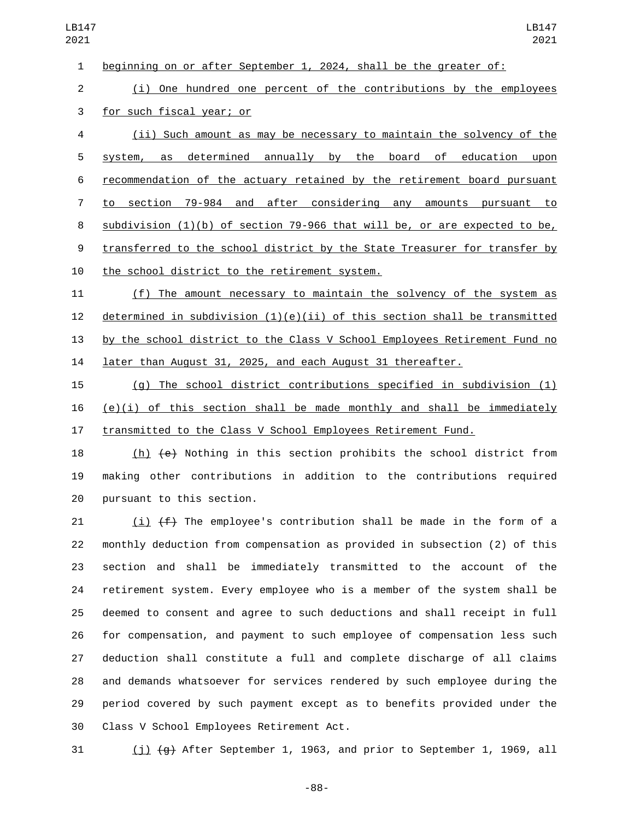beginning on or after September 1, 2024, shall be the greater of:

 (i) One hundred one percent of the contributions by the employees 3 for such fiscal year; or

 (ii) Such amount as may be necessary to maintain the solvency of the system, as determined annually by the board of education upon recommendation of the actuary retained by the retirement board pursuant to section 79-984 and after considering any amounts pursuant to subdivision (1)(b) of section 79-966 that will be, or are expected to be, transferred to the school district by the State Treasurer for transfer by 10 the school district to the retirement system.

 (f) The amount necessary to maintain the solvency of the system as 12 determined in subdivision  $(1)(e)(ii)$  of this section shall be transmitted by the school district to the Class V School Employees Retirement Fund no later than August 31, 2025, and each August 31 thereafter.

 (g) The school district contributions specified in subdivision (1) (e)(i) of this section shall be made monthly and shall be immediately transmitted to the Class V School Employees Retirement Fund.

 (h) (e) Nothing in this section prohibits the school district from making other contributions in addition to the contributions required 20 pursuant to this section.

21 (i)  $(f)$  The employee's contribution shall be made in the form of a monthly deduction from compensation as provided in subsection (2) of this section and shall be immediately transmitted to the account of the retirement system. Every employee who is a member of the system shall be deemed to consent and agree to such deductions and shall receipt in full for compensation, and payment to such employee of compensation less such deduction shall constitute a full and complete discharge of all claims and demands whatsoever for services rendered by such employee during the period covered by such payment except as to benefits provided under the 30 Class V School Employees Retirement Act.

31  $(j)$   $(g)$  After September 1, 1963, and prior to September 1, 1969, all

-88-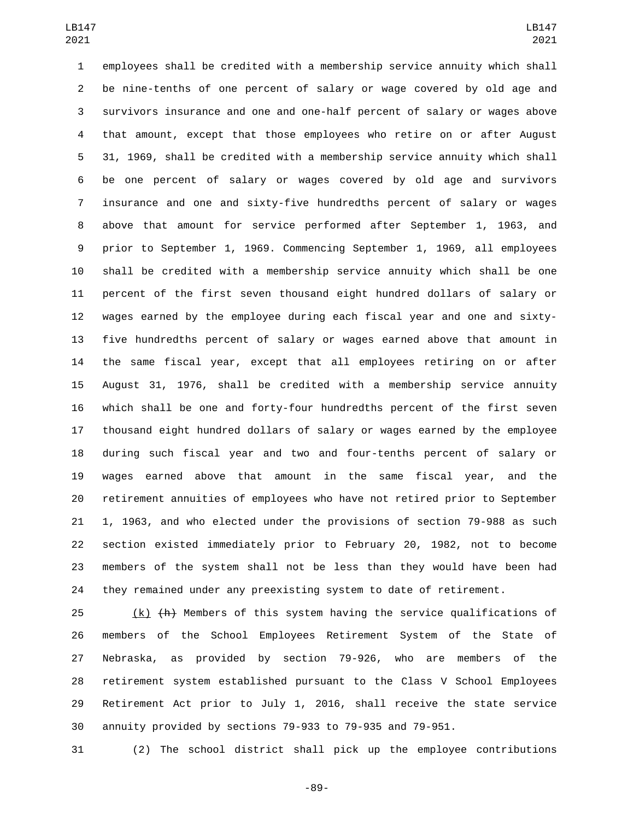employees shall be credited with a membership service annuity which shall be nine-tenths of one percent of salary or wage covered by old age and survivors insurance and one and one-half percent of salary or wages above that amount, except that those employees who retire on or after August 31, 1969, shall be credited with a membership service annuity which shall be one percent of salary or wages covered by old age and survivors insurance and one and sixty-five hundredths percent of salary or wages above that amount for service performed after September 1, 1963, and prior to September 1, 1969. Commencing September 1, 1969, all employees shall be credited with a membership service annuity which shall be one percent of the first seven thousand eight hundred dollars of salary or wages earned by the employee during each fiscal year and one and sixty- five hundredths percent of salary or wages earned above that amount in the same fiscal year, except that all employees retiring on or after August 31, 1976, shall be credited with a membership service annuity which shall be one and forty-four hundredths percent of the first seven thousand eight hundred dollars of salary or wages earned by the employee during such fiscal year and two and four-tenths percent of salary or wages earned above that amount in the same fiscal year, and the retirement annuities of employees who have not retired prior to September 1, 1963, and who elected under the provisions of section 79-988 as such section existed immediately prior to February 20, 1982, not to become members of the system shall not be less than they would have been had they remained under any preexisting system to date of retirement.

 (k)  $\{h\}$  Members of this system having the service qualifications of members of the School Employees Retirement System of the State of Nebraska, as provided by section 79-926, who are members of the retirement system established pursuant to the Class V School Employees Retirement Act prior to July 1, 2016, shall receive the state service annuity provided by sections 79-933 to 79-935 and 79-951.

(2) The school district shall pick up the employee contributions

-89-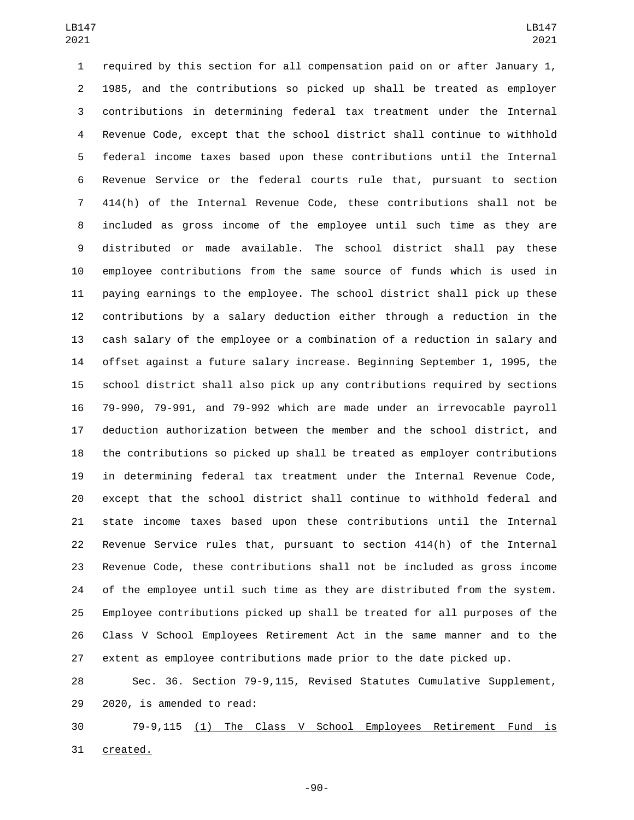required by this section for all compensation paid on or after January 1, 1985, and the contributions so picked up shall be treated as employer contributions in determining federal tax treatment under the Internal Revenue Code, except that the school district shall continue to withhold federal income taxes based upon these contributions until the Internal Revenue Service or the federal courts rule that, pursuant to section 414(h) of the Internal Revenue Code, these contributions shall not be included as gross income of the employee until such time as they are distributed or made available. The school district shall pay these employee contributions from the same source of funds which is used in paying earnings to the employee. The school district shall pick up these contributions by a salary deduction either through a reduction in the cash salary of the employee or a combination of a reduction in salary and offset against a future salary increase. Beginning September 1, 1995, the school district shall also pick up any contributions required by sections 79-990, 79-991, and 79-992 which are made under an irrevocable payroll deduction authorization between the member and the school district, and the contributions so picked up shall be treated as employer contributions in determining federal tax treatment under the Internal Revenue Code, except that the school district shall continue to withhold federal and state income taxes based upon these contributions until the Internal Revenue Service rules that, pursuant to section 414(h) of the Internal Revenue Code, these contributions shall not be included as gross income of the employee until such time as they are distributed from the system. Employee contributions picked up shall be treated for all purposes of the Class V School Employees Retirement Act in the same manner and to the extent as employee contributions made prior to the date picked up.

 Sec. 36. Section 79-9,115, Revised Statutes Cumulative Supplement, 29 2020, is amended to read:

 79-9,115 (1) The Class V School Employees Retirement Fund is 31 created.

-90-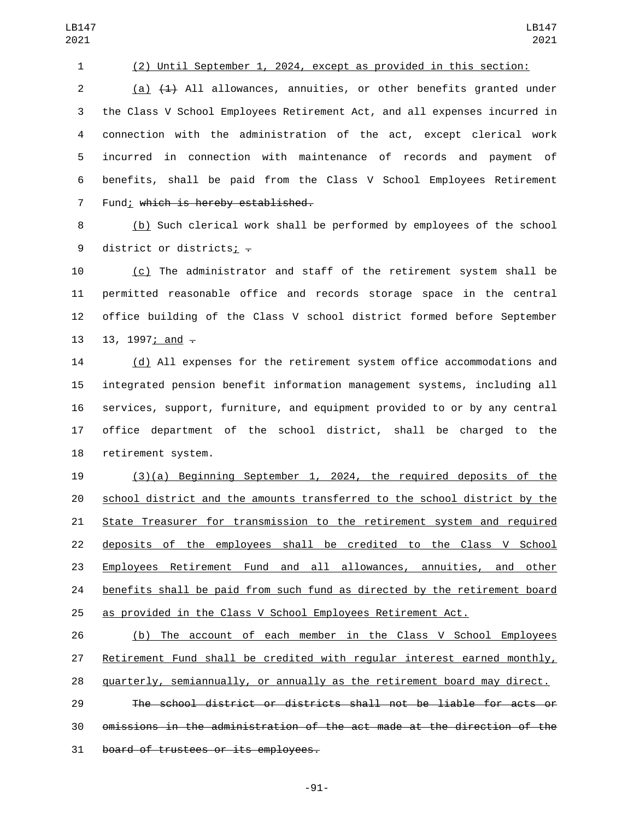## (2) Until September 1, 2024, except as provided in this section:

LB147 

 (a) (1) All allowances, annuities, or other benefits granted under the Class V School Employees Retirement Act, and all expenses incurred in connection with the administration of the act, except clerical work incurred in connection with maintenance of records and payment of benefits, shall be paid from the Class V School Employees Retirement 7 Fund; which is hereby established.

 (b) Such clerical work shall be performed by employees of the school 9 district or districts;  $\overline{z}$ 

 (c) The administrator and staff of the retirement system shall be permitted reasonable office and records storage space in the central office building of the Class V school district formed before September 13, 1997; and  $-$ 

 (d) All expenses for the retirement system office accommodations and integrated pension benefit information management systems, including all services, support, furniture, and equipment provided to or by any central office department of the school district, shall be charged to the 18 retirement system.

 (3)(a) Beginning September 1, 2024, the required deposits of the school district and the amounts transferred to the school district by the State Treasurer for transmission to the retirement system and required deposits of the employees shall be credited to the Class V School Employees Retirement Fund and all allowances, annuities, and other benefits shall be paid from such fund as directed by the retirement board as provided in the Class V School Employees Retirement Act.

 (b) The account of each member in the Class V School Employees Retirement Fund shall be credited with regular interest earned monthly,

quarterly, semiannually, or annually as the retirement board may direct.

 The school district or districts shall not be liable for acts or omissions in the administration of the act made at the direction of the 31 board of trustees or its employees.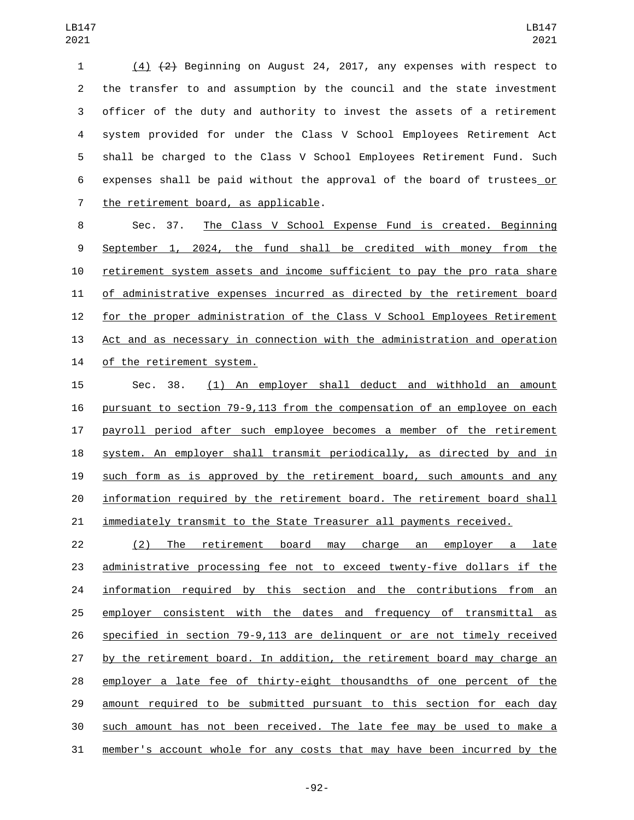(4) (2) Beginning on August 24, 2017, any expenses with respect to the transfer to and assumption by the council and the state investment officer of the duty and authority to invest the assets of a retirement system provided for under the Class V School Employees Retirement Act shall be charged to the Class V School Employees Retirement Fund. Such expenses shall be paid without the approval of the board of trustees or 7 the retirement board, as applicable.

 Sec. 37. The Class V School Expense Fund is created. Beginning September 1, 2024, the fund shall be credited with money from the retirement system assets and income sufficient to pay the pro rata share of administrative expenses incurred as directed by the retirement board for the proper administration of the Class V School Employees Retirement Act and as necessary in connection with the administration and operation 14 of the retirement system.

 Sec. 38. (1) An employer shall deduct and withhold an amount pursuant to section 79-9,113 from the compensation of an employee on each payroll period after such employee becomes a member of the retirement system. An employer shall transmit periodically, as directed by and in such form as is approved by the retirement board, such amounts and any information required by the retirement board. The retirement board shall 21 immediately transmit to the State Treasurer all payments received.

 (2) The retirement board may charge an employer a late administrative processing fee not to exceed twenty-five dollars if the information required by this section and the contributions from an employer consistent with the dates and frequency of transmittal as specified in section 79-9,113 are delinquent or are not timely received by the retirement board. In addition, the retirement board may charge an employer a late fee of thirty-eight thousandths of one percent of the amount required to be submitted pursuant to this section for each day such amount has not been received. The late fee may be used to make a member's account whole for any costs that may have been incurred by the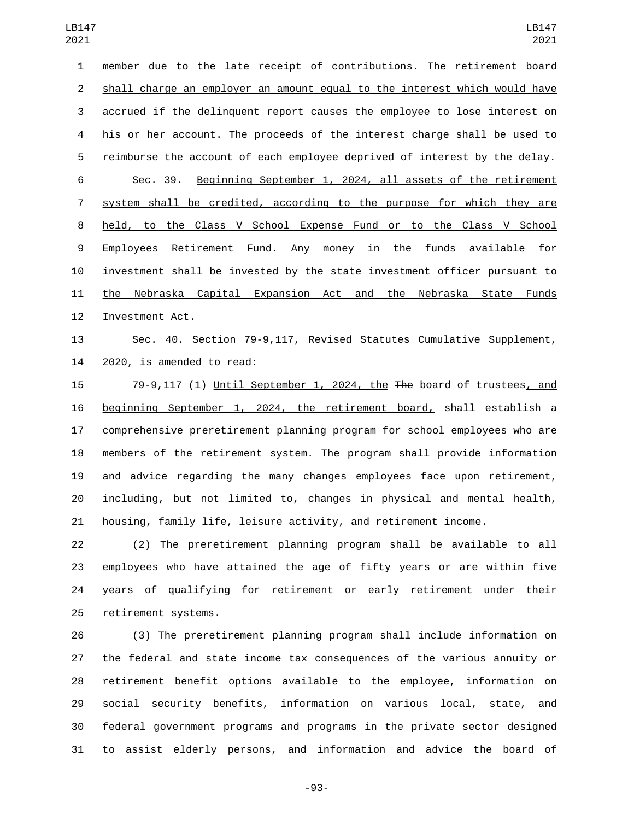member due to the late receipt of contributions. The retirement board shall charge an employer an amount equal to the interest which would have accrued if the delinquent report causes the employee to lose interest on his or her account. The proceeds of the interest charge shall be used to reimburse the account of each employee deprived of interest by the delay. Sec. 39. Beginning September 1, 2024, all assets of the retirement system shall be credited, according to the purpose for which they are held, to the Class V School Expense Fund or to the Class V School Employees Retirement Fund. Any money in the funds available for investment shall be invested by the state investment officer pursuant to 11 the Nebraska Capital Expansion Act and the Nebraska State Funds 12 Investment Act.

 Sec. 40. Section 79-9,117, Revised Statutes Cumulative Supplement, 2020, is amended to read:

 79-9,117 (1) Until September 1, 2024, the The board of trustees, and beginning September 1, 2024, the retirement board, shall establish a comprehensive preretirement planning program for school employees who are members of the retirement system. The program shall provide information and advice regarding the many changes employees face upon retirement, including, but not limited to, changes in physical and mental health, housing, family life, leisure activity, and retirement income.

 (2) The preretirement planning program shall be available to all employees who have attained the age of fifty years or are within five years of qualifying for retirement or early retirement under their 25 retirement systems.

 (3) The preretirement planning program shall include information on the federal and state income tax consequences of the various annuity or retirement benefit options available to the employee, information on social security benefits, information on various local, state, and federal government programs and programs in the private sector designed to assist elderly persons, and information and advice the board of

-93-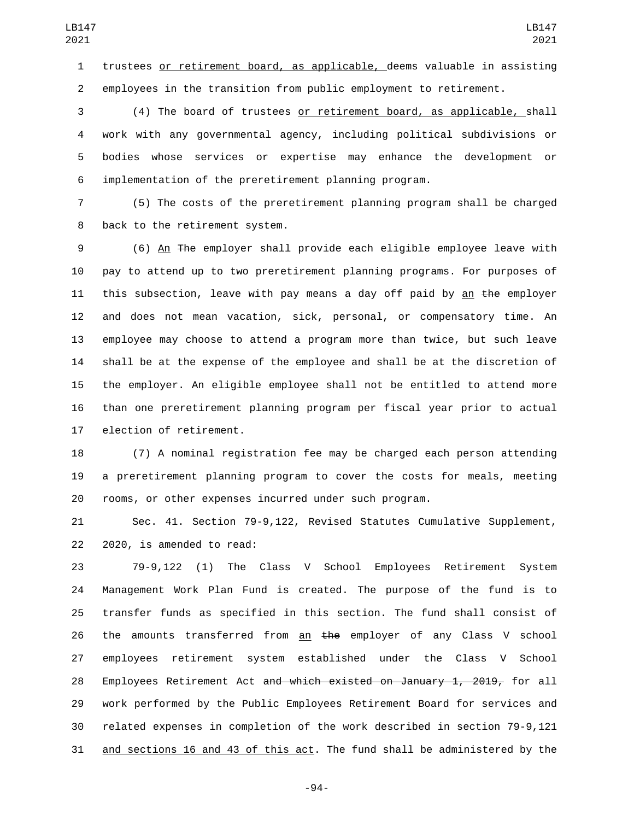trustees or retirement board, as applicable, deems valuable in assisting employees in the transition from public employment to retirement.

 (4) The board of trustees or retirement board, as applicable, shall work with any governmental agency, including political subdivisions or bodies whose services or expertise may enhance the development or implementation of the preretirement planning program.

 (5) The costs of the preretirement planning program shall be charged 8 back to the retirement system.

 (6) An The employer shall provide each eligible employee leave with pay to attend up to two preretirement planning programs. For purposes of 11 this subsection, leave with pay means a day off paid by an the employer and does not mean vacation, sick, personal, or compensatory time. An employee may choose to attend a program more than twice, but such leave shall be at the expense of the employee and shall be at the discretion of the employer. An eligible employee shall not be entitled to attend more than one preretirement planning program per fiscal year prior to actual 17 election of retirement.

 (7) A nominal registration fee may be charged each person attending a preretirement planning program to cover the costs for meals, meeting rooms, or other expenses incurred under such program.

 Sec. 41. Section 79-9,122, Revised Statutes Cumulative Supplement, 22 2020, is amended to read:

 79-9,122 (1) The Class V School Employees Retirement System Management Work Plan Fund is created. The purpose of the fund is to transfer funds as specified in this section. The fund shall consist of 26 the amounts transferred from an  $t$ he employer of any Class V school employees retirement system established under the Class V School 28 Employees Retirement Act <del>and which existed on January 1, 2019,</del> for all work performed by the Public Employees Retirement Board for services and related expenses in completion of the work described in section 79-9,121 31 and sections 16 and 43 of this act. The fund shall be administered by the

-94-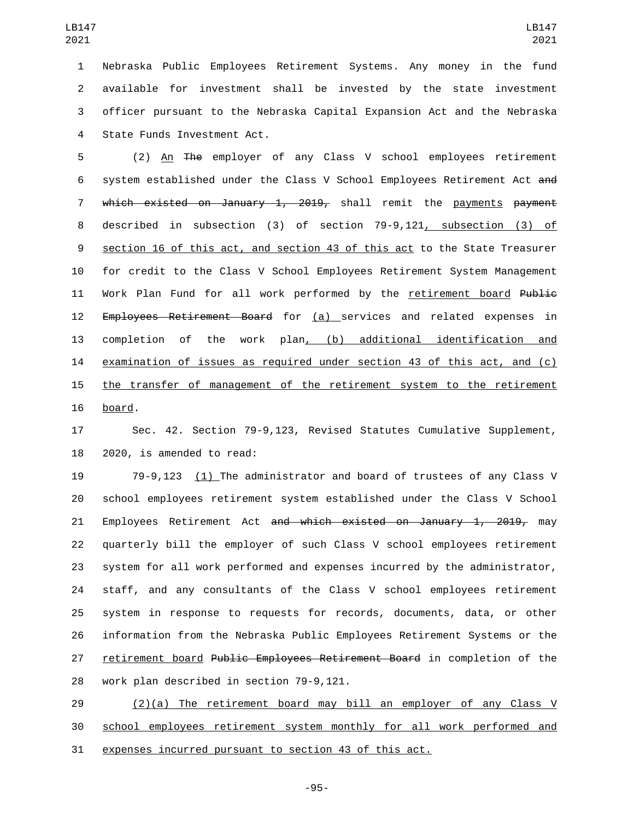Nebraska Public Employees Retirement Systems. Any money in the fund available for investment shall be invested by the state investment officer pursuant to the Nebraska Capital Expansion Act and the Nebraska 4 State Funds Investment Act.

5 (2) An The employer of any Class V school employees retirement system established under the Class V School Employees Retirement Act and which existed on January 1, 2019, shall remit the payments payment described in subsection (3) of section 79-9,121, subsection (3) of section 16 of this act, and section 43 of this act to the State Treasurer for credit to the Class V School Employees Retirement System Management 11 Work Plan Fund for all work performed by the retirement board Public 12 Employees Retirement Board for (a) services and related expenses in completion of the work plan, (b) additional identification and examination of issues as required under section 43 of this act, and (c) the transfer of management of the retirement system to the retirement 16 board.

 Sec. 42. Section 79-9,123, Revised Statutes Cumulative Supplement, 18 2020, is amended to read:

 79-9,123 (1) The administrator and board of trustees of any Class V school employees retirement system established under the Class V School 21 Employees Retirement Act and which existed on January 1, 2019, may quarterly bill the employer of such Class V school employees retirement system for all work performed and expenses incurred by the administrator, staff, and any consultants of the Class V school employees retirement system in response to requests for records, documents, data, or other information from the Nebraska Public Employees Retirement Systems or the retirement board Public Employees Retirement Board in completion of the 28 work plan described in section 79-9,121.

29  $(2)(a)$  The retirement board may bill an employer of any Class V school employees retirement system monthly for all work performed and expenses incurred pursuant to section 43 of this act.

-95-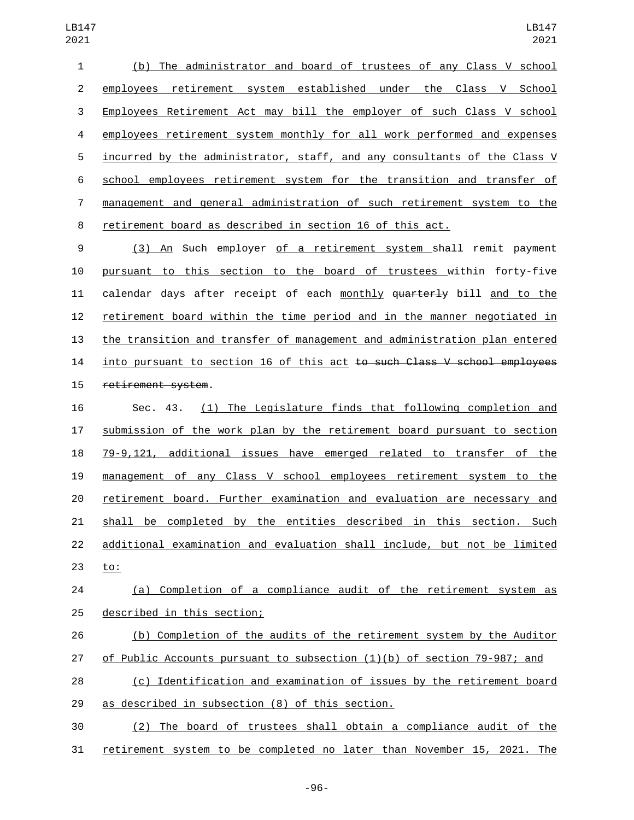(b) The administrator and board of trustees of any Class V school employees retirement system established under the Class V School Employees Retirement Act may bill the employer of such Class V school employees retirement system monthly for all work performed and expenses incurred by the administrator, staff, and any consultants of the Class V school employees retirement system for the transition and transfer of management and general administration of such retirement system to the retirement board as described in section 16 of this act.

 (3) An Such employer of a retirement system shall remit payment pursuant to this section to the board of trustees within forty-five 11 calendar days after receipt of each monthly  $\frac{1}{4}$  and to the the the same to the retirement board within the time period and in the manner negotiated in the transition and transfer of management and administration plan entered 14 <u>into pursuant to section 16 of this act</u> to such Class V school employees 15 retirement system.

 Sec. 43. (1) The Legislature finds that following completion and submission of the work plan by the retirement board pursuant to section 79-9,121, additional issues have emerged related to transfer of the management of any Class V school employees retirement system to the retirement board. Further examination and evaluation are necessary and shall be completed by the entities described in this section. Such additional examination and evaluation shall include, but not be limited 23 to:

## (a) Completion of a compliance audit of the retirement system as 25 described in this section;

- (b) Completion of the audits of the retirement system by the Auditor
- of Public Accounts pursuant to subsection (1)(b) of section 79-987; and
- (c) Identification and examination of issues by the retirement board 29 as described in subsection (8) of this section.
- (2) The board of trustees shall obtain a compliance audit of the retirement system to be completed no later than November 15, 2021. The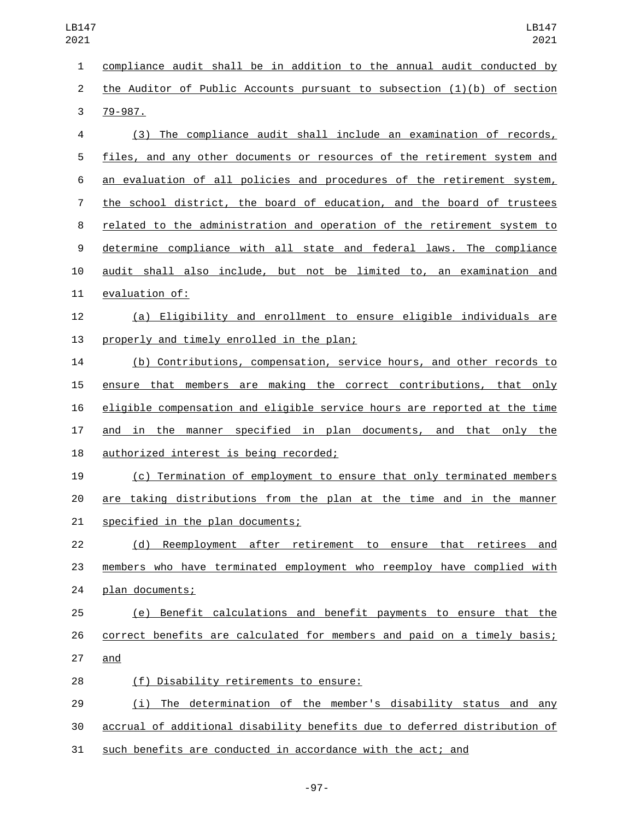compliance audit shall be in addition to the annual audit conducted by the Auditor of Public Accounts pursuant to subsection (1)(b) of section 3 79-987. (3) The compliance audit shall include an examination of records, files, and any other documents or resources of the retirement system and an evaluation of all policies and procedures of the retirement system, the school district, the board of education, and the board of trustees related to the administration and operation of the retirement system to determine compliance with all state and federal laws. The compliance audit shall also include, but not be limited to, an examination and 11 evaluation of: (a) Eligibility and enrollment to ensure eligible individuals are 13 properly and timely enrolled in the plan; (b) Contributions, compensation, service hours, and other records to ensure that members are making the correct contributions, that only eligible compensation and eligible service hours are reported at the time 17 and in the manner specified in plan documents, and that only the 18 authorized interest is being recorded; (c) Termination of employment to ensure that only terminated members are taking distributions from the plan at the time and in the manner 21 specified in the plan documents; (d) Reemployment after retirement to ensure that retirees and members who have terminated employment who reemploy have complied with 24 plan documents; (e) Benefit calculations and benefit payments to ensure that the correct benefits are calculated for members and paid on a timely basis; 27 and (f) Disability retirements to ensure:28 (i) The determination of the member's disability status and any accrual of additional disability benefits due to deferred distribution of

such benefits are conducted in accordance with the act; and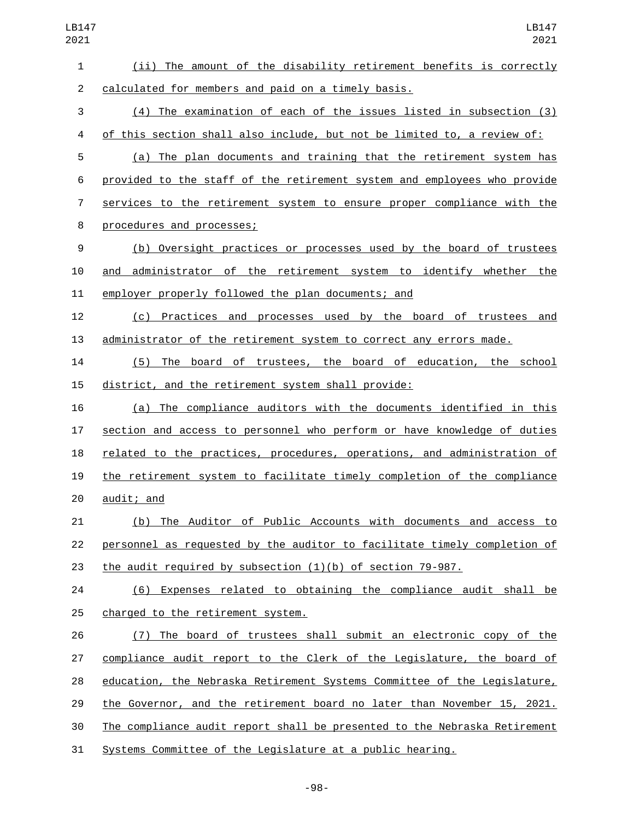| LB147<br>2021 |                          |
|---------------|--------------------------|
| 1             | (ii) The amount of       |
| $\mathbf{2}$  | calculated for members a |
| 3             | (4) The examination      |
| 4             | of this section shall al |
| 5             | (a) The plan docume      |
| ี่ค           | nrovided to the staff of |

the disability retirement benefits is correctly nd paid on a timely basis.  $\overline{1}$  of each of the issues listed in subsection (3) so include, but not be limited to, a review of: ents and training that the retirement system has

f the retirement system and employees who provide services to the retirement system to ensure proper compliance with the 8 procedures and processes;

 (b) Oversight practices or processes used by the board of trustees and administrator of the retirement system to identify whether the employer properly followed the plan documents; and

 (c) Practices and processes used by the board of trustees and administrator of the retirement system to correct any errors made.

 (5) The board of trustees, the board of education, the school district, and the retirement system shall provide:

 (a) The compliance auditors with the documents identified in this section and access to personnel who perform or have knowledge of duties 18 related to the practices, procedures, operations, and administration of the retirement system to facilitate timely completion of the compliance audit; and

 (b) The Auditor of Public Accounts with documents and access to personnel as requested by the auditor to facilitate timely completion of the audit required by subsection (1)(b) of section 79-987.

 (6) Expenses related to obtaining the compliance audit shall be 25 charged to the retirement system.

 (7) The board of trustees shall submit an electronic copy of the compliance audit report to the Clerk of the Legislature, the board of education, the Nebraska Retirement Systems Committee of the Legislature, the Governor, and the retirement board no later than November 15, 2021. The compliance audit report shall be presented to the Nebraska Retirement Systems Committee of the Legislature at a public hearing.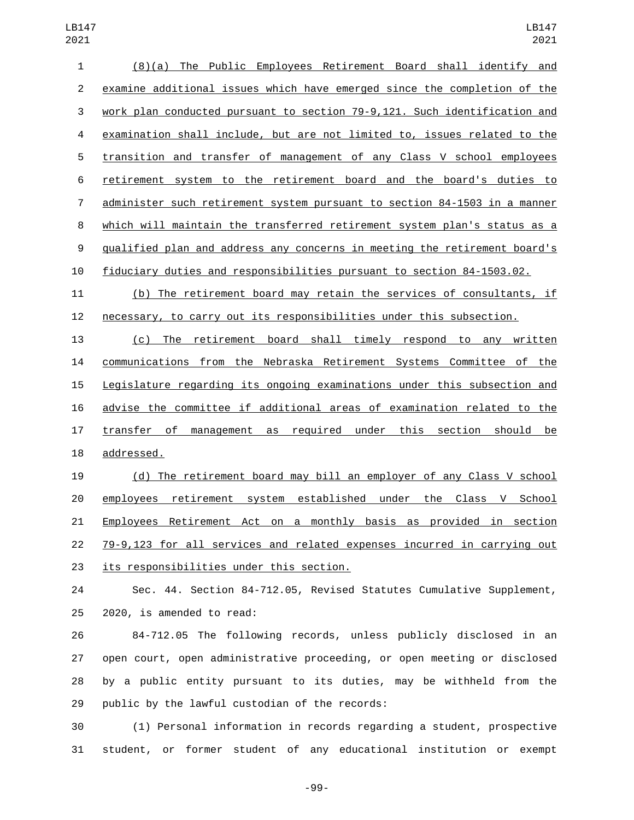| 1              | $(8)(a)$ The Public Employees Retirement Board shall identify and           |
|----------------|-----------------------------------------------------------------------------|
| 2              | examine additional issues which have emerged since the completion of the    |
| 3              | work plan conducted pursuant to section 79-9,121. Such identification and   |
| 4              | examination shall include, but are not limited to, issues related to the    |
| 5              | transition and transfer of management of any Class V school employees       |
| 6              | retirement system to the retirement board and the board's duties to         |
| $\overline{7}$ | administer such retirement system pursuant to section 84-1503 in a manner   |
| 8              | which will maintain the transferred retirement system plan's status as a    |
| 9              | qualified plan and address any concerns in meeting the retirement board's   |
| 10             | fiduciary duties and responsibilities pursuant to section 84-1503.02.       |
| 11             | (b) The retirement board may retain the services of consultants, if         |
| 12             | necessary, to carry out its responsibilities under this subsection.         |
| 13             | board shall timely respond to any<br>$(c)$ The<br>retirement<br>written     |
| 14             | communications from the Nebraska Retirement Systems Committee of the        |
| 15             | Legislature regarding its ongoing examinations under this subsection and    |
| 16             | advise the committee if additional areas of examination related to the      |
| 17             | transfer of<br>required under<br>this section should<br>management as<br>be |
| 18             | addressed.                                                                  |
| 1 Q            | (d) The retirement hoard may hill an employer of any Class V school         |

 (d) The retirement board may bill an employer of any Class V school 20 employees retirement system established under the Class V School Employees Retirement Act on a monthly basis as provided in section 79-9,123 for all services and related expenses incurred in carrying out 23 its responsibilities under this section.

 Sec. 44. Section 84-712.05, Revised Statutes Cumulative Supplement, 2020, is amended to read:

 84-712.05 The following records, unless publicly disclosed in an open court, open administrative proceeding, or open meeting or disclosed by a public entity pursuant to its duties, may be withheld from the 29 public by the lawful custodian of the records:

 (1) Personal information in records regarding a student, prospective student, or former student of any educational institution or exempt

-99-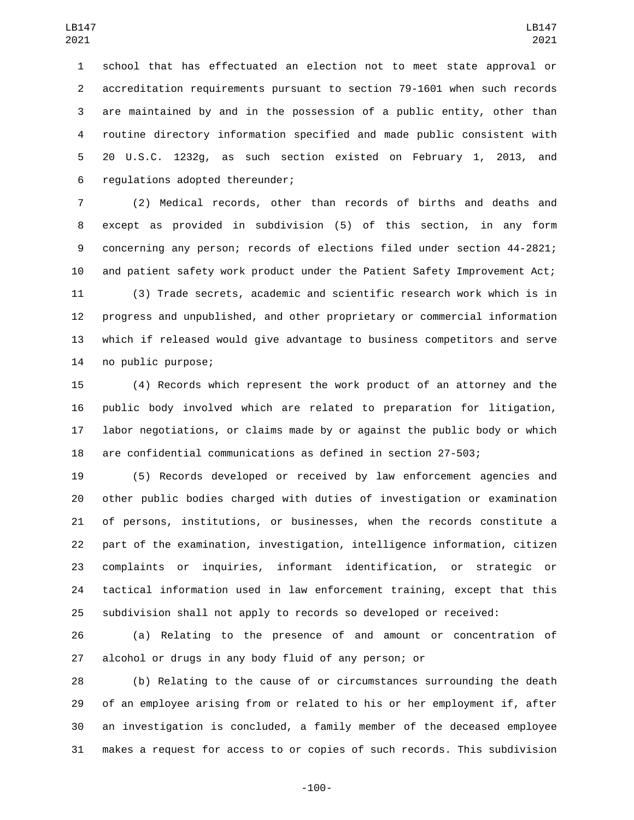school that has effectuated an election not to meet state approval or accreditation requirements pursuant to section 79-1601 when such records are maintained by and in the possession of a public entity, other than routine directory information specified and made public consistent with 20 U.S.C. 1232g, as such section existed on February 1, 2013, and 6 regulations adopted thereunder;

 (2) Medical records, other than records of births and deaths and except as provided in subdivision (5) of this section, in any form concerning any person; records of elections filed under section 44-2821; and patient safety work product under the Patient Safety Improvement Act;

 (3) Trade secrets, academic and scientific research work which is in progress and unpublished, and other proprietary or commercial information which if released would give advantage to business competitors and serve 14 no public purpose;

 (4) Records which represent the work product of an attorney and the public body involved which are related to preparation for litigation, labor negotiations, or claims made by or against the public body or which are confidential communications as defined in section 27-503;

 (5) Records developed or received by law enforcement agencies and other public bodies charged with duties of investigation or examination of persons, institutions, or businesses, when the records constitute a part of the examination, investigation, intelligence information, citizen complaints or inquiries, informant identification, or strategic or tactical information used in law enforcement training, except that this subdivision shall not apply to records so developed or received:

 (a) Relating to the presence of and amount or concentration of alcohol or drugs in any body fluid of any person; or

 (b) Relating to the cause of or circumstances surrounding the death of an employee arising from or related to his or her employment if, after an investigation is concluded, a family member of the deceased employee makes a request for access to or copies of such records. This subdivision

-100-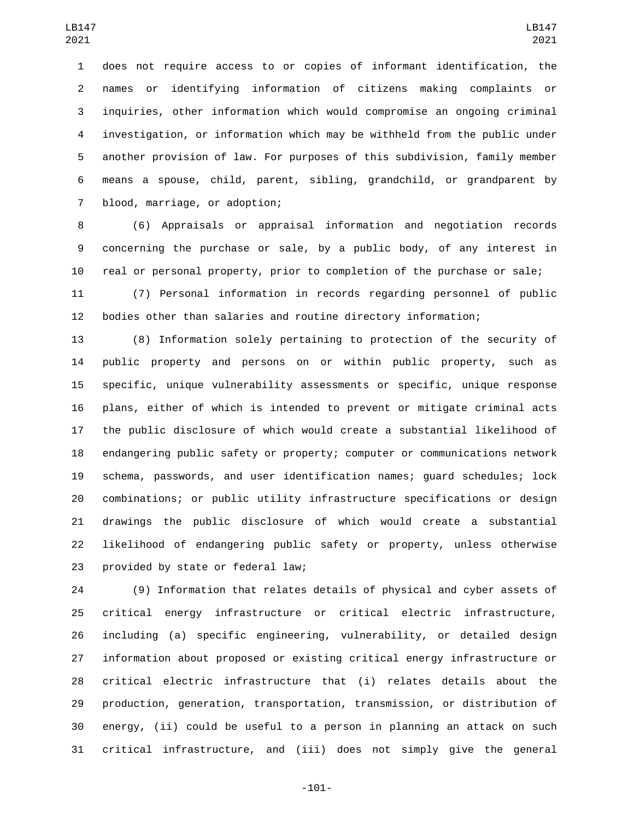does not require access to or copies of informant identification, the names or identifying information of citizens making complaints or inquiries, other information which would compromise an ongoing criminal investigation, or information which may be withheld from the public under another provision of law. For purposes of this subdivision, family member means a spouse, child, parent, sibling, grandchild, or grandparent by 7 blood, marriage, or adoption;

 (6) Appraisals or appraisal information and negotiation records concerning the purchase or sale, by a public body, of any interest in real or personal property, prior to completion of the purchase or sale;

 (7) Personal information in records regarding personnel of public bodies other than salaries and routine directory information;

 (8) Information solely pertaining to protection of the security of public property and persons on or within public property, such as specific, unique vulnerability assessments or specific, unique response plans, either of which is intended to prevent or mitigate criminal acts the public disclosure of which would create a substantial likelihood of endangering public safety or property; computer or communications network schema, passwords, and user identification names; guard schedules; lock combinations; or public utility infrastructure specifications or design drawings the public disclosure of which would create a substantial likelihood of endangering public safety or property, unless otherwise 23 provided by state or federal law;

 (9) Information that relates details of physical and cyber assets of critical energy infrastructure or critical electric infrastructure, including (a) specific engineering, vulnerability, or detailed design information about proposed or existing critical energy infrastructure or critical electric infrastructure that (i) relates details about the production, generation, transportation, transmission, or distribution of energy, (ii) could be useful to a person in planning an attack on such critical infrastructure, and (iii) does not simply give the general

-101-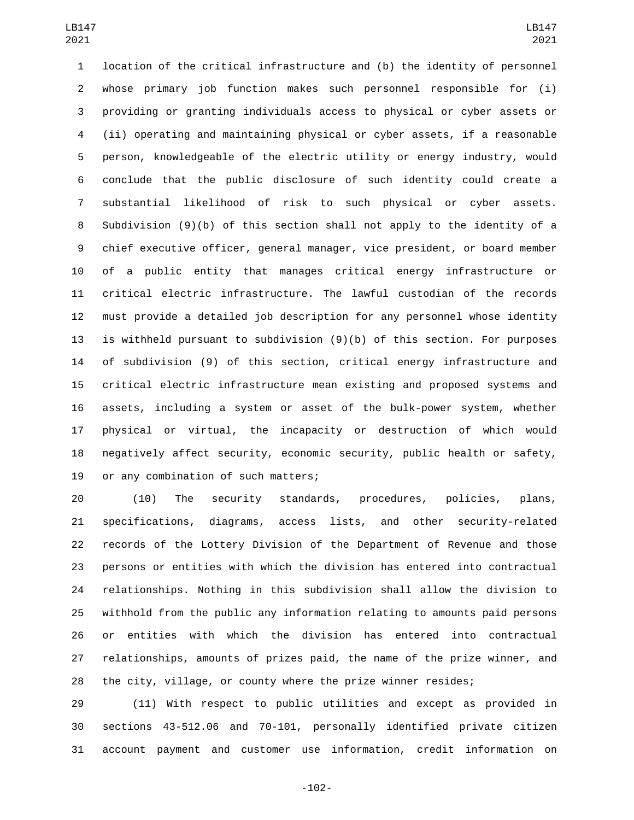location of the critical infrastructure and (b) the identity of personnel whose primary job function makes such personnel responsible for (i) providing or granting individuals access to physical or cyber assets or (ii) operating and maintaining physical or cyber assets, if a reasonable person, knowledgeable of the electric utility or energy industry, would conclude that the public disclosure of such identity could create a substantial likelihood of risk to such physical or cyber assets. Subdivision (9)(b) of this section shall not apply to the identity of a chief executive officer, general manager, vice president, or board member of a public entity that manages critical energy infrastructure or critical electric infrastructure. The lawful custodian of the records must provide a detailed job description for any personnel whose identity is withheld pursuant to subdivision (9)(b) of this section. For purposes of subdivision (9) of this section, critical energy infrastructure and critical electric infrastructure mean existing and proposed systems and assets, including a system or asset of the bulk-power system, whether physical or virtual, the incapacity or destruction of which would negatively affect security, economic security, public health or safety, 19 or any combination of such matters;

 (10) The security standards, procedures, policies, plans, specifications, diagrams, access lists, and other security-related records of the Lottery Division of the Department of Revenue and those persons or entities with which the division has entered into contractual relationships. Nothing in this subdivision shall allow the division to withhold from the public any information relating to amounts paid persons or entities with which the division has entered into contractual relationships, amounts of prizes paid, the name of the prize winner, and the city, village, or county where the prize winner resides;

 (11) With respect to public utilities and except as provided in sections 43-512.06 and 70-101, personally identified private citizen account payment and customer use information, credit information on

-102-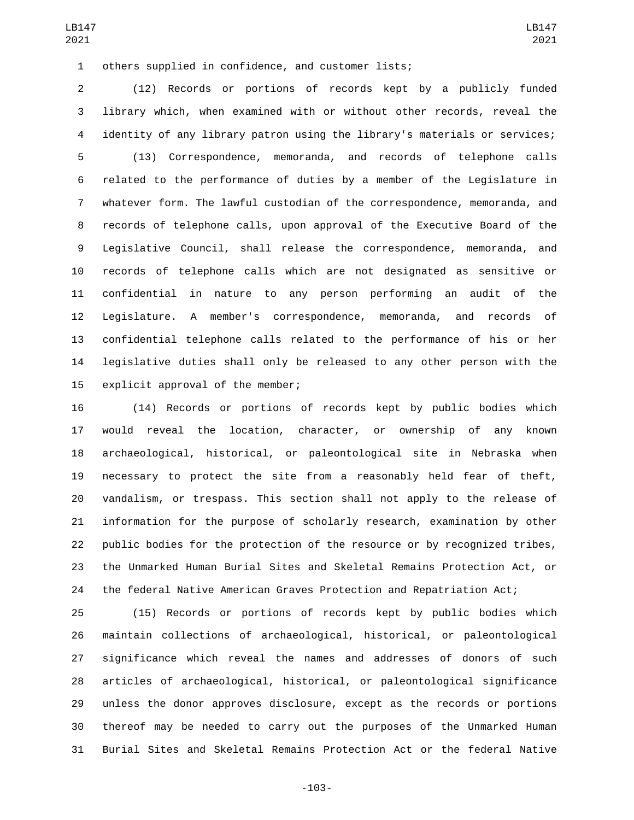others supplied in confidence, and customer lists;1

 (12) Records or portions of records kept by a publicly funded library which, when examined with or without other records, reveal the identity of any library patron using the library's materials or services; (13) Correspondence, memoranda, and records of telephone calls related to the performance of duties by a member of the Legislature in whatever form. The lawful custodian of the correspondence, memoranda, and records of telephone calls, upon approval of the Executive Board of the Legislative Council, shall release the correspondence, memoranda, and records of telephone calls which are not designated as sensitive or confidential in nature to any person performing an audit of the Legislature. A member's correspondence, memoranda, and records of confidential telephone calls related to the performance of his or her legislative duties shall only be released to any other person with the 15 explicit approval of the member;

 (14) Records or portions of records kept by public bodies which would reveal the location, character, or ownership of any known archaeological, historical, or paleontological site in Nebraska when necessary to protect the site from a reasonably held fear of theft, vandalism, or trespass. This section shall not apply to the release of information for the purpose of scholarly research, examination by other public bodies for the protection of the resource or by recognized tribes, the Unmarked Human Burial Sites and Skeletal Remains Protection Act, or the federal Native American Graves Protection and Repatriation Act;

 (15) Records or portions of records kept by public bodies which maintain collections of archaeological, historical, or paleontological significance which reveal the names and addresses of donors of such articles of archaeological, historical, or paleontological significance unless the donor approves disclosure, except as the records or portions thereof may be needed to carry out the purposes of the Unmarked Human Burial Sites and Skeletal Remains Protection Act or the federal Native

-103-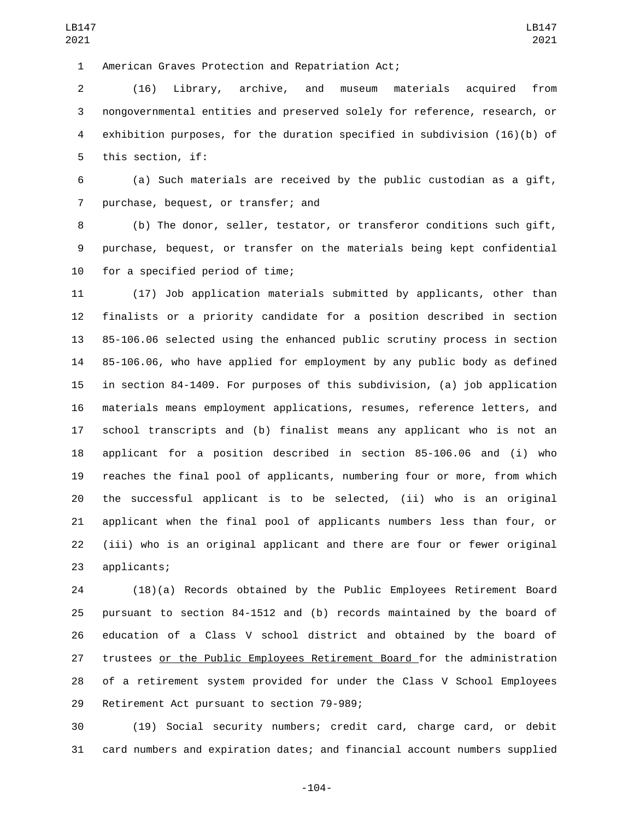American Graves Protection and Repatriation Act;1

 (16) Library, archive, and museum materials acquired from nongovernmental entities and preserved solely for reference, research, or exhibition purposes, for the duration specified in subdivision (16)(b) of 5 this section, if:

 (a) Such materials are received by the public custodian as a gift, 7 purchase, bequest, or transfer; and

 (b) The donor, seller, testator, or transferor conditions such gift, purchase, bequest, or transfer on the materials being kept confidential 10 for a specified period of time;

 (17) Job application materials submitted by applicants, other than finalists or a priority candidate for a position described in section 85-106.06 selected using the enhanced public scrutiny process in section 85-106.06, who have applied for employment by any public body as defined in section 84-1409. For purposes of this subdivision, (a) job application materials means employment applications, resumes, reference letters, and school transcripts and (b) finalist means any applicant who is not an applicant for a position described in section 85-106.06 and (i) who reaches the final pool of applicants, numbering four or more, from which the successful applicant is to be selected, (ii) who is an original applicant when the final pool of applicants numbers less than four, or (iii) who is an original applicant and there are four or fewer original 23 applicants;

 (18)(a) Records obtained by the Public Employees Retirement Board pursuant to section 84-1512 and (b) records maintained by the board of education of a Class V school district and obtained by the board of trustees or the Public Employees Retirement Board for the administration of a retirement system provided for under the Class V School Employees 29 Retirement Act pursuant to section 79-989;

 (19) Social security numbers; credit card, charge card, or debit card numbers and expiration dates; and financial account numbers supplied

LB147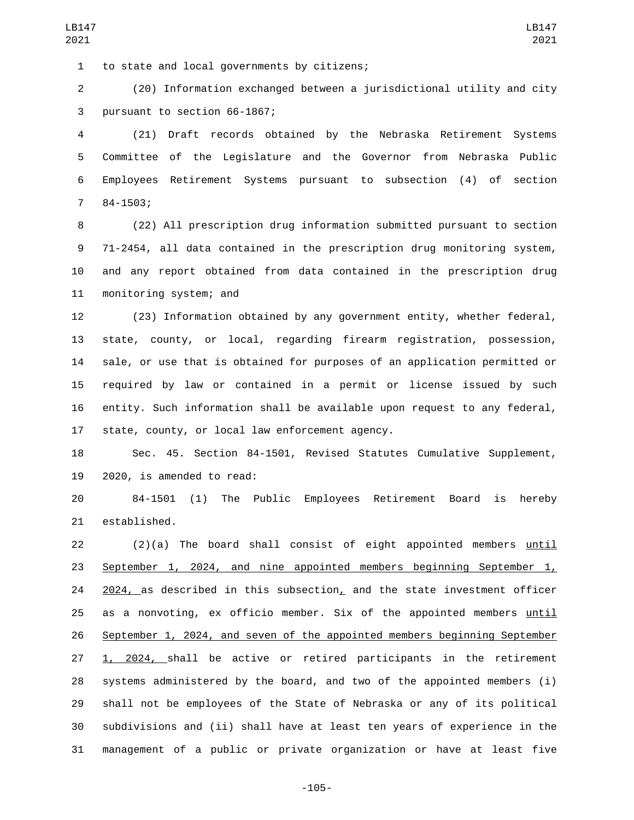1 to state and local governments by citizens;

 (20) Information exchanged between a jurisdictional utility and city 3 pursuant to section 66-1867;

 (21) Draft records obtained by the Nebraska Retirement Systems Committee of the Legislature and the Governor from Nebraska Public Employees Retirement Systems pursuant to subsection (4) of section  $784 - 1503;$ 

 (22) All prescription drug information submitted pursuant to section 71-2454, all data contained in the prescription drug monitoring system, and any report obtained from data contained in the prescription drug 11 monitoring system; and

 (23) Information obtained by any government entity, whether federal, state, county, or local, regarding firearm registration, possession, sale, or use that is obtained for purposes of an application permitted or required by law or contained in a permit or license issued by such entity. Such information shall be available upon request to any federal, 17 state, county, or local law enforcement agency.

 Sec. 45. Section 84-1501, Revised Statutes Cumulative Supplement, 2020, is amended to read:

 84-1501 (1) The Public Employees Retirement Board is hereby 21 established.

 (2)(a) The board shall consist of eight appointed members until September 1, 2024, and nine appointed members beginning September 1, , as described in this subsection, and the state investment officer as a nonvoting, ex officio member. Six of the appointed members until September 1, 2024, and seven of the appointed members beginning September 1, 2024, shall be active or retired participants in the retirement systems administered by the board, and two of the appointed members (i) shall not be employees of the State of Nebraska or any of its political subdivisions and (ii) shall have at least ten years of experience in the management of a public or private organization or have at least five

-105-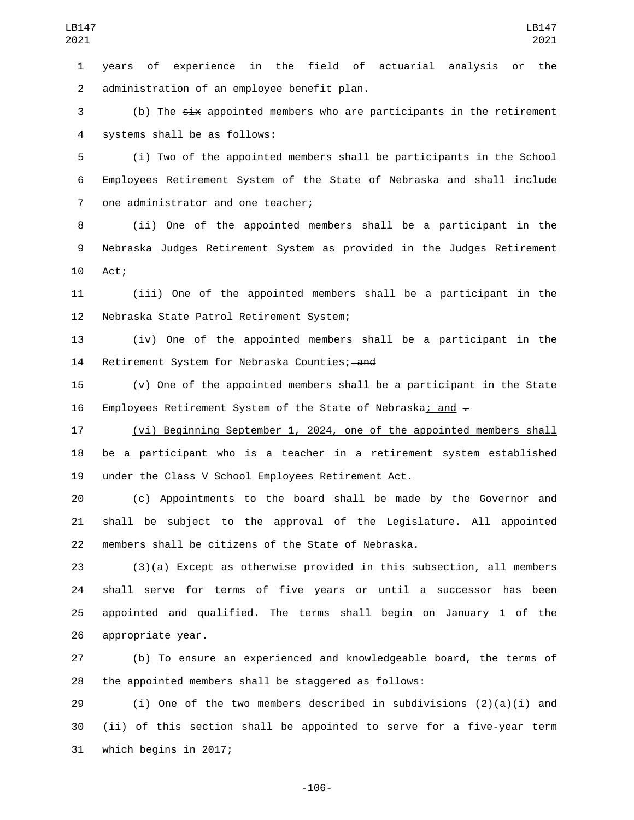years of experience in the field of actuarial analysis or the 2 administration of an employee benefit plan.

3 (b) The six appointed members who are participants in the retirement systems shall be as follows:4

 (i) Two of the appointed members shall be participants in the School Employees Retirement System of the State of Nebraska and shall include 7 one administrator and one teacher;

 (ii) One of the appointed members shall be a participant in the Nebraska Judges Retirement System as provided in the Judges Retirement 10 Act;

 (iii) One of the appointed members shall be a participant in the 12 Nebraska State Patrol Retirement System;

 (iv) One of the appointed members shall be a participant in the 14 Retirement System for Nebraska Counties; and

 (v) One of the appointed members shall be a participant in the State 16 Employees Retirement System of the State of Nebraska; and  $-$ 

 (vi) Beginning September 1, 2024, one of the appointed members shall be a participant who is a teacher in a retirement system established under the Class V School Employees Retirement Act.

 (c) Appointments to the board shall be made by the Governor and shall be subject to the approval of the Legislature. All appointed members shall be citizens of the State of Nebraska.

 (3)(a) Except as otherwise provided in this subsection, all members shall serve for terms of five years or until a successor has been appointed and qualified. The terms shall begin on January 1 of the 26 appropriate year.

 (b) To ensure an experienced and knowledgeable board, the terms of the appointed members shall be staggered as follows:

29  $(i)$  One of the two members described in subdivisions  $(2)(a)(i)$  and (ii) of this section shall be appointed to serve for a five-year term 31 which begins in 2017;

-106-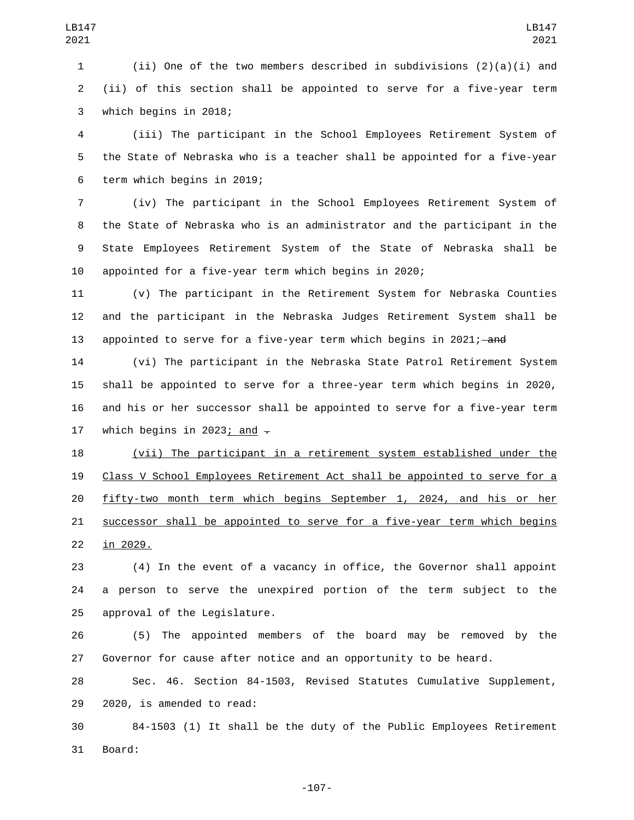(ii) One of the two members described in subdivisions (2)(a)(i) and (ii) of this section shall be appointed to serve for a five-year term 3 which begins in 2018;

 (iii) The participant in the School Employees Retirement System of the State of Nebraska who is a teacher shall be appointed for a five-year 6 term which begins in 2019;

 (iv) The participant in the School Employees Retirement System of the State of Nebraska who is an administrator and the participant in the State Employees Retirement System of the State of Nebraska shall be appointed for a five-year term which begins in 2020;

 (v) The participant in the Retirement System for Nebraska Counties and the participant in the Nebraska Judges Retirement System shall be 13 appointed to serve for a five-year term which begins in 2021;—and

 (vi) The participant in the Nebraska State Patrol Retirement System shall be appointed to serve for a three-year term which begins in 2020, and his or her successor shall be appointed to serve for a five-year term 17 which begins in 2023; and  $\overline{.}$ 

 (vii) The participant in a retirement system established under the Class V School Employees Retirement Act shall be appointed to serve for a fifty-two month term which begins September 1, 2024, and his or her successor shall be appointed to serve for a five-year term which begins 22 in 2029.

 (4) In the event of a vacancy in office, the Governor shall appoint a person to serve the unexpired portion of the term subject to the 25 approval of the Legislature.

 (5) The appointed members of the board may be removed by the Governor for cause after notice and an opportunity to be heard.

 Sec. 46. Section 84-1503, Revised Statutes Cumulative Supplement, 29 2020, is amended to read:

 84-1503 (1) It shall be the duty of the Public Employees Retirement 31 Board:

-107-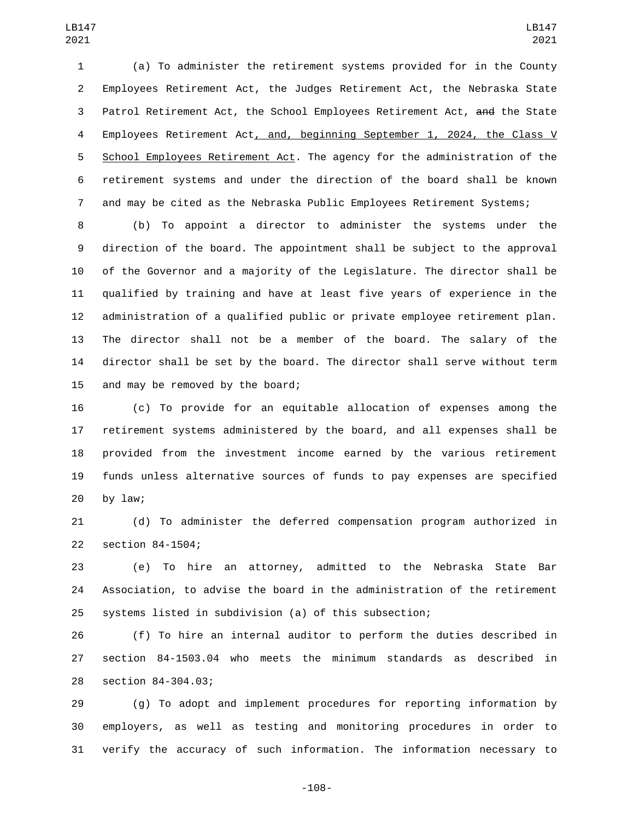(a) To administer the retirement systems provided for in the County Employees Retirement Act, the Judges Retirement Act, the Nebraska State Patrol Retirement Act, the School Employees Retirement Act, and the State Employees Retirement Act, and, beginning September 1, 2024, the Class V School Employees Retirement Act. The agency for the administration of the retirement systems and under the direction of the board shall be known and may be cited as the Nebraska Public Employees Retirement Systems;

 (b) To appoint a director to administer the systems under the direction of the board. The appointment shall be subject to the approval of the Governor and a majority of the Legislature. The director shall be qualified by training and have at least five years of experience in the administration of a qualified public or private employee retirement plan. The director shall not be a member of the board. The salary of the director shall be set by the board. The director shall serve without term 15 and may be removed by the board;

 (c) To provide for an equitable allocation of expenses among the retirement systems administered by the board, and all expenses shall be provided from the investment income earned by the various retirement funds unless alternative sources of funds to pay expenses are specified by law;

 (d) To administer the deferred compensation program authorized in 22 section 84-1504;

 (e) To hire an attorney, admitted to the Nebraska State Bar Association, to advise the board in the administration of the retirement systems listed in subdivision (a) of this subsection;

 (f) To hire an internal auditor to perform the duties described in section 84-1503.04 who meets the minimum standards as described in 28 section 84-304.03;

 (g) To adopt and implement procedures for reporting information by employers, as well as testing and monitoring procedures in order to verify the accuracy of such information. The information necessary to

-108-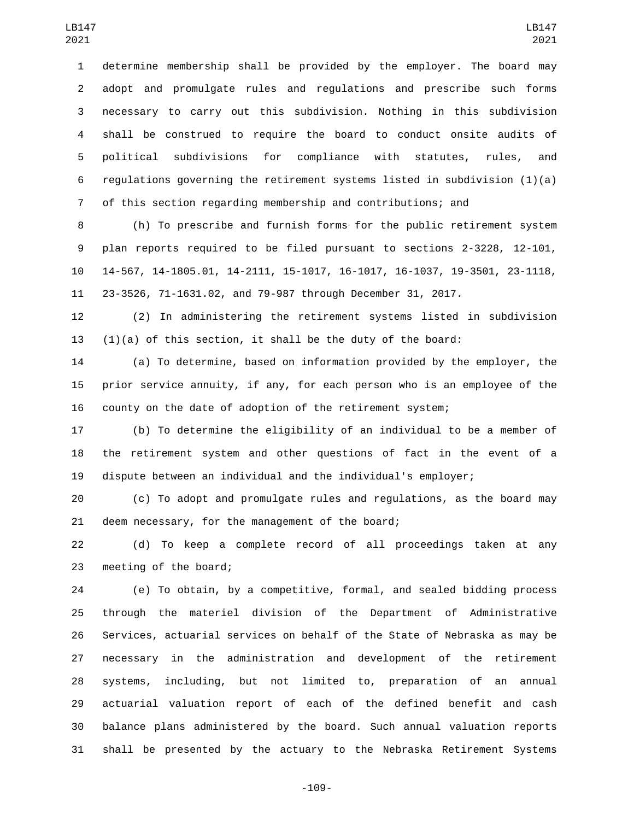determine membership shall be provided by the employer. The board may adopt and promulgate rules and regulations and prescribe such forms necessary to carry out this subdivision. Nothing in this subdivision shall be construed to require the board to conduct onsite audits of political subdivisions for compliance with statutes, rules, and 6 regulations governing the retirement systems listed in subdivision  $(1)(a)$ of this section regarding membership and contributions; and

 (h) To prescribe and furnish forms for the public retirement system plan reports required to be filed pursuant to sections 2-3228, 12-101, 14-567, 14-1805.01, 14-2111, 15-1017, 16-1017, 16-1037, 19-3501, 23-1118, 23-3526, 71-1631.02, and 79-987 through December 31, 2017.

 (2) In administering the retirement systems listed in subdivision 13  $(1)(a)$  of this section, it shall be the duty of the board:

 (a) To determine, based on information provided by the employer, the prior service annuity, if any, for each person who is an employee of the county on the date of adoption of the retirement system;

 (b) To determine the eligibility of an individual to be a member of the retirement system and other questions of fact in the event of a dispute between an individual and the individual's employer;

 (c) To adopt and promulgate rules and regulations, as the board may 21 deem necessary, for the management of the board;

 (d) To keep a complete record of all proceedings taken at any 23 meeting of the board;

 (e) To obtain, by a competitive, formal, and sealed bidding process through the materiel division of the Department of Administrative Services, actuarial services on behalf of the State of Nebraska as may be necessary in the administration and development of the retirement systems, including, but not limited to, preparation of an annual actuarial valuation report of each of the defined benefit and cash balance plans administered by the board. Such annual valuation reports shall be presented by the actuary to the Nebraska Retirement Systems

-109-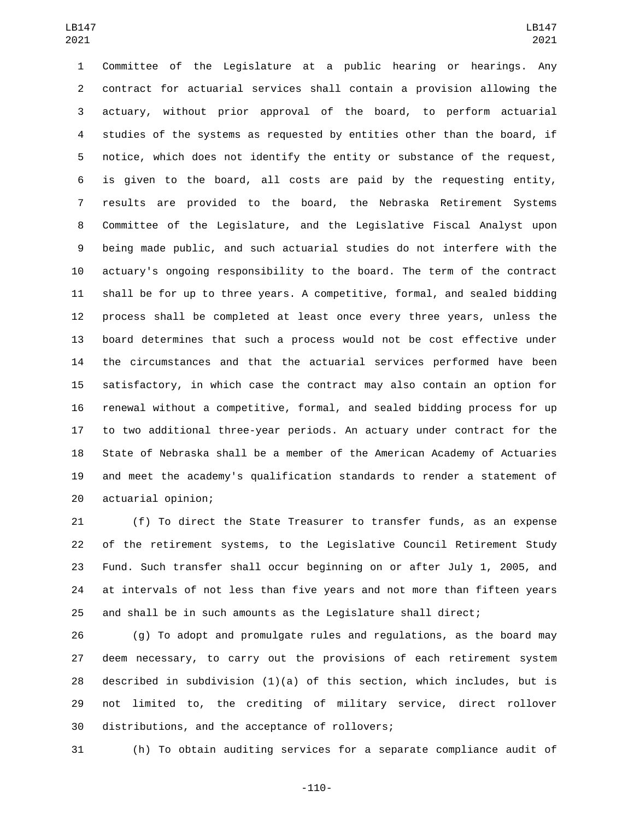Committee of the Legislature at a public hearing or hearings. Any contract for actuarial services shall contain a provision allowing the actuary, without prior approval of the board, to perform actuarial studies of the systems as requested by entities other than the board, if notice, which does not identify the entity or substance of the request, is given to the board, all costs are paid by the requesting entity, results are provided to the board, the Nebraska Retirement Systems Committee of the Legislature, and the Legislative Fiscal Analyst upon being made public, and such actuarial studies do not interfere with the actuary's ongoing responsibility to the board. The term of the contract shall be for up to three years. A competitive, formal, and sealed bidding process shall be completed at least once every three years, unless the board determines that such a process would not be cost effective under the circumstances and that the actuarial services performed have been satisfactory, in which case the contract may also contain an option for renewal without a competitive, formal, and sealed bidding process for up to two additional three-year periods. An actuary under contract for the State of Nebraska shall be a member of the American Academy of Actuaries and meet the academy's qualification standards to render a statement of actuarial opinion;20

 (f) To direct the State Treasurer to transfer funds, as an expense of the retirement systems, to the Legislative Council Retirement Study Fund. Such transfer shall occur beginning on or after July 1, 2005, and at intervals of not less than five years and not more than fifteen years and shall be in such amounts as the Legislature shall direct;

 (g) To adopt and promulgate rules and regulations, as the board may deem necessary, to carry out the provisions of each retirement system described in subdivision (1)(a) of this section, which includes, but is not limited to, the crediting of military service, direct rollover 30 distributions, and the acceptance of rollovers;

(h) To obtain auditing services for a separate compliance audit of

-110-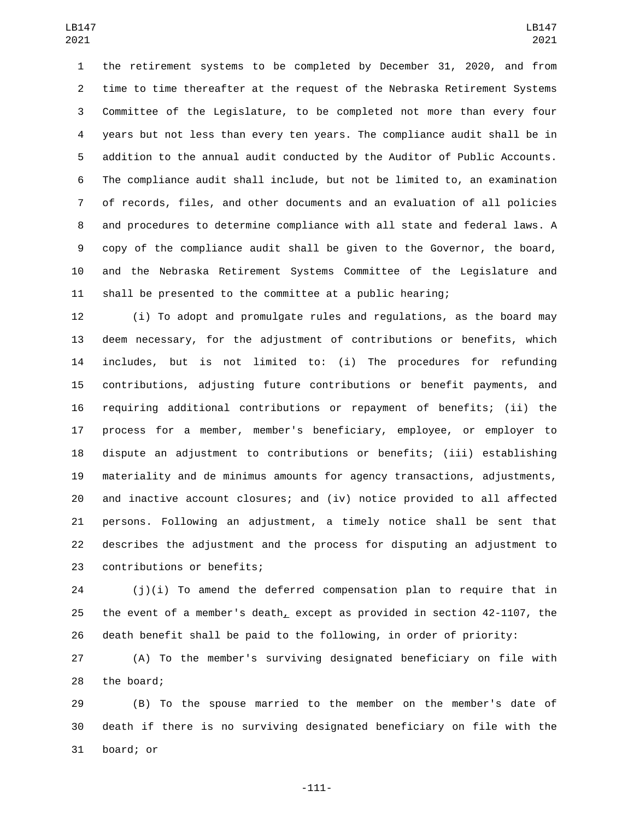the retirement systems to be completed by December 31, 2020, and from time to time thereafter at the request of the Nebraska Retirement Systems Committee of the Legislature, to be completed not more than every four years but not less than every ten years. The compliance audit shall be in addition to the annual audit conducted by the Auditor of Public Accounts. The compliance audit shall include, but not be limited to, an examination of records, files, and other documents and an evaluation of all policies and procedures to determine compliance with all state and federal laws. A copy of the compliance audit shall be given to the Governor, the board, and the Nebraska Retirement Systems Committee of the Legislature and shall be presented to the committee at a public hearing;

 (i) To adopt and promulgate rules and regulations, as the board may deem necessary, for the adjustment of contributions or benefits, which includes, but is not limited to: (i) The procedures for refunding contributions, adjusting future contributions or benefit payments, and requiring additional contributions or repayment of benefits; (ii) the process for a member, member's beneficiary, employee, or employer to dispute an adjustment to contributions or benefits; (iii) establishing materiality and de minimus amounts for agency transactions, adjustments, and inactive account closures; and (iv) notice provided to all affected persons. Following an adjustment, a timely notice shall be sent that describes the adjustment and the process for disputing an adjustment to 23 contributions or benefits;

 (j)(i) To amend the deferred compensation plan to require that in the event of a member's death, except as provided in section 42-1107, the death benefit shall be paid to the following, in order of priority:

 (A) To the member's surviving designated beneficiary on file with 28 the board;

 (B) To the spouse married to the member on the member's date of death if there is no surviving designated beneficiary on file with the 31 board; or

-111-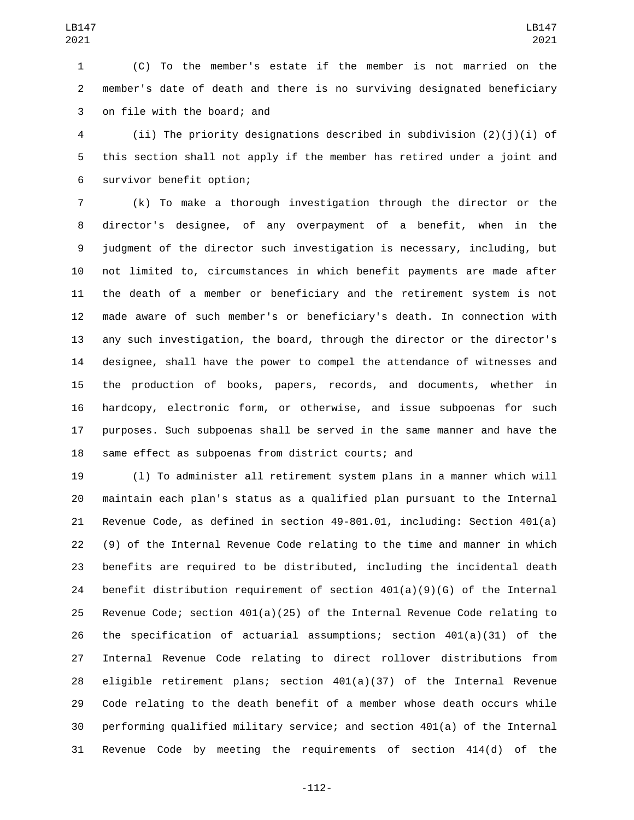(C) To the member's estate if the member is not married on the member's date of death and there is no surviving designated beneficiary 3 on file with the board; and

 (ii) The priority designations described in subdivision (2)(j)(i) of this section shall not apply if the member has retired under a joint and 6 survivor benefit option;

 (k) To make a thorough investigation through the director or the director's designee, of any overpayment of a benefit, when in the judgment of the director such investigation is necessary, including, but not limited to, circumstances in which benefit payments are made after the death of a member or beneficiary and the retirement system is not made aware of such member's or beneficiary's death. In connection with any such investigation, the board, through the director or the director's designee, shall have the power to compel the attendance of witnesses and the production of books, papers, records, and documents, whether in hardcopy, electronic form, or otherwise, and issue subpoenas for such purposes. Such subpoenas shall be served in the same manner and have the same effect as subpoenas from district courts; and

 (l) To administer all retirement system plans in a manner which will maintain each plan's status as a qualified plan pursuant to the Internal Revenue Code, as defined in section 49-801.01, including: Section 401(a) (9) of the Internal Revenue Code relating to the time and manner in which benefits are required to be distributed, including the incidental death 24 benefit distribution requirement of section  $401(a)(9)(G)$  of the Internal Revenue Code; section 401(a)(25) of the Internal Revenue Code relating to 26 the specification of actuarial assumptions; section  $401(a)(31)$  of the Internal Revenue Code relating to direct rollover distributions from eligible retirement plans; section 401(a)(37) of the Internal Revenue Code relating to the death benefit of a member whose death occurs while performing qualified military service; and section 401(a) of the Internal Revenue Code by meeting the requirements of section 414(d) of the

-112-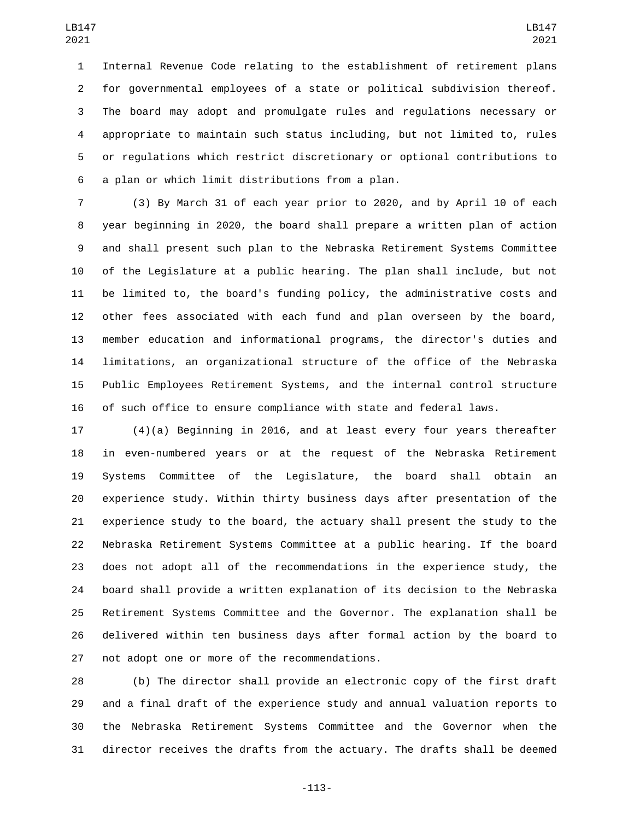Internal Revenue Code relating to the establishment of retirement plans for governmental employees of a state or political subdivision thereof. The board may adopt and promulgate rules and regulations necessary or appropriate to maintain such status including, but not limited to, rules or regulations which restrict discretionary or optional contributions to 6 a plan or which limit distributions from a plan.

 (3) By March 31 of each year prior to 2020, and by April 10 of each year beginning in 2020, the board shall prepare a written plan of action and shall present such plan to the Nebraska Retirement Systems Committee of the Legislature at a public hearing. The plan shall include, but not be limited to, the board's funding policy, the administrative costs and other fees associated with each fund and plan overseen by the board, member education and informational programs, the director's duties and limitations, an organizational structure of the office of the Nebraska Public Employees Retirement Systems, and the internal control structure of such office to ensure compliance with state and federal laws.

 (4)(a) Beginning in 2016, and at least every four years thereafter in even-numbered years or at the request of the Nebraska Retirement Systems Committee of the Legislature, the board shall obtain an experience study. Within thirty business days after presentation of the experience study to the board, the actuary shall present the study to the Nebraska Retirement Systems Committee at a public hearing. If the board does not adopt all of the recommendations in the experience study, the board shall provide a written explanation of its decision to the Nebraska Retirement Systems Committee and the Governor. The explanation shall be delivered within ten business days after formal action by the board to 27 not adopt one or more of the recommendations.

 (b) The director shall provide an electronic copy of the first draft and a final draft of the experience study and annual valuation reports to the Nebraska Retirement Systems Committee and the Governor when the director receives the drafts from the actuary. The drafts shall be deemed

-113-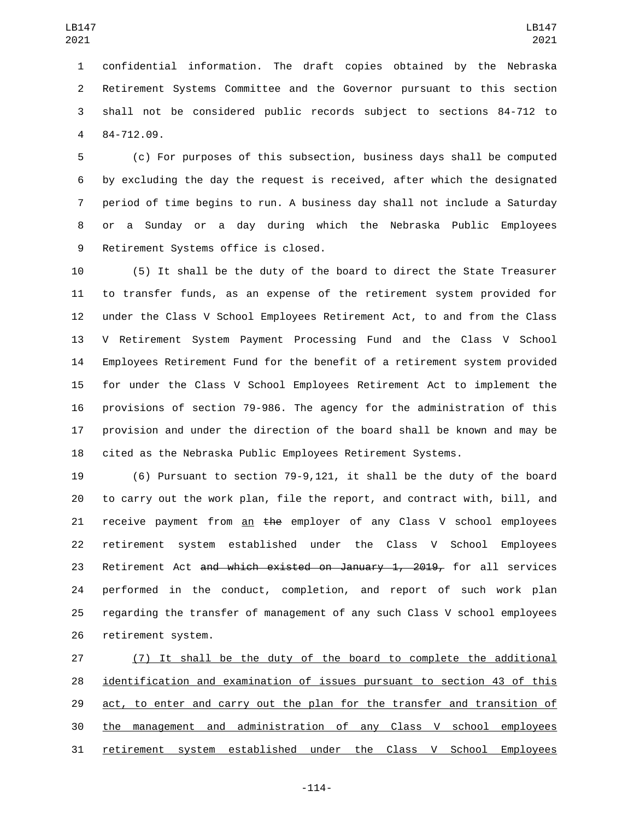confidential information. The draft copies obtained by the Nebraska Retirement Systems Committee and the Governor pursuant to this section shall not be considered public records subject to sections 84-712 to 84-712.09.4

 (c) For purposes of this subsection, business days shall be computed by excluding the day the request is received, after which the designated period of time begins to run. A business day shall not include a Saturday or a Sunday or a day during which the Nebraska Public Employees 9 Retirement Systems office is closed.

 (5) It shall be the duty of the board to direct the State Treasurer to transfer funds, as an expense of the retirement system provided for under the Class V School Employees Retirement Act, to and from the Class V Retirement System Payment Processing Fund and the Class V School Employees Retirement Fund for the benefit of a retirement system provided for under the Class V School Employees Retirement Act to implement the provisions of section 79-986. The agency for the administration of this provision and under the direction of the board shall be known and may be cited as the Nebraska Public Employees Retirement Systems.

 (6) Pursuant to section 79-9,121, it shall be the duty of the board to carry out the work plan, file the report, and contract with, bill, and receive payment from an the employer of any Class V school employees retirement system established under the Class V School Employees 23 Retirement Act and which existed on January 1, 2019, for all services performed in the conduct, completion, and report of such work plan regarding the transfer of management of any such Class V school employees 26 retirement system.

 (7) It shall be the duty of the board to complete the additional identification and examination of issues pursuant to section 43 of this 29 act, to enter and carry out the plan for the transfer and transition of the management and administration of any Class V school employees retirement system established under the Class V School Employees